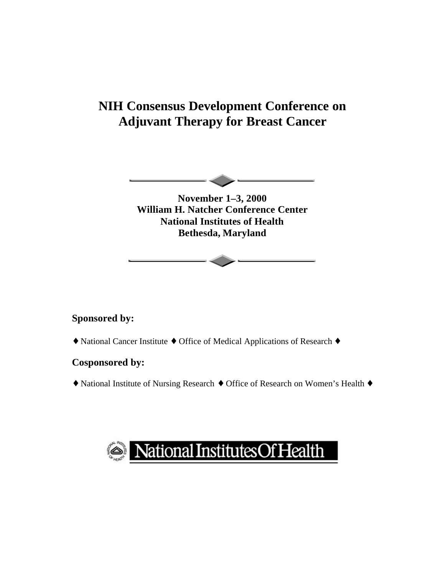# **NIH Consensus Development Conference on Adjuvant Therapy for Breast Cancer**



**November 1–3, 2000 William H. Natcher Conference Center National Institutes of Health Bethesda, Maryland**

## **Sponsored by:**

◆ National Cancer Institute ◆ Office of Medical Applications of Research ◆

## **Cosponsored by:**

◆ National Institute of Nursing Research ◆ Office of Research on Women's Health ◆

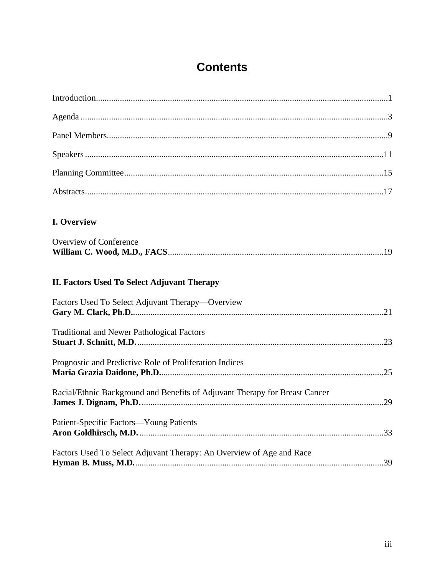# **Contents**

| <b>I. Overview</b>                                                          |  |
|-----------------------------------------------------------------------------|--|
| <b>Overview of Conference</b>                                               |  |
| II. Factors Used To Select Adjuvant Therapy                                 |  |
| Factors Used To Select Adjuvant Therapy—Overview                            |  |
| <b>Traditional and Newer Pathological Factors</b>                           |  |
| Prognostic and Predictive Role of Proliferation Indices                     |  |
| Racial/Ethnic Background and Benefits of Adjuvant Therapy for Breast Cancer |  |
| Patient-Specific Factors-Young Patients                                     |  |
| Factors Used To Select Adjuvant Therapy: An Overview of Age and Race        |  |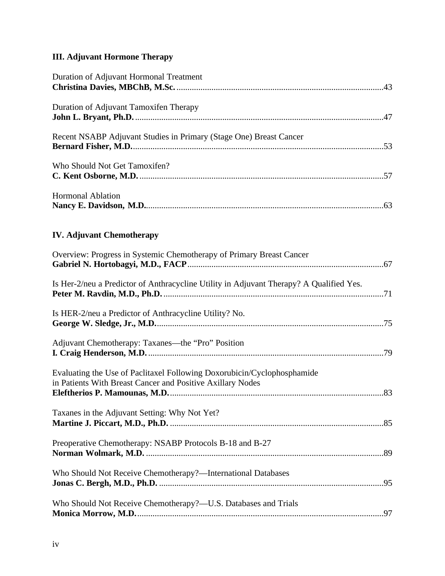# **III. Adjuvant Hormone Therapy**

| Duration of Adjuvant Hormonal Treatment                                                                                               |
|---------------------------------------------------------------------------------------------------------------------------------------|
| Duration of Adjuvant Tamoxifen Therapy                                                                                                |
| Recent NSABP Adjuvant Studies in Primary (Stage One) Breast Cancer                                                                    |
| Who Should Not Get Tamoxifen?                                                                                                         |
| <b>Hormonal Ablation</b>                                                                                                              |
| <b>IV. Adjuvant Chemotherapy</b>                                                                                                      |
| Overview: Progress in Systemic Chemotherapy of Primary Breast Cancer                                                                  |
| Is Her-2/neu a Predictor of Anthracycline Utility in Adjuvant Therapy? A Qualified Yes.                                               |
| Is HER-2/neu a Predictor of Anthracycline Utility? No.                                                                                |
| Adjuvant Chemotherapy: Taxanes—the "Pro" Position                                                                                     |
| Evaluating the Use of Paclitaxel Following Doxorubicin/Cyclophosphamide<br>in Patients With Breast Cancer and Positive Axillary Nodes |
| Taxanes in the Adjuvant Setting: Why Not Yet?                                                                                         |
| Preoperative Chemotherapy: NSABP Protocols B-18 and B-27                                                                              |
| Who Should Not Receive Chemotherapy?-International Databases                                                                          |
| Who Should Not Receive Chemotherapy?-U.S. Databases and Trials                                                                        |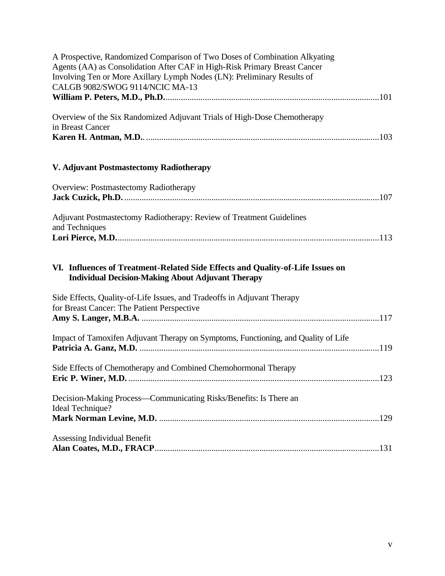| A Prospective, Randomized Comparison of Two Doses of Combination Alkyating<br>Agents (AA) as Consolidation After CAF in High-Risk Primary Breast Cancer<br>Involving Ten or More Axillary Lymph Nodes (LN): Preliminary Results of<br>CALGB 9082/SWOG 9114/NCIC MA-13 |
|-----------------------------------------------------------------------------------------------------------------------------------------------------------------------------------------------------------------------------------------------------------------------|
|                                                                                                                                                                                                                                                                       |
| Overview of the Six Randomized Adjuvant Trials of High-Dose Chemotherapy<br>in Breast Cancer                                                                                                                                                                          |
| V. Adjuvant Postmastectomy Radiotherapy                                                                                                                                                                                                                               |
| Overview: Postmastectomy Radiotherapy                                                                                                                                                                                                                                 |
| Adjuvant Postmastectomy Radiotherapy: Review of Treatment Guidelines<br>and Techniques                                                                                                                                                                                |
| VI. Influences of Treatment-Related Side Effects and Quality-of-Life Issues on<br><b>Individual Decision-Making About Adjuvant Therapy</b>                                                                                                                            |
| Side Effects, Quality-of-Life Issues, and Tradeoffs in Adjuvant Therapy<br>for Breast Cancer: The Patient Perspective                                                                                                                                                 |
| Impact of Tamoxifen Adjuvant Therapy on Symptoms, Functioning, and Quality of Life                                                                                                                                                                                    |
| Side Effects of Chemotherapy and Combined Chemohormonal Therapy                                                                                                                                                                                                       |
| Decision-Making Process—Communicating Risks/Benefits: Is There an<br>Ideal Technique?                                                                                                                                                                                 |
| Assessing Individual Benefit                                                                                                                                                                                                                                          |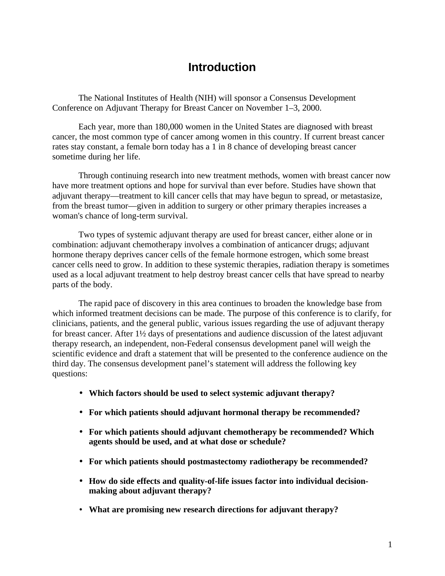# **Introduction**

The National Institutes of Health (NIH) will sponsor a Consensus Development Conference on Adjuvant Therapy for Breast Cancer on November 1–3, 2000.

Each year, more than 180,000 women in the United States are diagnosed with breast cancer, the most common type of cancer among women in this country. If current breast cancer rates stay constant, a female born today has a 1 in 8 chance of developing breast cancer sometime during her life.

Through continuing research into new treatment methods, women with breast cancer now have more treatment options and hope for survival than ever before. Studies have shown that adjuvant therapy—treatment to kill cancer cells that may have begun to spread, or metastasize, from the breast tumor—given in addition to surgery or other primary therapies increases a woman's chance of long-term survival.

Two types of systemic adjuvant therapy are used for breast cancer, either alone or in combination: adjuvant chemotherapy involves a combination of anticancer drugs; adjuvant hormone therapy deprives cancer cells of the female hormone estrogen, which some breast cancer cells need to grow. In addition to these systemic therapies, radiation therapy is sometimes used as a local adjuvant treatment to help destroy breast cancer cells that have spread to nearby parts of the body.

The rapid pace of discovery in this area continues to broaden the knowledge base from which informed treatment decisions can be made. The purpose of this conference is to clarify, for clinicians, patients, and the general public, various issues regarding the use of adjuvant therapy for breast cancer. After 1½ days of presentations and audience discussion of the latest adjuvant therapy research, an independent, non-Federal consensus development panel will weigh the scientific evidence and draft a statement that will be presented to the conference audience on the third day. The consensus development panel's statement will address the following key questions:

- Which factors should be used to select systemic adjuvant therapy?
- • **For which patients should adjuvant hormonal therapy be recommended?**
- • **For which patients should adjuvant chemotherapy be recommended? Which agents should be used, and at what dose or schedule?**
- • **For which patients should postmastectomy radiotherapy be recommended?**
- How do side effects and quality-of-life issues factor into individual decision**making about adjuvant therapy?**
- • **What are promising new research directions for adjuvant therapy?**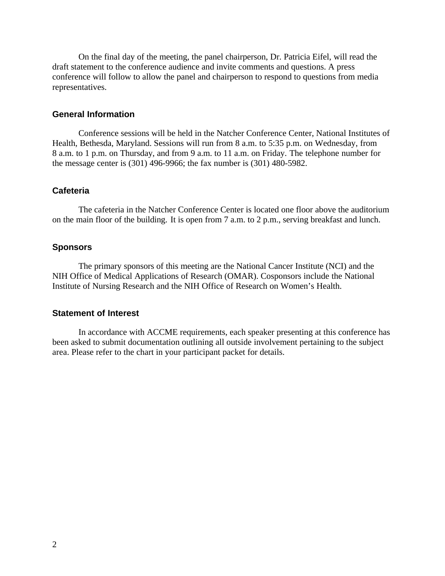On the final day of the meeting, the panel chairperson, Dr. Patricia Eifel, will read the draft statement to the conference audience and invite comments and questions. A press conference will follow to allow the panel and chairperson to respond to questions from media representatives.

#### **General Information**

Conference sessions will be held in the Natcher Conference Center, National Institutes of Health, Bethesda, Maryland. Sessions will run from 8 a.m. to 5:35 p.m. on Wednesday, from 8 a.m. to 1 p.m. on Thursday, and from 9 a.m. to 11 a.m. on Friday. The telephone number for the message center is (301) 496-9966; the fax number is (301) 480-5982.

#### **Cafeteria**

The cafeteria in the Natcher Conference Center is located one floor above the auditorium on the main floor of the building. It is open from 7 a.m. to 2 p.m., serving breakfast and lunch.

#### **Sponsors**

The primary sponsors of this meeting are the National Cancer Institute (NCI) and the NIH Office of Medical Applications of Research (OMAR). Cosponsors include the National Institute of Nursing Research and the NIH Office of Research on Women's Health.

#### **Statement of Interest**

In accordance with ACCME requirements, each speaker presenting at this conference has been asked to submit documentation outlining all outside involvement pertaining to the subject area. Please refer to the chart in your participant packet for details.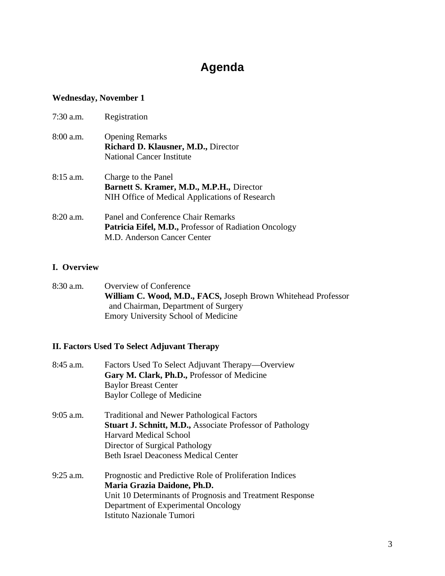# **Agenda**

### **Wednesday, November 1**

| $7:30$ a.m. | Registration                                                                                                               |
|-------------|----------------------------------------------------------------------------------------------------------------------------|
| 8:00 a.m.   | <b>Opening Remarks</b><br><b>Richard D. Klausner, M.D., Director</b><br>National Cancer Institute                          |
| $8:15$ a.m. | Charge to the Panel<br>Barnett S. Kramer, M.D., M.P.H., Director<br>NIH Office of Medical Applications of Research         |
| $8:20$ a.m. | Panel and Conference Chair Remarks<br>Patricia Eifel, M.D., Professor of Radiation Oncology<br>M.D. Anderson Cancer Center |

### **I. Overview**

8:30 a.m. Overview of Conference **William C. Wood, M.D., FACS,** Joseph Brown Whitehead Professor and Chairman, Department of Surgery Emory University School of Medicine

## **II. Factors Used To Select Adjuvant Therapy**

| $8:45$ a.m. | Factors Used To Select Adjuvant Therapy—Overview<br>Gary M. Clark, Ph.D., Professor of Medicine<br><b>Baylor Breast Center</b><br>Baylor College of Medicine                                                                     |
|-------------|----------------------------------------------------------------------------------------------------------------------------------------------------------------------------------------------------------------------------------|
| $9:05$ a.m. | <b>Traditional and Newer Pathological Factors</b><br><b>Stuart J. Schnitt, M.D., Associate Professor of Pathology</b><br>Harvard Medical School<br>Director of Surgical Pathology<br><b>Beth Israel Deaconess Medical Center</b> |
| $9:25$ a.m. | Prognostic and Predictive Role of Proliferation Indices<br>Maria Grazia Daidone, Ph.D.<br>Unit 10 Determinants of Prognosis and Treatment Response<br>Department of Experimental Oncology<br><b>Istituto Nazionale Tumori</b>    |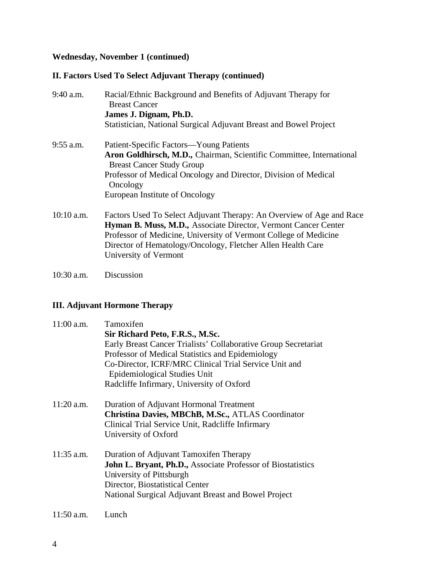### **Wednesday, November 1 (continued)**

## **II. Factors Used To Select Adjuvant Therapy (continued)**

| Statistician, National Surgical Adjuvant Breast and Bowel Project                                                                                                                                          |
|------------------------------------------------------------------------------------------------------------------------------------------------------------------------------------------------------------|
|                                                                                                                                                                                                            |
|                                                                                                                                                                                                            |
|                                                                                                                                                                                                            |
| Aron Goldhirsch, M.D., Chairman, Scientific Committee, International                                                                                                                                       |
| Professor of Medical Oncology and Director, Division of Medical                                                                                                                                            |
|                                                                                                                                                                                                            |
| Factors Used To Select Adjuvant Therapy: An Overview of Age and Race<br>Hyman B. Muss, M.D., Associate Director, Vermont Cancer Center<br>Professor of Medicine, University of Vermont College of Medicine |
|                                                                                                                                                                                                            |

10:30 a.m. Discussion

## **III. Adjuvant Hormone Therapy**

| $11:00$ a.m. | Tamoxifen<br>Sir Richard Peto, F.R.S., M.Sc.<br>Early Breast Cancer Trialists' Collaborative Group Secretariat<br>Professor of Medical Statistics and Epidemiology<br>Co-Director, ICRF/MRC Clinical Trial Service Unit and<br>Epidemiological Studies Unit<br>Radcliffe Infirmary, University of Oxford |
|--------------|----------------------------------------------------------------------------------------------------------------------------------------------------------------------------------------------------------------------------------------------------------------------------------------------------------|
| $11:20$ a.m. | Duration of Adjuvant Hormonal Treatment<br>Christina Davies, MBChB, M.Sc., ATLAS Coordinator<br>Clinical Trial Service Unit, Radcliffe Infirmary<br>University of Oxford                                                                                                                                 |
| $11:35$ a.m. | Duration of Adjuvant Tamoxifen Therapy<br><b>John L. Bryant, Ph.D., Associate Professor of Biostatistics</b><br>University of Pittsburgh<br>Director, Biostatistical Center<br>National Surgical Adjuvant Breast and Bowel Project                                                                       |
| $11:50$ a.m. | Lunch                                                                                                                                                                                                                                                                                                    |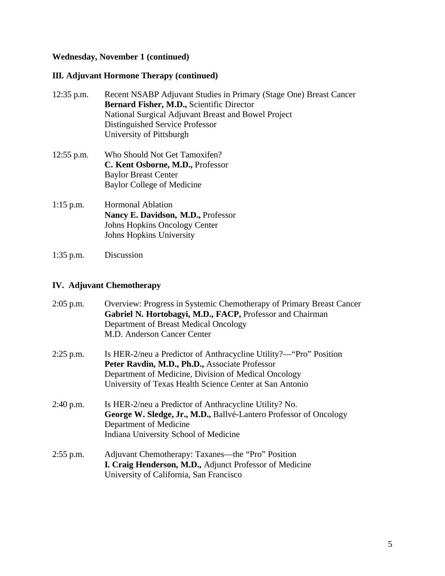# **Wednesday, November 1 (continued)**

## **III. Adjuvant Hormone Therapy (continued)**

| $12:35$ p.m. | Recent NSABP Adjuvant Studies in Primary (Stage One) Breast Cancer<br><b>Bernard Fisher, M.D., Scientific Director</b><br>National Surgical Adjuvant Breast and Bowel Project<br>Distinguished Service Professor<br>University of Pittsburgh |
|--------------|----------------------------------------------------------------------------------------------------------------------------------------------------------------------------------------------------------------------------------------------|
| $12:55$ p.m. | Who Should Not Get Tamoxifen?<br>C. Kent Osborne, M.D., Professor<br><b>Baylor Breast Center</b><br>Baylor College of Medicine                                                                                                               |
| $1:15$ p.m.  | <b>Hormonal Ablation</b><br>Nancy E. Davidson, M.D., Professor<br>Johns Hopkins Oncology Center<br>Johns Hopkins University                                                                                                                  |

1:35 p.m. Discussion

# **IV. Adjuvant Chemotherapy**

| $2:05$ p.m. | Overview: Progress in Systemic Chemotherapy of Primary Breast Cancer<br>Gabriel N. Hortobagyi, M.D., FACP, Professor and Chairman<br>Department of Breast Medical Oncology<br>M.D. Anderson Cancer Center                                |
|-------------|------------------------------------------------------------------------------------------------------------------------------------------------------------------------------------------------------------------------------------------|
| $2:25$ p.m. | Is HER-2/neu a Predictor of Anthracycline Utility?— "Pro" Position<br>Peter Ravdin, M.D., Ph.D., Associate Professor<br>Department of Medicine, Division of Medical Oncology<br>University of Texas Health Science Center at San Antonio |
| $2:40$ p.m. | Is HER-2/neu a Predictor of Anthracycline Utility? No.<br>George W. Sledge, Jr., M.D., Ballvé-Lantero Professor of Oncology<br>Department of Medicine<br>Indiana University School of Medicine                                           |
| $2:55$ p.m. | Adjuvant Chemotherapy: Taxanes—the "Pro" Position<br>I. Craig Henderson, M.D., Adjunct Professor of Medicine<br>University of California, San Francisco                                                                                  |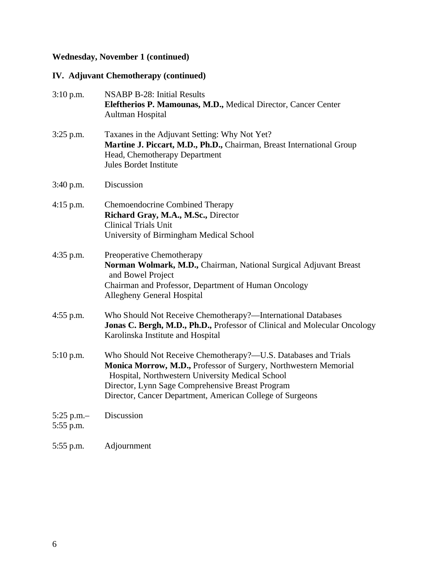# **Wednesday, November 1 (continued)**

# **IV. Adjuvant Chemotherapy (continued)**

| $3:10$ p.m.                | <b>NSABP B-28: Initial Results</b><br>Eleftherios P. Mamounas, M.D., Medical Director, Cancer Center<br><b>Aultman Hospital</b>                                                                                                                                                                         |
|----------------------------|---------------------------------------------------------------------------------------------------------------------------------------------------------------------------------------------------------------------------------------------------------------------------------------------------------|
| $3:25$ p.m.                | Taxanes in the Adjuvant Setting: Why Not Yet?<br>Martine J. Piccart, M.D., Ph.D., Chairman, Breast International Group<br>Head, Chemotherapy Department<br><b>Jules Bordet Institute</b>                                                                                                                |
| 3:40 p.m.                  | Discussion                                                                                                                                                                                                                                                                                              |
| $4:15$ p.m.                | <b>Chemoendocrine Combined Therapy</b><br>Richard Gray, M.A., M.Sc., Director<br><b>Clinical Trials Unit</b><br>University of Birmingham Medical School                                                                                                                                                 |
| 4:35 p.m.                  | Preoperative Chemotherapy<br>Norman Wolmark, M.D., Chairman, National Surgical Adjuvant Breast<br>and Bowel Project<br>Chairman and Professor, Department of Human Oncology<br><b>Allegheny General Hospital</b>                                                                                        |
| $4:55$ p.m.                | Who Should Not Receive Chemotherapy?—International Databases<br>Jonas C. Bergh, M.D., Ph.D., Professor of Clinical and Molecular Oncology<br>Karolinska Institute and Hospital                                                                                                                          |
| $5:10$ p.m.                | Who Should Not Receive Chemotherapy?—U.S. Databases and Trials<br>Monica Morrow, M.D., Professor of Surgery, Northwestern Memorial<br>Hospital, Northwestern University Medical School<br>Director, Lynn Sage Comprehensive Breast Program<br>Director, Cancer Department, American College of Surgeons |
| 5:25 p.m. $-$<br>5:55 p.m. | Discussion                                                                                                                                                                                                                                                                                              |
| 5:55 p.m.                  | Adjournment                                                                                                                                                                                                                                                                                             |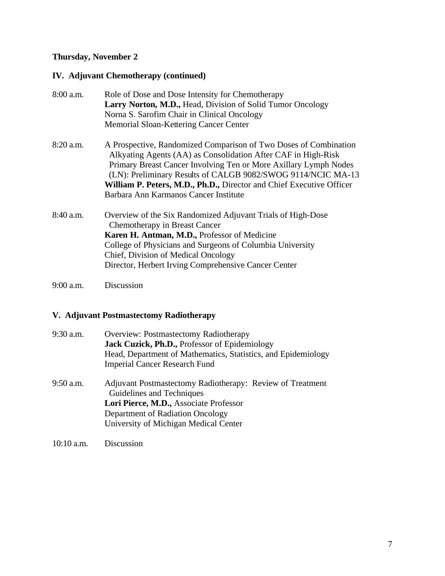### **Thursday, November 2**

# **IV. Adjuvant Chemotherapy (continued)**

| $8:00$ a.m. | Role of Dose and Dose Intensity for Chemotherapy                                                                                                                                                                                                                                                                                                                                       |
|-------------|----------------------------------------------------------------------------------------------------------------------------------------------------------------------------------------------------------------------------------------------------------------------------------------------------------------------------------------------------------------------------------------|
|             | Larry Norton, M.D., Head, Division of Solid Tumor Oncology                                                                                                                                                                                                                                                                                                                             |
|             | Norna S. Sarofim Chair in Clinical Oncology                                                                                                                                                                                                                                                                                                                                            |
|             | Memorial Sloan-Kettering Cancer Center                                                                                                                                                                                                                                                                                                                                                 |
| 8:20 a.m.   | A Prospective, Randomized Comparison of Two Doses of Combination<br>Alkyating Agents (AA) as Consolidation After CAF in High-Risk<br>Primary Breast Cancer Involving Ten or More Axillary Lymph Nodes<br>(LN): Preliminary Results of CALGB 9082/SWOG 9114/NCIC MA-13<br>William P. Peters, M.D., Ph.D., Director and Chief Executive Officer<br>Barbara Ann Karmanos Cancer Institute |
|             |                                                                                                                                                                                                                                                                                                                                                                                        |
| 8:40 a.m.   | Overview of the Six Randomized Adjuvant Trials of High-Dose<br>Chemotherapy in Breast Cancer                                                                                                                                                                                                                                                                                           |
|             | <b>Karen H. Antman, M.D., Professor of Medicine</b>                                                                                                                                                                                                                                                                                                                                    |
|             | College of Physicians and Surgeons of Columbia University                                                                                                                                                                                                                                                                                                                              |
|             | Chief, Division of Medical Oncology                                                                                                                                                                                                                                                                                                                                                    |
|             | Director, Herbert Irving Comprehensive Cancer Center                                                                                                                                                                                                                                                                                                                                   |
| $9:00$ a.m. | Discussion                                                                                                                                                                                                                                                                                                                                                                             |

**V. Adjuvant Postmastectomy Radiotherapy** 

| 9:30 a.m.   | <b>Overview: Postmastectomy Radiotherapy</b><br>Jack Cuzick, Ph.D., Professor of Epidemiology<br>Head, Department of Mathematics, Statistics, and Epidemiology<br><b>Imperial Cancer Research Fund</b>        |
|-------------|---------------------------------------------------------------------------------------------------------------------------------------------------------------------------------------------------------------|
| $9:50$ a.m. | Adjuvant Postmastectomy Radiotherapy: Review of Treatment<br>Guidelines and Techniques<br>Lori Pierce, M.D., Associate Professor<br>Department of Radiation Oncology<br>University of Michigan Medical Center |

10:10 a.m. Discussion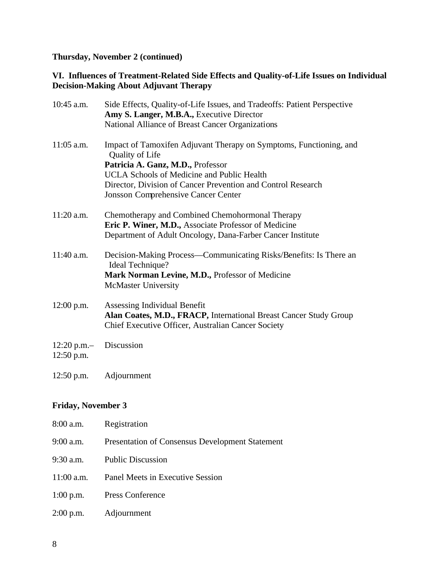**Thursday, November 2 (continued)** 

### **VI. Influences of Treatment-Related Side Effects and Quality-of-Life Issues on Individual Decision-Making About Adjuvant Therapy**

| $10:45$ a.m.                | Side Effects, Quality-of-Life Issues, and Tradeoffs: Patient Perspective<br>Amy S. Langer, M.B.A., Executive Director<br>National Alliance of Breast Cancer Organizations                                                                                                                     |
|-----------------------------|-----------------------------------------------------------------------------------------------------------------------------------------------------------------------------------------------------------------------------------------------------------------------------------------------|
| $11:05$ a.m.                | Impact of Tamoxifen Adjuvant Therapy on Symptoms, Functioning, and<br>Quality of Life<br>Patricia A. Ganz, M.D., Professor<br><b>UCLA Schools of Medicine and Public Health</b><br>Director, Division of Cancer Prevention and Control Research<br><b>Jonsson Comprehensive Cancer Center</b> |
| 11:20 a.m.                  | Chemotherapy and Combined Chemohormonal Therapy<br>Eric P. Winer, M.D., Associate Professor of Medicine<br>Department of Adult Oncology, Dana-Farber Cancer Institute                                                                                                                         |
| $11:40$ a.m.                | Decision-Making Process—Communicating Risks/Benefits: Is There an<br>Ideal Technique?<br>Mark Norman Levine, M.D., Professor of Medicine<br>McMaster University                                                                                                                               |
| $12:00$ p.m.                | Assessing Individual Benefit<br>Alan Coates, M.D., FRACP, International Breast Cancer Study Group<br>Chief Executive Officer, Australian Cancer Society                                                                                                                                       |
| $12:20$ p.m.-<br>12:50 p.m. | Discussion                                                                                                                                                                                                                                                                                    |
| 12:50 p.m.                  | Adjournment                                                                                                                                                                                                                                                                                   |

## **Friday, November 3**

| 8:00 a.m.    | Registration                                           |
|--------------|--------------------------------------------------------|
| 9:00 a.m.    | <b>Presentation of Consensus Development Statement</b> |
| 9:30 a.m.    | <b>Public Discussion</b>                               |
| $11:00$ a.m. | Panel Meets in Executive Session                       |
| $1:00$ p.m.  | Press Conference                                       |
| 2:00 p.m.    | Adjournment                                            |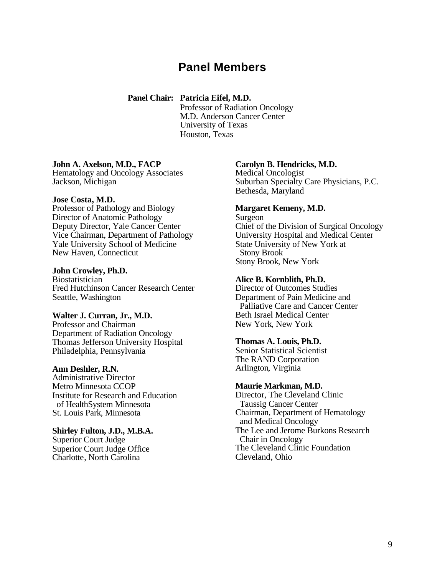# **Panel Members**

#### **Panel Chair: Patricia Eifel, M.D.**

Professor of Radiation Oncology M.D. Anderson Cancer Center University of Texas Houston, Texas

#### **John A. Axelson, M.D., FACP**

Hematology and Oncology Associates Jackson, Michigan

#### **Jose Costa, M.D.**

Professor of Pathology and Biology Director of Anatomic Pathology Deputy Director, Yale Cancer Center Vice Chairman, Department of Pathology Yale University School of Medicine New Haven, Connecticut

#### **John Crowley, Ph.D.**

Biostatistician Fred Hutchinson Cancer Research Center Seattle, Washington

#### **Walter J. Curran, Jr., M.D.**

Professor and Chairman Department of Radiation Oncology Thomas Jefferson University Hospital Philadelphia, Pennsylvania

#### **Ann Deshler, R.N.**

Administrative Director Metro Minnesota CCOP Institute for Research and Education of HealthSystem Minnesota St. Louis Park, Minnesota

#### **Shirley Fulton, J.D., M.B.A.**  Superior Court Judge Superior Court Judge Office

Charlotte, North Carolina

#### **Carolyn B. Hendricks, M.D.**

Medical Oncologist Suburban Specialty Care Physicians, P.C. Bethesda, Maryland

#### **Margaret Kemeny, M.D.**

Surgeon Chief of the Division of Surgical Oncology University Hospital and Medical Center State University of New York at Stony Brook Stony Brook, New York

#### **Alice B. Kornblith, Ph.D.**

Director of Outcomes Studies Department of Pain Medicine and Palliative Care and Cancer Center Beth Israel Medical Center New York, New York

#### **Thomas A. Louis, Ph.D.**

Senior Statistical Scientist The RAND Corporation Arlington, Virginia

#### **Maurie Markman, M.D.**

Director, The Cleveland Clinic Taussig Cancer Center Chairman, Department of Hematology and Medical Oncology The Lee and Jerome Burkons Research Chair in Oncology The Cleveland Clinic Foundation Cleveland, Ohio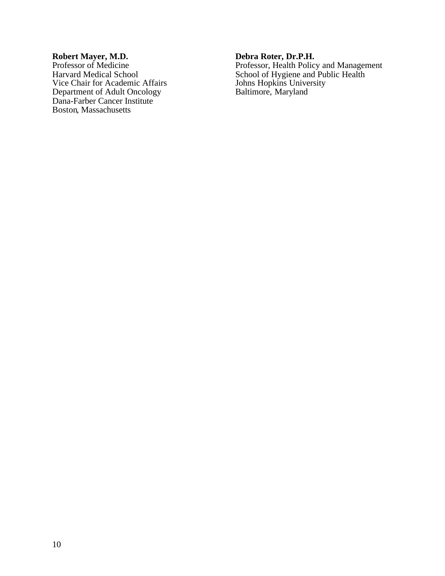#### **Robert Mayer, M.D.**

Professor of Medicine Harvard Medical School Vice Chair for Academic Affairs Department of Adult Oncology Dana-Farber Cancer Institute Boston, Massachusetts

### **Debra Roter, Dr.P.H.**

Professor, Health Policy and Management School of Hygiene and Public Health Johns Hopkins University Baltimore, Maryland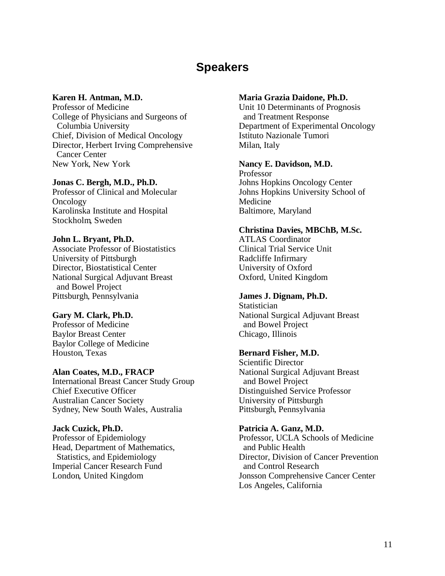# **Speakers**

#### **Karen H. Antman, M.D.**

Professor of Medicine College of Physicians and Surgeons of Columbia University Chief, Division of Medical Oncology Director, Herbert Irving Comprehensive Cancer Center New York, New York

#### **Jonas C. Bergh, M.D., Ph.D.**

Professor of Clinical and Molecular Oncology Karolinska Institute and Hospital Stockholm, Sweden

#### **John L. Bryant, Ph.D.**

Associate Professor of Biostatistics University of Pittsburgh Director, Biostatistical Center National Surgical Adjuvant Breast and Bowel Project Pittsburgh, Pennsylvania

#### **Gary M. Clark, Ph.D.**

Professor of Medicine Baylor Breast Center Baylor College of Medicine Houston, Texas

#### **Alan Coates, M.D., FRACP**

International Breast Cancer Study Group Chief Executive Officer Australian Cancer Society Sydney, New South Wales, Australia

#### **Jack Cuzick, Ph.D.**

Professor of Epidemiology Head, Department of Mathematics, Statistics, and Epidemiology Imperial Cancer Research Fund London, United Kingdom

#### **Maria Grazia Daidone, Ph.D.**

Unit 10 Determinants of Prognosis and Treatment Response Department of Experimental Oncology Istituto Nazionale Tumori Milan, Italy

#### **Nancy E. Davidson, M.D.**

Professor Johns Hopkins Oncology Center Johns Hopkins University School of Medicine Baltimore, Maryland

#### **Christina Davies, MBChB, M.Sc.**

ATLAS Coordinator Clinical Trial Service Unit Radcliffe Infirmary University of Oxford Oxford, United Kingdom

#### **James J. Dignam, Ph.D.**

**Statistician** National Surgical Adjuvant Breast and Bowel Project Chicago, Illinois

#### **Bernard Fisher, M.D.**

Scientific Director National Surgical Adjuvant Breast and Bowel Project Distinguished Service Professor University of Pittsburgh Pittsburgh, Pennsylvania

#### **Patricia A. Ganz, M.D.**

Professor, UCLA Schools of Medicine and Public Health Director, Division of Cancer Prevention and Control Research Jonsson Comprehensive Cancer Center Los Angeles, California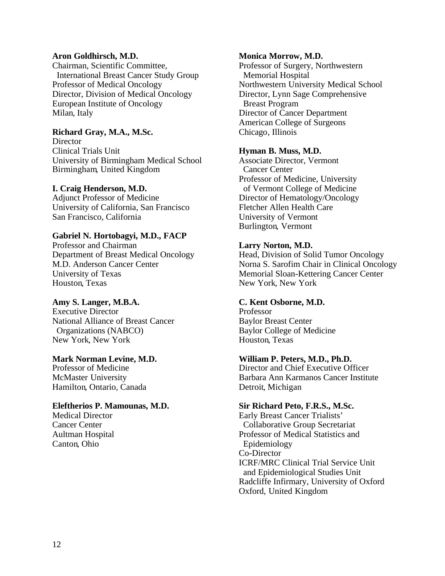#### **Aron Goldhirsch, M.D.**

Chairman, Scientific Committee, International Breast Cancer Study Group Professor of Medical Oncology Director, Division of Medical Oncology European Institute of Oncology Milan, Italy

### **Richard Gray, M.A., M.Sc.**

**Director** Clinical Trials Unit University of Birmingham Medical School Birmingham, United Kingdom

#### **I. Craig Henderson, M.D.**

Adjunct Professor of Medicine University of California, San Francisco San Francisco, California

### **Gabriel N. Hortobagyi, M.D., FACP**

Professor and Chairman Department of Breast Medical Oncology M.D. Anderson Cancer Center University of Texas Houston, Texas

#### **Amy S. Langer, M.B.A.**

Executive Director National Alliance of Breast Cancer Organizations (NABCO) New York, New York

#### **Mark Norman Levine, M.D.**

Professor of Medicine McMaster University Hamilton, Ontario, Canada

#### **Eleftherios P. Mamounas, M.D.**

Medical Director Cancer Center Aultman Hospital Canton, Ohio

#### **Monica Morrow, M.D.**

Professor of Surgery, Northwestern Memorial Hospital Northwestern University Medical School Director, Lynn Sage Comprehensive Breast Program Director of Cancer Department American College of Surgeons Chicago, Illinois

#### **Hyman B. Muss, M.D.**

Associate Director, Vermont Cancer Center Professor of Medicine, University of Vermont College of Medicine Director of Hematology/Oncology Fletcher Allen Health Care University of Vermont Burlington, Vermont

#### **Larry Norton, M.D.**

Head, Division of Solid Tumor Oncology Norna S. Sarofim Chair in Clinical Oncology Memorial Sloan-Kettering Cancer Center New York, New York

#### **C. Kent Osborne, M.D.**

Professor Baylor Breast Center Baylor College of Medicine Houston, Texas

#### **William P. Peters, M.D., Ph.D.**

Director and Chief Executive Officer Barbara Ann Karmanos Cancer Institute Detroit, Michigan

#### **Sir Richard Peto, F.R.S., M.Sc.**

Early Breast Cancer Trialists' Collaborative Group Secretariat Professor of Medical Statistics and Epidemiology Co-Director ICRF/MRC Clinical Trial Service Unit and Epidemiological Studies Unit Radcliffe Infirmary, University of Oxford Oxford, United Kingdom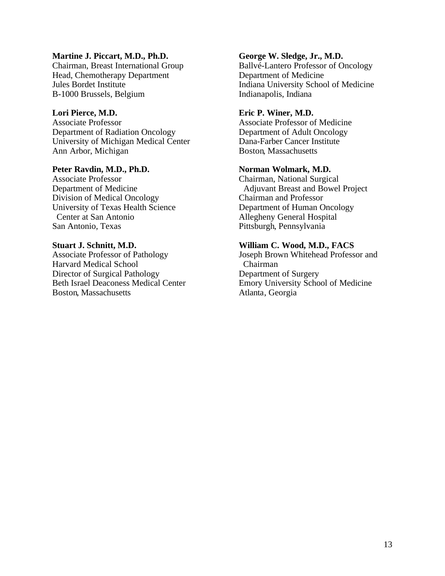#### **Martine J. Piccart, M.D., Ph.D.**

Chairman, Breast International Group Head, Chemotherapy Department Jules Bordet Institute B-1000 Brussels, Belgium

#### **Lori Pierce, M.D.**

Associate Professor Department of Radiation Oncology University of Michigan Medical Center Ann Arbor, Michigan

#### **Peter Ravdin, M.D., Ph.D.**

Associate Professor Department of Medicine Division of Medical Oncology University of Texas Health Science Center at San Antonio San Antonio, Texas

#### **Stuart J. Schnitt, M.D.**

Associate Professor of Pathology Harvard Medical School Director of Surgical Pathology Beth Israel Deaconess Medical Center Boston, Massachusetts

#### **George W. Sledge, Jr., M.D.**

Ballvé-Lantero Professor of Oncology Department of Medicine Indiana University School of Medicine Indianapolis, Indiana

#### **Eric P. Winer, M.D.**

Associate Professor of Medicine Department of Adult Oncology Dana-Farber Cancer Institute Boston, Massachusetts

#### **Norman Wolmark, M.D.**

Chairman, National Surgical Adjuvant Breast and Bowel Project Chairman and Professor Department of Human Oncology Allegheny General Hospital Pittsburgh, Pennsylvania

#### **William C. Wood, M.D., FACS**

Joseph Brown Whitehead Professor and Chairman Department of Surgery Emory University School of Medicine Atlanta, Georgia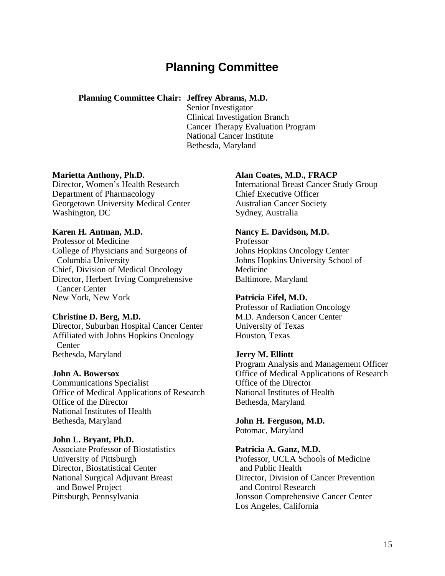# **Planning Committee**

### **Planning Committee Chair: Jeffrey Abrams, M.D.**

Senior Investigator Clinical Investigation Branch Cancer Therapy Evaluation Program National Cancer Institute Bethesda, Maryland

#### **Marietta Anthony, Ph.D.**

Director, Women's Health Research Department of Pharmacology Georgetown University Medical Center Washington, DC

#### **Karen H. Antman, M.D.**

Professor of Medicine College of Physicians and Surgeons of Columbia University Chief, Division of Medical Oncology Director, Herbert Irving Comprehensive Cancer Center New York, New York

#### **Christine D. Berg, M.D.**

Director, Suburban Hospital Cancer Center Affiliated with Johns Hopkins Oncology **Center** Bethesda, Maryland

#### **John A. Bowersox**

Communications Specialist Office of Medical Applications of Research Office of the Director National Institutes of Health Bethesda, Maryland

#### **John L. Bryant, Ph.D.**

Associate Professor of Biostatistics University of Pittsburgh Director, Biostatistical Center National Surgical Adjuvant Breast and Bowel Project Pittsburgh, Pennsylvania

#### **Alan Coates, M.D., FRACP**

International Breast Cancer Study Group Chief Executive Officer Australian Cancer Society Sydney, Australia

#### **Nancy E. Davidson, M.D.**

Professor Johns Hopkins Oncology Center Johns Hopkins University School of Medicine Baltimore, Maryland

#### **Patricia Eifel, M.D.**

Professor of Radiation Oncology M.D. Anderson Cancer Center University of Texas Houston, Texas

#### **Jerry M. Elliott**

Program Analysis and Management Officer Office of Medical Applications of Research Office of the Director National Institutes of Health Bethesda, Maryland

**John H. Ferguson, M.D.**  Potomac, Maryland

### **Patricia A. Ganz, M.D.**

Professor, UCLA Schools of Medicine and Public Health Director, Division of Cancer Prevention and Control Research Jonsson Comprehensive Cancer Center Los Angeles, California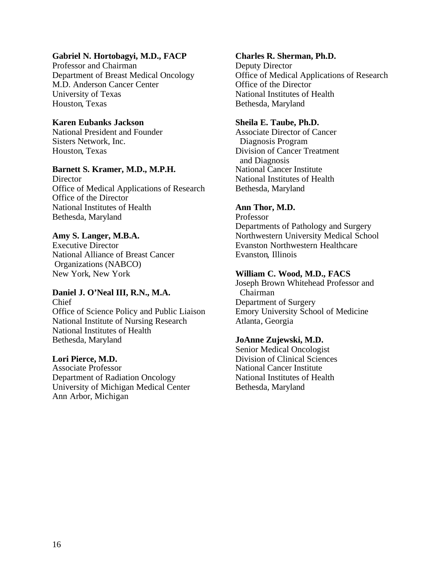### **Gabriel N. Hortobagyi, M.D., FACP**

Professor and Chairman Department of Breast Medical Oncology M.D. Anderson Cancer Center University of Texas Houston, Texas

### **Karen Eubanks Jackson**

National President and Founder Sisters Network, Inc. Houston, Texas

#### **Barnett S. Kramer, M.D., M.P.H.**

**Director** Office of Medical Applications of Research Office of the Director National Institutes of Health Bethesda, Maryland

#### **Amy S. Langer, M.B.A.**

Executive Director National Alliance of Breast Cancer Organizations (NABCO) New York, New York

# **Daniel J. O'Neal III, R.N., M.A.**

Chief Office of Science Policy and Public Liaison National Institute of Nursing Research National Institutes of Health Bethesda, Maryland

#### **Lori Pierce, M.D.**

Associate Professor Department of Radiation Oncology University of Michigan Medical Center Ann Arbor, Michigan

#### **Charles R. Sherman, Ph.D.**

Deputy Director Office of Medical Applications of Research Office of the Director National Institutes of Health Bethesda, Maryland

#### **Sheila E. Taube, Ph.D.**

Associate Director of Cancer Diagnosis Program Division of Cancer Treatment and Diagnosis National Cancer Institute National Institutes of Health Bethesda, Maryland

#### **Ann Thor, M.D.**

Professor Departments of Pathology and Surgery Northwestern University Medical School Evanston Northwestern Healthcare Evanston, Illinois

#### **William C. Wood, M.D., FACS**

Joseph Brown Whitehead Professor and Chairman Department of Surgery Emory University School of Medicine Atlanta, Georgia

#### **JoAnne Zujewski, M.D.**

Senior Medical Oncologist Division of Clinical Sciences National Cancer Institute National Institutes of Health Bethesda, Maryland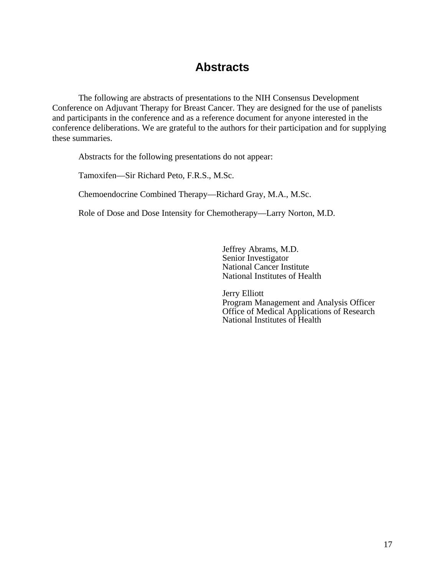# **Abstracts**

The following are abstracts of presentations to the NIH Consensus Development Conference on Adjuvant Therapy for Breast Cancer. They are designed for the use of panelists and participants in the conference and as a reference document for anyone interested in the conference deliberations. We are grateful to the authors for their participation and for supplying these summaries.

Abstracts for the following presentations do not appear:

Tamoxifen—Sir Richard Peto, F.R.S., M.Sc.

Chemoendocrine Combined Therapy—Richard Gray, M.A., M.Sc.

Role of Dose and Dose Intensity for Chemotherapy—Larry Norton, M.D.

Jeffrey Abrams, M.D. Senior Investigator National Cancer Institute National Institutes of Health

Jerry Elliott Program Management and Analysis Officer Office of Medical Applications of Research National Institutes of Health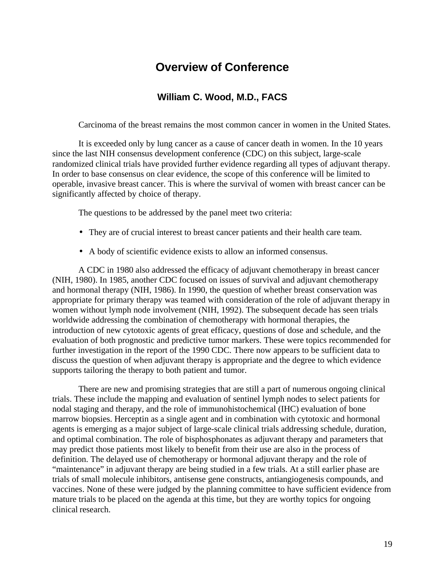# **Overview of Conference**

## **William C. Wood, M.D., FACS**

Carcinoma of the breast remains the most common cancer in women in the United States.

It is exceeded only by lung cancer as a cause of cancer death in women. In the 10 years since the last NIH consensus development conference (CDC) on this subject, large-scale randomized clinical trials have provided further evidence regarding all types of adjuvant therapy. In order to base consensus on clear evidence, the scope of this conference will be limited to operable, invasive breast cancer. This is where the survival of women with breast cancer can be significantly affected by choice of therapy.

The questions to be addressed by the panel meet two criteria:

- They are of crucial interest to breast cancer patients and their health care team.
- A body of scientific evidence exists to allow an informed consensus.

A CDC in 1980 also addressed the efficacy of adjuvant chemotherapy in breast cancer (NIH, 1980). In 1985, another CDC focused on issues of survival and adjuvant chemotherapy and hormonal therapy (NIH, 1986). In 1990, the question of whether breast conservation was appropriate for primary therapy was teamed with consideration of the role of adjuvant therapy in women without lymph node involvement (NIH, 1992). The subsequent decade has seen trials worldwide addressing the combination of chemotherapy with hormonal therapies, the introduction of new cytotoxic agents of great efficacy, questions of dose and schedule, and the evaluation of both prognostic and predictive tumor markers. These were topics recommended for further investigation in the report of the 1990 CDC. There now appears to be sufficient data to discuss the question of when adjuvant therapy is appropriate and the degree to which evidence supports tailoring the therapy to both patient and tumor.

There are new and promising strategies that are still a part of numerous ongoing clinical trials. These include the mapping and evaluation of sentinel lymph nodes to select patients for nodal staging and therapy, and the role of immunohistochemical (IHC) evaluation of bone marrow biopsies. Herceptin as a single agent and in combination with cytotoxic and hormonal agents is emerging as a major subject of large-scale clinical trials addressing schedule, duration, and optimal combination. The role of bisphosphonates as adjuvant therapy and parameters that may predict those patients most likely to benefit from their use are also in the process of definition. The delayed use of chemotherapy or hormonal adjuvant therapy and the role of "maintenance" in adjuvant therapy are being studied in a few trials. At a still earlier phase are trials of small molecule inhibitors, antisense gene constructs, antiangiogenesis compounds, and vaccines. None of these were judged by the planning committee to have sufficient evidence from mature trials to be placed on the agenda at this time, but they are worthy topics for ongoing clinical research.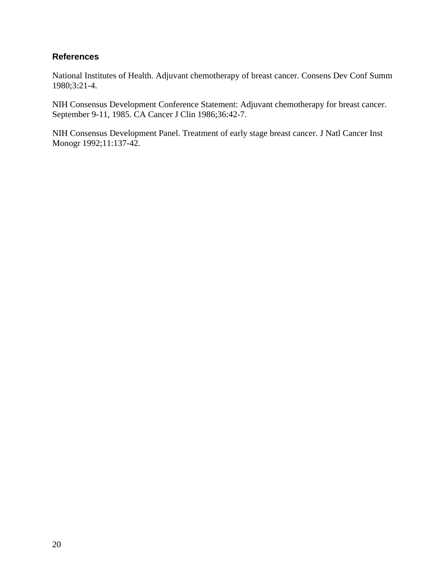### **References**

National Institutes of Health. Adjuvant chemotherapy of breast cancer. Consens Dev Conf Summ 1980;3:21-4.

NIH Consensus Development Conference Statement: Adjuvant chemotherapy for breast cancer. September 9-11, 1985. CA Cancer J Clin 1986;36:42-7.

NIH Consensus Development Panel. Treatment of early stage breast cancer. J Natl Cancer Inst Monogr 1992;11:137-42.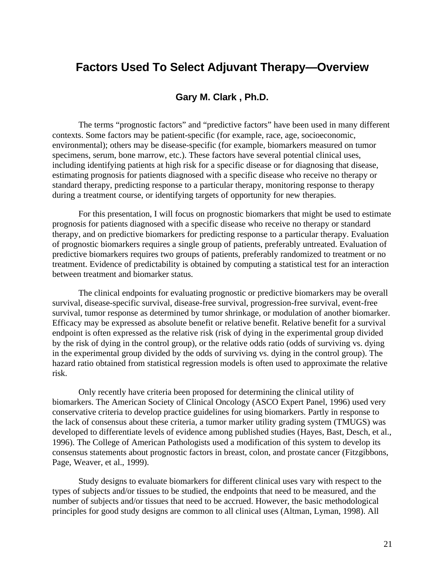# **Factors Used To Select Adjuvant Therapy—Overview**

### **Gary M. Clark , Ph.D.**

The terms "prognostic factors" and "predictive factors" have been used in many different contexts. Some factors may be patient-specific (for example, race, age, socioeconomic, environmental); others may be disease-specific (for example, biomarkers measured on tumor specimens, serum, bone marrow, etc.). These factors have several potential clinical uses, including identifying patients at high risk for a specific disease or for diagnosing that disease, estimating prognosis for patients diagnosed with a specific disease who receive no therapy or standard therapy, predicting response to a particular therapy, monitoring response to therapy during a treatment course, or identifying targets of opportunity for new therapies.

For this presentation, I will focus on prognostic biomarkers that might be used to estimate prognosis for patients diagnosed with a specific disease who receive no therapy or standard therapy, and on predictive biomarkers for predicting response to a particular therapy. Evaluation of prognostic biomarkers requires a single group of patients, preferably untreated. Evaluation of predictive biomarkers requires two groups of patients, preferably randomized to treatment or no treatment. Evidence of predictability is obtained by computing a statistical test for an interaction between treatment and biomarker status.

The clinical endpoints for evaluating prognostic or predictive biomarkers may be overall survival, disease-specific survival, disease-free survival, progression-free survival, event-free survival, tumor response as determined by tumor shrinkage, or modulation of another biomarker. Efficacy may be expressed as absolute benefit or relative benefit. Relative benefit for a survival endpoint is often expressed as the relative risk (risk of dying in the experimental group divided by the risk of dying in the control group), or the relative odds ratio (odds of surviving vs. dying in the experimental group divided by the odds of surviving vs. dying in the control group). The hazard ratio obtained from statistical regression models is often used to approximate the relative risk.

Only recently have criteria been proposed for determining the clinical utility of biomarkers. The American Society of Clinical Oncology (ASCO Expert Panel, 1996) used very conservative criteria to develop practice guidelines for using biomarkers. Partly in response to the lack of consensus about these criteria, a tumor marker utility grading system (TMUGS) was developed to differentiate levels of evidence among published studies (Hayes, Bast, Desch, et al., 1996). The College of American Pathologists used a modification of this system to develop its consensus statements about prognostic factors in breast, colon, and prostate cancer (Fitzgibbons, Page, Weaver, et al., 1999).

Study designs to evaluate biomarkers for different clinical uses vary with respect to the types of subjects and/or tissues to be studied, the endpoints that need to be measured, and the number of subjects and/or tissues that need to be accrued. However, the basic methodological principles for good study designs are common to all clinical uses (Altman, Lyman, 1998). All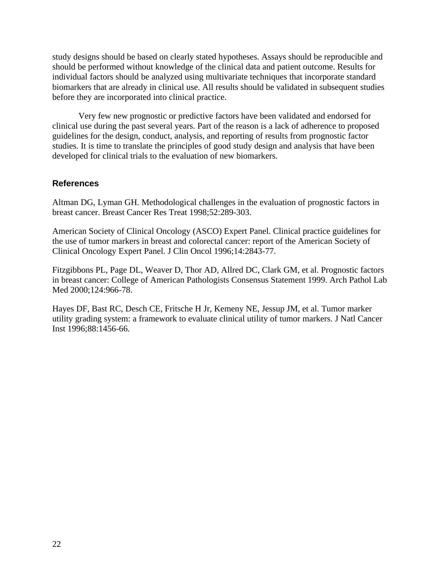study designs should be based on clearly stated hypotheses. Assays should be reproducible and should be performed without knowledge of the clinical data and patient outcome. Results for individual factors should be analyzed using multivariate techniques that incorporate standard biomarkers that are already in clinical use. All results should be validated in subsequent studies before they are incorporated into clinical practice.

Very few new prognostic or predictive factors have been validated and endorsed for clinical use during the past several years. Part of the reason is a lack of adherence to proposed guidelines for the design, conduct, analysis, and reporting of results from prognostic factor studies. It is time to translate the principles of good study design and analysis that have been developed for clinical trials to the evaluation of new biomarkers.

### **References**

Altman DG, Lyman GH. Methodological challenges in the evaluation of prognostic factors in breast cancer. Breast Cancer Res Treat 1998;52:289-303.

American Society of Clinical Oncology (ASCO) Expert Panel. Clinical practice guidelines for the use of tumor markers in breast and colorectal cancer: report of the American Society of Clinical Oncology Expert Panel. J Clin Oncol 1996;14:2843-77.

Fitzgibbons PL, Page DL, Weaver D, Thor AD, Allred DC, Clark GM, et al. Prognostic factors in breast cancer: College of American Pathologists Consensus Statement 1999. Arch Pathol Lab Med 2000;124:966-78.

Hayes DF, Bast RC, Desch CE, Fritsche H Jr, Kemeny NE, Jessup JM, et al. Tumor marker utility grading system: a framework to evaluate clinical utility of tumor markers. J Natl Cancer Inst 1996;88:1456-66.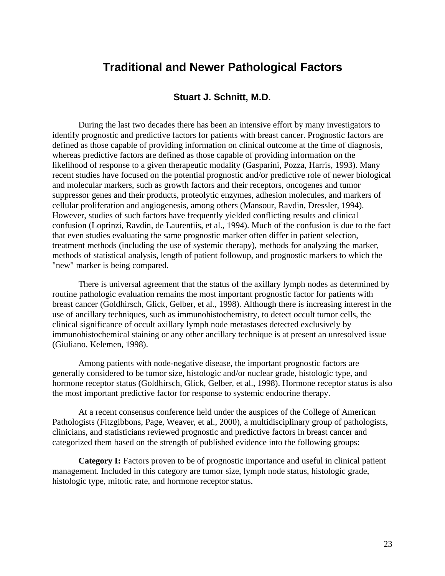# **Traditional and Newer Pathological Factors**

### **Stuart J. Schnitt, M.D.**

During the last two decades there has been an intensive effort by many investigators to identify prognostic and predictive factors for patients with breast cancer. Prognostic factors are defined as those capable of providing information on clinical outcome at the time of diagnosis, whereas predictive factors are defined as those capable of providing information on the likelihood of response to a given therapeutic modality (Gasparini, Pozza, Harris, 1993). Many recent studies have focused on the potential prognostic and/or predictive role of newer biological and molecular markers, such as growth factors and their receptors, oncogenes and tumor suppressor genes and their products, proteolytic enzymes, adhesion molecules, and markers of cellular proliferation and angiogenesis, among others (Mansour, Ravdin, Dressler, 1994). However, studies of such factors have frequently yielded conflicting results and clinical confusion (Loprinzi, Ravdin, de Laurentiis, et al., 1994). Much of the confusion is due to the fact that even studies evaluating the same prognostic marker often differ in patient selection, treatment methods (including the use of systemic therapy), methods for analyzing the marker, methods of statistical analysis, length of patient followup, and prognostic markers to which the "new" marker is being compared.

There is universal agreement that the status of the axillary lymph nodes as determined by routine pathologic evaluation remains the most important prognostic factor for patients with breast cancer (Goldhirsch, Glick, Gelber, et al., 1998). Although there is increasing interest in the use of ancillary techniques, such as immunohistochemistry, to detect occult tumor cells, the clinical significance of occult axillary lymph node metastases detected exclusively by immunohistochemical staining or any other ancillary technique is at present an unresolved issue (Giuliano, Kelemen, 1998).

Among patients with node-negative disease, the important prognostic factors are generally considered to be tumor size, histologic and/or nuclear grade, histologic type, and hormone receptor status (Goldhirsch, Glick, Gelber, et al., 1998). Hormone receptor status is also the most important predictive factor for response to systemic endocrine therapy.

At a recent consensus conference held under the auspices of the College of American Pathologists (Fitzgibbons, Page, Weaver, et al., 2000), a multidisciplinary group of pathologists, clinicians, and statisticians reviewed prognostic and predictive factors in breast cancer and categorized them based on the strength of published evidence into the following groups:

**Category I:** Factors proven to be of prognostic importance and useful in clinical patient management. Included in this category are tumor size, lymph node status, histologic grade, histologic type, mitotic rate, and hormone receptor status.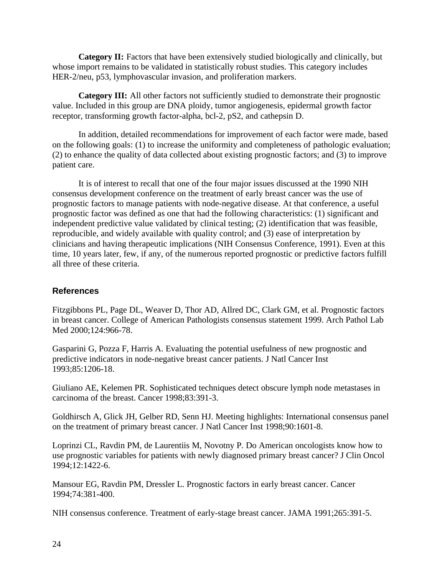**Category II:** Factors that have been extensively studied biologically and clinically, but whose import remains to be validated in statistically robust studies. This category includes HER-2/neu, p53, lymphovascular invasion, and proliferation markers.

**Category III:** All other factors not sufficiently studied to demonstrate their prognostic value. Included in this group are DNA ploidy, tumor angiogenesis, epidermal growth factor receptor, transforming growth factor-alpha, bcl-2, pS2, and cathepsin D.

In addition, detailed recommendations for improvement of each factor were made, based on the following goals: (1) to increase the uniformity and completeness of pathologic evaluation; (2) to enhance the quality of data collected about existing prognostic factors; and (3) to improve patient care.

It is of interest to recall that one of the four major issues discussed at the 1990 NIH consensus development conference on the treatment of early breast cancer was the use of prognostic factors to manage patients with node-negative disease. At that conference, a useful prognostic factor was defined as one that had the following characteristics: (1) significant and independent predictive value validated by clinical testing; (2) identification that was feasible, reproducible, and widely available with quality control; and (3) ease of interpretation by clinicians and having therapeutic implications (NIH Consensus Conference, 1991). Even at this time, 10 years later, few, if any, of the numerous reported prognostic or predictive factors fulfill all three of these criteria.

### **References**

Fitzgibbons PL, Page DL, Weaver D, Thor AD, Allred DC, Clark GM, et al. Prognostic factors in breast cancer. College of American Pathologists consensus statement 1999. Arch Pathol Lab Med 2000:124:966-78.

Gasparini G, Pozza F, Harris A. Evaluating the potential usefulness of new prognostic and predictive indicators in node-negative breast cancer patients. J Natl Cancer Inst 1993;85:1206-18.

Giuliano AE, Kelemen PR. Sophisticated techniques detect obscure lymph node metastases in carcinoma of the breast. Cancer 1998;83:391-3.

Goldhirsch A, Glick JH, Gelber RD, Senn HJ. Meeting highlights: International consensus panel on the treatment of primary breast cancer. J Natl Cancer Inst 1998;90:1601-8.

Loprinzi CL, Ravdin PM, de Laurentiis M, Novotny P. Do American oncologists know how to use prognostic variables for patients with newly diagnosed primary breast cancer? J Clin Oncol 1994;12:1422-6.

Mansour EG, Ravdin PM, Dressler L. Prognostic factors in early breast cancer. Cancer 1994;74:381-400.

NIH consensus conference. Treatment of early-stage breast cancer. JAMA 1991;265:391-5.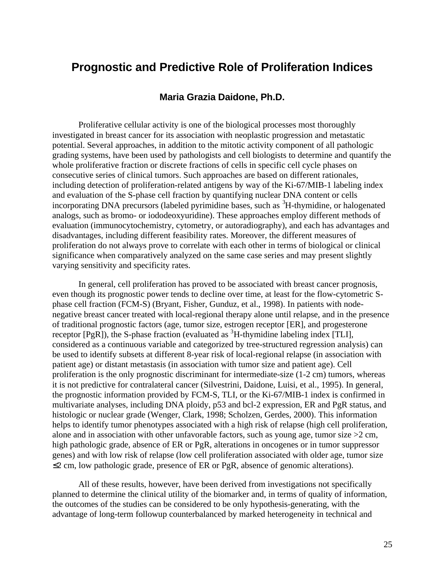# **Prognostic and Predictive Role of Proliferation Indices**

### **Maria Grazia Daidone, Ph.D.**

Proliferative cellular activity is one of the biological processes most thoroughly investigated in breast cancer for its association with neoplastic progression and metastatic potential. Several approaches, in addition to the mitotic activity component of all pathologic grading systems, have been used by pathologists and cell biologists to determine and quantify the whole proliferative fraction or discrete fractions of cells in specific cell cycle phases on consecutive series of clinical tumors. Such approaches are based on different rationales, including detection of proliferation-related antigens by way of the Ki-67/MIB-1 labeling index and evaluation of the S-phase cell fraction by quantifying nuclear DNA content or cells incorporating DNA precursors (labeled pyrimidine bases, such as <sup>3</sup>H-thymidine, or halogenated analogs, such as bromo- or iododeoxyuridine). These approaches employ different methods of evaluation (immunocytochemistry, cytometry, or autoradiography), and each has advantages and disadvantages, including different feasibility rates. Moreover, the different measures of proliferation do not always prove to correlate with each other in terms of biological or clinical significance when comparatively analyzed on the same case series and may present slightly varying sensitivity and specificity rates.

In general, cell proliferation has proved to be associated with breast cancer prognosis, even though its prognostic power tends to decline over time, at least for the flow-cytometric Sphase cell fraction (FCM-S) (Bryant, Fisher, Gunduz, et al., 1998). In patients with nodenegative breast cancer treated with local-regional therapy alone until relapse, and in the presence of traditional prognostic factors (age, tumor size, estrogen receptor [ER], and progesterone receptor  $[PgR]$ ), the S-phase fraction (evaluated as  ${}^{3}H$ -thymidine labeling index [TLI], considered as a continuous variable and categorized by tree-structured regression analysis) can be used to identify subsets at different 8-year risk of local-regional relapse (in association with patient age) or distant metastasis (in association with tumor size and patient age). Cell proliferation is the only prognostic discriminant for intermediate-size (1-2 cm) tumors, whereas it is not predictive for contralateral cancer (Silvestrini, Daidone, Luisi, et al., 1995). In general, the prognostic information provided by FCM-S, TLI, or the Ki-67/MIB-1 index is confirmed in multivariate analyses, including DNA ploidy, p53 and bcl-2 expression, ER and PgR status, and histologic or nuclear grade (Wenger, Clark, 1998; Scholzen, Gerdes, 2000). This information helps to identify tumor phenotypes associated with a high risk of relapse (high cell proliferation, alone and in association with other unfavorable factors, such as young age, tumor size  $>2$  cm, high pathologic grade, absence of ER or PgR, alterations in oncogenes or in tumor suppressor genes) and with low risk of relapse (low cell proliferation associated with older age, tumor size  $\leq$  2 cm, low pathologic grade, presence of ER or PgR, absence of genomic alterations).

All of these results, however, have been derived from investigations not specifically planned to determine the clinical utility of the biomarker and, in terms of quality of information, the outcomes of the studies can be considered to be only hypothesis-generating, with the advantage of long-term followup counterbalanced by marked heterogeneity in technical and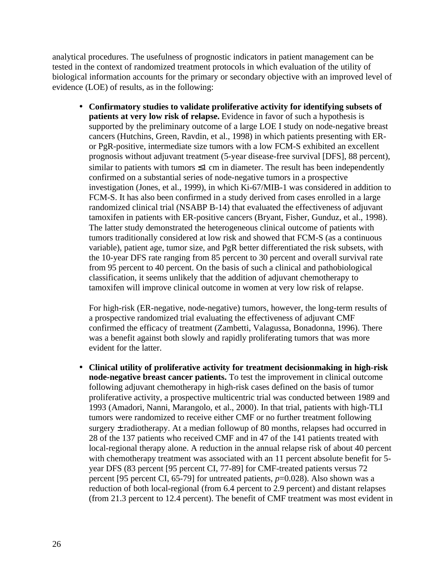analytical procedures. The usefulness of prognostic indicators in patient management can be tested in the context of randomized treatment protocols in which evaluation of the utility of biological information accounts for the primary or secondary objective with an improved level of evidence (LOE) of results, as in the following:

• **Confirmatory studies to validate proliferative activity for identifying subsets of patients at very low risk of relapse.** Evidence in favor of such a hypothesis is supported by the preliminary outcome of a large LOE I study on node-negative breast cancers (Hutchins, Green, Ravdin, et al., 1998) in which patients presenting with ERor PgR-positive, intermediate size tumors with a low FCM-S exhibited an excellent prognosis without adjuvant treatment (5-year disease-free survival [DFS], 88 percent), similar to patients with tumors  $\leq 1$  cm in diameter. The result has been independently confirmed on a substantial series of node-negative tumors in a prospective investigation (Jones, et al., 1999), in which Ki-67/MIB-1 was considered in addition to FCM-S. It has also been confirmed in a study derived from cases enrolled in a large randomized clinical trial (NSABP B-14) that evaluated the effectiveness of adjuvant tamoxifen in patients with ER-positive cancers (Bryant, Fisher, Gunduz, et al., 1998). The latter study demonstrated the heterogeneous clinical outcome of patients with tumors traditionally considered at low risk and showed that FCM-S (as a continuous variable), patient age, tumor size, and PgR better differentiated the risk subsets, with the 10-year DFS rate ranging from 85 percent to 30 percent and overall survival rate from 95 percent to 40 percent. On the basis of such a clinical and pathobiological classification, it seems unlikely that the addition of adjuvant chemotherapy to tamoxifen will improve clinical outcome in women at very low risk of relapse.

For high-risk (ER-negative, node-negative) tumors, however, the long-term results of a prospective randomized trial evaluating the effectiveness of adjuvant CMF confirmed the efficacy of treatment (Zambetti, Valagussa, Bonadonna, 1996). There was a benefit against both slowly and rapidly proliferating tumors that was more evident for the latter.

• **Clinical utility of proliferative activity for treatment decisionmaking in high-risk node-negative breast cancer patients.** To test the improvement in clinical outcome following adjuvant chemotherapy in high-risk cases defined on the basis of tumor proliferative activity, a prospective multicentric trial was conducted between 1989 and 1993 (Amadori, Nanni, Marangolo, et al., 2000). In that trial, patients with high-TLI tumors were randomized to receive either CMF or no further treatment following surgery  $\pm$  radiotherapy. At a median followup of 80 months, relapses had occurred in 28 of the 137 patients who received CMF and in 47 of the 141 patients treated with local-regional therapy alone. A reduction in the annual relapse risk of about 40 percent with chemotherapy treatment was associated with an 11 percent absolute benefit for 5year DFS (83 percent [95 percent CI, 77-89] for CMF-treated patients versus 72 percent [95 percent CI, 65-79] for untreated patients, *p*=0.028). Also shown was a reduction of both local-regional (from 6.4 percent to 2.9 percent) and distant relapses (from 21.3 percent to 12.4 percent). The benefit of CMF treatment was most evident in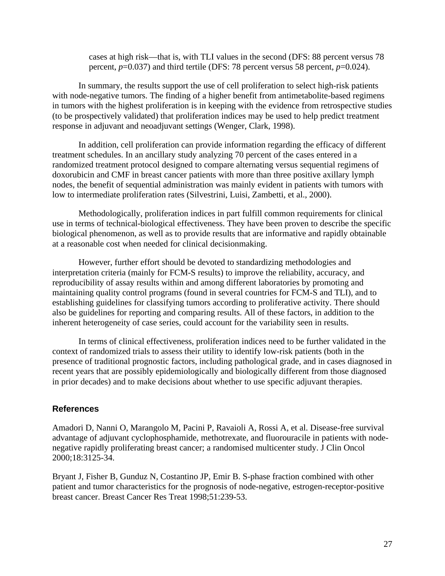cases at high risk—that is, with TLI values in the second (DFS: 88 percent versus 78 percent, *p*=0.037) and third tertile (DFS: 78 percent versus 58 percent, *p*=0.024).

In summary, the results support the use of cell proliferation to select high-risk patients with node-negative tumors. The finding of a higher benefit from antimetabolite-based regimens in tumors with the highest proliferation is in keeping with the evidence from retrospective studies (to be prospectively validated) that proliferation indices may be used to help predict treatment response in adjuvant and neoadjuvant settings (Wenger, Clark, 1998).

In addition, cell proliferation can provide information regarding the efficacy of different treatment schedules. In an ancillary study analyzing 70 percent of the cases entered in a randomized treatment protocol designed to compare alternating versus sequential regimens of doxorubicin and CMF in breast cancer patients with more than three positive axillary lymph nodes, the benefit of sequential administration was mainly evident in patients with tumors with low to intermediate proliferation rates (Silvestrini, Luisi, Zambetti, et al., 2000).

Methodologically, proliferation indices in part fulfill common requirements for clinical use in terms of technical-biological effectiveness. They have been proven to describe the specific biological phenomenon, as well as to provide results that are informative and rapidly obtainable at a reasonable cost when needed for clinical decisionmaking.

However, further effort should be devoted to standardizing methodologies and interpretation criteria (mainly for FCM-S results) to improve the reliability, accuracy, and reproducibility of assay results within and among different laboratories by promoting and maintaining quality control programs (found in several countries for FCM-S and TLI), and to establishing guidelines for classifying tumors according to proliferative activity. There should also be guidelines for reporting and comparing results. All of these factors, in addition to the inherent heterogeneity of case series, could account for the variability seen in results.

In terms of clinical effectiveness, proliferation indices need to be further validated in the context of randomized trials to assess their utility to identify low-risk patients (both in the presence of traditional prognostic factors, including pathological grade, and in cases diagnosed in recent years that are possibly epidemiologically and biologically different from those diagnosed in prior decades) and to make decisions about whether to use specific adjuvant therapies.

### **References**

Amadori D, Nanni O, Marangolo M, Pacini P, Ravaioli A, Rossi A, et al. Disease-free survival advantage of adjuvant cyclophosphamide, methotrexate, and fluorouracile in patients with nodenegative rapidly proliferating breast cancer; a randomised multicenter study. J Clin Oncol 2000;18:3125-34.

Bryant J, Fisher B, Gunduz N, Costantino JP, Emir B. S-phase fraction combined with other patient and tumor characteristics for the prognosis of node-negative, estrogen-receptor-positive breast cancer. Breast Cancer Res Treat 1998;51:239-53.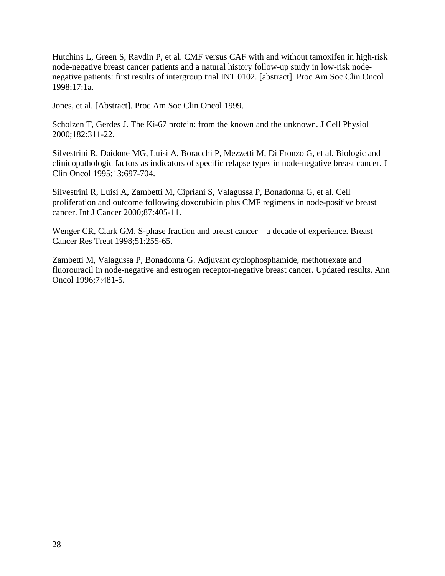Hutchins L, Green S, Ravdin P, et al. CMF versus CAF with and without tamoxifen in high-risk node-negative breast cancer patients and a natural history follow-up study in low-risk nodenegative patients: first results of intergroup trial INT 0102. [abstract]. Proc Am Soc Clin Oncol 1998;17:1a.

Jones, et al. [Abstract]. Proc Am Soc Clin Oncol 1999.

Scholzen T, Gerdes J. The Ki-67 protein: from the known and the unknown. J Cell Physiol 2000;182:311-22.

Silvestrini R, Daidone MG, Luisi A, Boracchi P, Mezzetti M, Di Fronzo G, et al. Biologic and clinicopathologic factors as indicators of specific relapse types in node-negative breast cancer. J Clin Oncol 1995;13:697-704.

Silvestrini R, Luisi A, Zambetti M, Cipriani S, Valagussa P, Bonadonna G, et al. Cell proliferation and outcome following doxorubicin plus CMF regimens in node-positive breast cancer. Int J Cancer 2000;87:405-11.

Wenger CR, Clark GM. S-phase fraction and breast cancer—a decade of experience. Breast Cancer Res Treat 1998;51:255-65.

Zambetti M, Valagussa P, Bonadonna G. Adjuvant cyclophosphamide, methotrexate and fluorouracil in node-negative and estrogen receptor-negative breast cancer. Updated results. Ann Oncol 1996;7:481-5.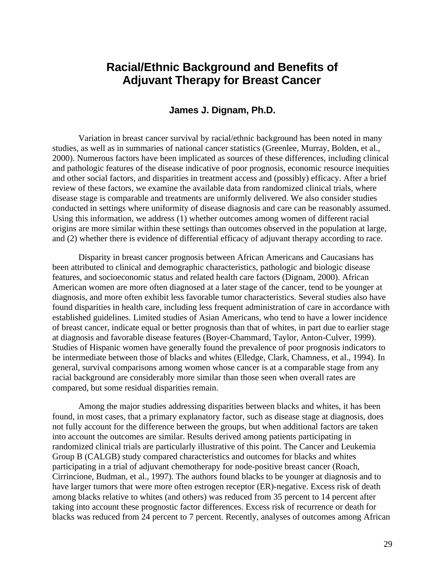# **Racial/Ethnic Background and Benefits of Adjuvant Therapy for Breast Cancer**

#### **James J. Dignam, Ph.D.**

Variation in breast cancer survival by racial/ethnic background has been noted in many studies, as well as in summaries of national cancer statistics (Greenlee, Murray, Bolden, et al., 2000). Numerous factors have been implicated as sources of these differences, including clinical and pathologic features of the disease indicative of poor prognosis, economic resource inequities and other social factors, and disparities in treatment access and (possibly) efficacy. After a brief review of these factors, we examine the available data from randomized clinical trials, where disease stage is comparable and treatments are uniformly delivered. We also consider studies conducted in settings where uniformity of disease diagnosis and care can be reasonably assumed. Using this information, we address (1) whether outcomes among women of different racial origins are more similar within these settings than outcomes observed in the population at large, and (2) whether there is evidence of differential efficacy of adjuvant therapy according to race.

Disparity in breast cancer prognosis between African Americans and Caucasians has been attributed to clinical and demographic characteristics, pathologic and biologic disease features, and socioeconomic status and related health care factors (Dignam, 2000). African American women are more often diagnosed at a later stage of the cancer, tend to be younger at diagnosis, and more often exhibit less favorable tumor characteristics. Several studies also have found disparities in health care, including less frequent administration of care in accordance with established guidelines. Limited studies of Asian Americans, who tend to have a lower incidence of breast cancer, indicate equal or better prognosis than that of whites, in part due to earlier stage at diagnosis and favorable disease features (Boyer-Chammard, Taylor, Anton-Culver, 1999). Studies of Hispanic women have generally found the prevalence of poor prognosis indicators to be intermediate between those of blacks and whites (Elledge, Clark, Chamness, et al., 1994). In general, survival comparisons among women whose cancer is at a comparable stage from any racial background are considerably more similar than those seen when overall rates are compared, but some residual disparities remain.

Among the major studies addressing disparities between blacks and whites, it has been found, in most cases, that a primary explanatory factor, such as disease stage at diagnosis, does not fully account for the difference between the groups, but when additional factors are taken into account the outcomes are similar. Results derived among patients participating in randomized clinical trials are particularly illustrative of this point. The Cancer and Leukemia Group B (CALGB) study compared characteristics and outcomes for blacks and whites participating in a trial of adjuvant chemotherapy for node-positive breast cancer (Roach, Cirrincione, Budman, et al., 1997). The authors found blacks to be younger at diagnosis and to have larger tumors that were more often estrogen receptor (ER)-negative. Excess risk of death among blacks relative to whites (and others) was reduced from 35 percent to 14 percent after taking into account these prognostic factor differences. Excess risk of recurrence or death for blacks was reduced from 24 percent to 7 percent. Recently, analyses of outcomes among African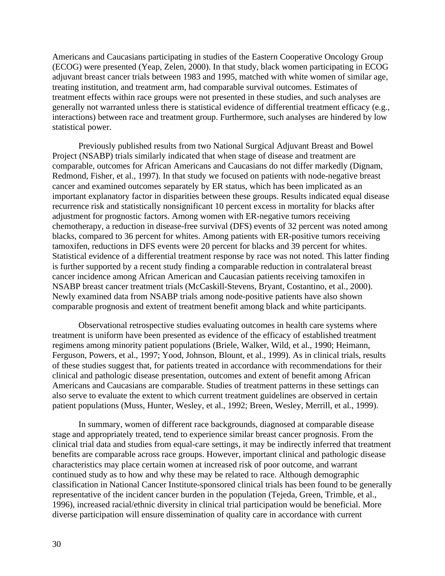Americans and Caucasians participating in studies of the Eastern Cooperative Oncology Group (ECOG) were presented (Yeap, Zelen, 2000). In that study, black women participating in ECOG adjuvant breast cancer trials between 1983 and 1995, matched with white women of similar age, treating institution, and treatment arm, had comparable survival outcomes. Estimates of treatment effects within race groups were not presented in these studies, and such analyses are generally not warranted unless there is statistical evidence of differential treatment efficacy (e.g., interactions) between race and treatment group. Furthermore, such analyses are hindered by low statistical power.

Previously published results from two National Surgical Adjuvant Breast and Bowel Project (NSABP) trials similarly indicated that when stage of disease and treatment are comparable, outcomes for African Americans and Caucasians do not differ markedly (Dignam, Redmond, Fisher, et al., 1997). In that study we focused on patients with node-negative breast cancer and examined outcomes separately by ER status, which has been implicated as an important explanatory factor in disparities between these groups. Results indicated equal disease recurrence risk and statistically nonsignificant 10 percent excess in mortality for blacks after adjustment for prognostic factors. Among women with ER-negative tumors receiving chemotherapy, a reduction in disease-free survival (DFS) events of 32 percent was noted among blacks, compared to 36 percent for whites. Among patients with ER-positive tumors receiving tamoxifen, reductions in DFS events were 20 percent for blacks and 39 percent for whites. Statistical evidence of a differential treatment response by race was not noted. This latter finding is further supported by a recent study finding a comparable reduction in contralateral breast cancer incidence among African American and Caucasian patients receiving tamoxifen in NSABP breast cancer treatment trials (McCaskill-Stevens, Bryant, Costantino, et al., 2000). Newly examined data from NSABP trials among node-positive patients have also shown comparable prognosis and extent of treatment benefit among black and white participants.

Observational retrospective studies evaluating outcomes in health care systems where treatment is uniform have been presented as evidence of the efficacy of established treatment regimens among minority patient populations (Briele, Walker, Wild, et al., 1990; Heimann, Ferguson, Powers, et al., 1997; Yood, Johnson, Blount, et al., 1999). As in clinical trials, results of these studies suggest that, for patients treated in accordance with recommendations for their clinical and pathologic disease presentation, outcomes and extent of benefit among African Americans and Caucasians are comparable. Studies of treatment patterns in these settings can also serve to evaluate the extent to which current treatment guidelines are observed in certain patient populations (Muss, Hunter, Wesley, et al., 1992; Breen, Wesley, Merrill, et al., 1999).

In summary, women of different race backgrounds, diagnosed at comparable disease stage and appropriately treated, tend to experience similar breast cancer prognosis. From the clinical trial data and studies from equal-care settings, it may be indirectly inferred that treatment benefits are comparable across race groups. However, important clinical and pathologic disease characteristics may place certain women at increased risk of poor outcome, and warrant continued study as to how and why these may be related to race. Although demographic classification in National Cancer Institute-sponsored clinical trials has been found to be generally representative of the incident cancer burden in the population (Tejeda, Green, Trimble, et al., 1996), increased racial/ethnic diversity in clinical trial participation would be beneficial. More diverse participation will ensure dissemination of quality care in accordance with current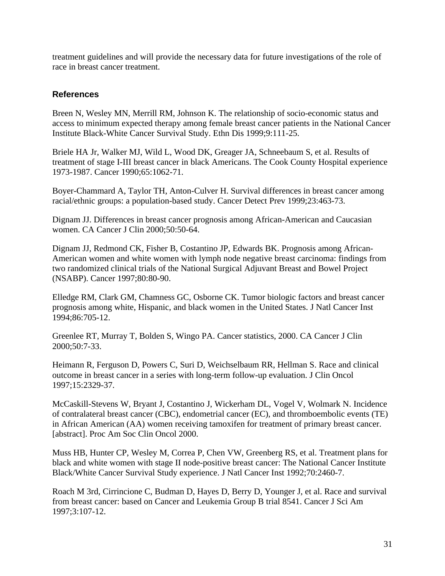treatment guidelines and will provide the necessary data for future investigations of the role of race in breast cancer treatment.

### **References**

Breen N, Wesley MN, Merrill RM, Johnson K. The relationship of socio-economic status and access to minimum expected therapy among female breast cancer patients in the National Cancer Institute Black-White Cancer Survival Study. Ethn Dis 1999;9:111-25.

Briele HA Jr, Walker MJ, Wild L, Wood DK, Greager JA, Schneebaum S, et al. Results of treatment of stage I-III breast cancer in black Americans. The Cook County Hospital experience 1973-1987. Cancer 1990;65:1062-71.

Boyer-Chammard A, Taylor TH, Anton-Culver H. Survival differences in breast cancer among racial/ethnic groups: a population-based study. Cancer Detect Prev 1999;23:463-73.

Dignam JJ. Differences in breast cancer prognosis among African-American and Caucasian women. CA Cancer J Clin 2000;50:50-64.

Dignam JJ, Redmond CK, Fisher B, Costantino JP, Edwards BK. Prognosis among African-American women and white women with lymph node negative breast carcinoma: findings from two randomized clinical trials of the National Surgical Adjuvant Breast and Bowel Project (NSABP). Cancer 1997;80:80-90.

Elledge RM, Clark GM, Chamness GC, Osborne CK. Tumor biologic factors and breast cancer prognosis among white, Hispanic, and black women in the United States. J Natl Cancer Inst 1994;86:705-12.

Greenlee RT, Murray T, Bolden S, Wingo PA. Cancer statistics, 2000. CA Cancer J Clin 2000;50:7-33.

Heimann R, Ferguson D, Powers C, Suri D, Weichselbaum RR, Hellman S. Race and clinical outcome in breast cancer in a series with long-term follow-up evaluation. J Clin Oncol 1997;15:2329-37.

McCaskill-Stevens W, Bryant J, Costantino J, Wickerham DL, Vogel V, Wolmark N. Incidence of contralateral breast cancer (CBC), endometrial cancer (EC), and thromboembolic events (TE) in African American (AA) women receiving tamoxifen for treatment of primary breast cancer. [abstract]. Proc Am Soc Clin Oncol 2000.

Muss HB, Hunter CP, Wesley M, Correa P, Chen VW, Greenberg RS, et al. Treatment plans for black and white women with stage II node-positive breast cancer: The National Cancer Institute Black/White Cancer Survival Study experience. J Natl Cancer Inst 1992;70:2460-7.

Roach M 3rd, Cirrincione C, Budman D, Hayes D, Berry D, Younger J, et al. Race and survival from breast cancer: based on Cancer and Leukemia Group B trial 8541. Cancer J Sci Am 1997;3:107-12.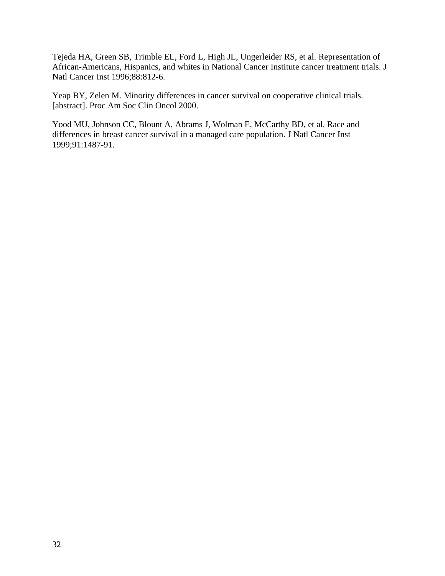Tejeda HA, Green SB, Trimble EL, Ford L, High JL, Ungerleider RS, et al. Representation of African-Americans, Hispanics, and whites in National Cancer Institute cancer treatment trials. J Natl Cancer Inst 1996;88:812-6.

Yeap BY, Zelen M. Minority differences in cancer survival on cooperative clinical trials. [abstract]. Proc Am Soc Clin Oncol 2000.

Yood MU, Johnson CC, Blount A, Abrams J, Wolman E, McCarthy BD, et al. Race and differences in breast cancer survival in a managed care population. J Natl Cancer Inst 1999;91:1487-91.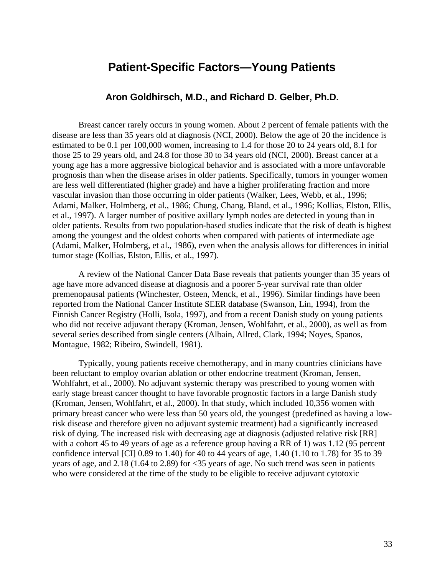# **Patient-Specific Factors—Young Patients**

### **Aron Goldhirsch, M.D., and Richard D. Gelber, Ph.D.**

Breast cancer rarely occurs in young women. About 2 percent of female patients with the disease are less than 35 years old at diagnosis (NCI, 2000). Below the age of 20 the incidence is estimated to be 0.1 per 100,000 women, increasing to 1.4 for those 20 to 24 years old, 8.1 for those 25 to 29 years old, and 24.8 for those 30 to 34 years old (NCI, 2000). Breast cancer at a young age has a more aggressive biological behavior and is associated with a more unfavorable prognosis than when the disease arises in older patients. Specifically, tumors in younger women are less well differentiated (higher grade) and have a higher proliferating fraction and more vascular invasion than those occurring in older patients (Walker, Lees, Webb, et al., 1996; Adami, Malker, Holmberg, et al., 1986; Chung, Chang, Bland, et al., 1996; Kollias, Elston, Ellis, et al., 1997). A larger number of positive axillary lymph nodes are detected in young than in older patients. Results from two population-based studies indicate that the risk of death is highest among the youngest and the oldest cohorts when compared with patients of intermediate age (Adami, Malker, Holmberg, et al., 1986), even when the analysis allows for differences in initial tumor stage (Kollias, Elston, Ellis, et al., 1997).

A review of the National Cancer Data Base reveals that patients younger than 35 years of age have more advanced disease at diagnosis and a poorer 5-year survival rate than older premenopausal patients (Winchester, Osteen, Menck, et al., 1996). Similar findings have been reported from the National Cancer Institute SEER database (Swanson, Lin, 1994), from the Finnish Cancer Registry (Holli, Isola, 1997), and from a recent Danish study on young patients who did not receive adjuvant therapy (Kroman, Jensen, Wohlfahrt, et al., 2000), as well as from several series described from single centers (Albain, Allred, Clark, 1994; Noyes, Spanos, Montague, 1982; Ribeiro, Swindell, 1981).

Typically, young patients receive chemotherapy, and in many countries clinicians have been reluctant to employ ovarian ablation or other endocrine treatment (Kroman, Jensen, Wohlfahrt, et al., 2000). No adjuvant systemic therapy was prescribed to young women with early stage breast cancer thought to have favorable prognostic factors in a large Danish study (Kroman, Jensen, Wohlfahrt, et al., 2000). In that study, which included 10,356 women with primary breast cancer who were less than 50 years old, the youngest (predefined as having a lowrisk disease and therefore given no adjuvant systemic treatment) had a significantly increased risk of dying. The increased risk with decreasing age at diagnosis (adjusted relative risk [RR] with a cohort 45 to 49 years of age as a reference group having a RR of 1) was 1.12 (95 percent confidence interval [CI] 0.89 to 1.40) for 40 to 44 years of age, 1.40 (1.10 to 1.78) for 35 to 39 years of age, and 2.18 (1.64 to 2.89) for <35 years of age. No such trend was seen in patients who were considered at the time of the study to be eligible to receive adjuvant cytotoxic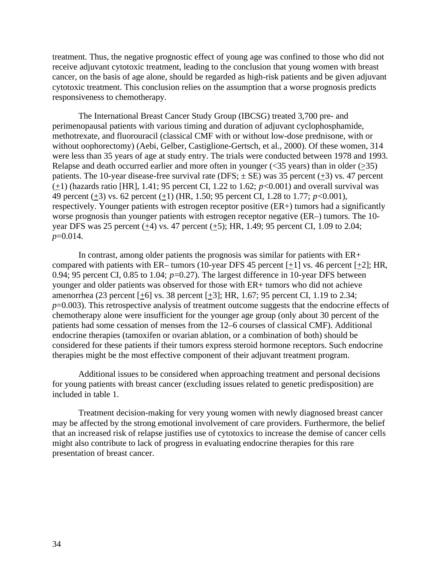treatment. Thus, the negative prognostic effect of young age was confined to those who did not receive adjuvant cytotoxic treatment, leading to the conclusion that young women with breast cancer, on the basis of age alone, should be regarded as high-risk patients and be given adjuvant cytotoxic treatment. This conclusion relies on the assumption that a worse prognosis predicts responsiveness to chemotherapy.

The International Breast Cancer Study Group (IBCSG) treated 3,700 pre- and perimenopausal patients with various timing and duration of adjuvant cyclophosphamide, methotrexate, and fluorouracil (classical CMF with or without low-dose prednisone, with or without oophorectomy) (Aebi, Gelber, Castiglione-Gertsch, et al., 2000). Of these women, 314 were less than 35 years of age at study entry. The trials were conducted between 1978 and 1993. Relapse and death occurred earlier and more often in younger  $(\leq 35 \text{ years})$  than in older  $(\geq 35)$ patients. The 10-year disease-free survival rate (DFS;  $\pm$  SE) was 35 percent (+3) vs. 47 percent  $(+1)$  (hazards ratio [HR], 1.41; 95 percent CI, 1.22 to 1.62;  $p<0.001$ ) and overall survival was 49 percent (+3) vs. 62 percent (+1) (HR, 1.50; 95 percent CI, 1.28 to 1.77; *p*<0.001), respectively. Younger patients with estrogen receptor positive (ER+) tumors had a significantly worse prognosis than younger patients with estrogen receptor negative (ER–) tumors. The 10 year DFS was 25 percent  $(±4)$  vs. 47 percent  $(±5)$ ; HR, 1.49; 95 percent CI, 1.09 to 2.04; *p*=0.014.

In contrast, among older patients the prognosis was similar for patients with ER+ compared with patients with ER– tumors (10-year DFS 45 percent  $[+1]$  vs. 46 percent  $[+2]$ ; HR, 0.94; 95 percent CI, 0.85 to 1.04;  $p=0.27$ ). The largest difference in 10-year DFS between younger and older patients was observed for those with ER+ tumors who did not achieve amenorrhea (23 percent [+6] vs. 38 percent [+3]; HR, 1.67; 95 percent CI, 1.19 to 2.34; *p*=0.003). This retrospective analysis of treatment outcome suggests that the endocrine effects of chemotherapy alone were insufficient for the younger age group (only about 30 percent of the patients had some cessation of menses from the 12–6 courses of classical CMF). Additional endocrine therapies (tamoxifen or ovarian ablation, or a combination of both) should be considered for these patients if their tumors express steroid hormone receptors. Such endocrine therapies might be the most effective component of their adjuvant treatment program.

Additional issues to be considered when approaching treatment and personal decisions for young patients with breast cancer (excluding issues related to genetic predisposition) are included in table 1.

Treatment decision-making for very young women with newly diagnosed breast cancer may be affected by the strong emotional involvement of care providers. Furthermore, the belief that an increased risk of relapse justifies use of cytotoxics to increase the demise of cancer cells might also contribute to lack of progress in evaluating endocrine therapies for this rare presentation of breast cancer.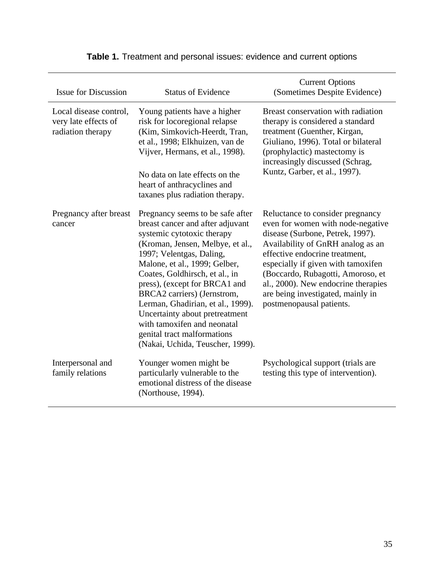| <b>Issue for Discussion</b>                                         | <b>Status of Evidence</b>                                                                                                                                                                                                                                                                                                                                                                                                                                                      | <b>Current Options</b><br>(Sometimes Despite Evidence)                                                                                                                                                                                                                                                                                                              |
|---------------------------------------------------------------------|--------------------------------------------------------------------------------------------------------------------------------------------------------------------------------------------------------------------------------------------------------------------------------------------------------------------------------------------------------------------------------------------------------------------------------------------------------------------------------|---------------------------------------------------------------------------------------------------------------------------------------------------------------------------------------------------------------------------------------------------------------------------------------------------------------------------------------------------------------------|
| Local disease control,<br>very late effects of<br>radiation therapy | Young patients have a higher<br>risk for locoregional relapse<br>(Kim, Simkovich-Heerdt, Tran,<br>et al., 1998; Elkhuizen, van de<br>Vijver, Hermans, et al., 1998).<br>No data on late effects on the<br>heart of anthracyclines and<br>taxanes plus radiation therapy.                                                                                                                                                                                                       | Breast conservation with radiation<br>therapy is considered a standard<br>treatment (Guenther, Kirgan,<br>Giuliano, 1996). Total or bilateral<br>(prophylactic) mastectomy is<br>increasingly discussed (Schrag,<br>Kuntz, Garber, et al., 1997).                                                                                                                   |
| Pregnancy after breast<br>cancer                                    | Pregnancy seems to be safe after<br>breast cancer and after adjuvant<br>systemic cytotoxic therapy<br>(Kroman, Jensen, Melbye, et al.,<br>1997; Velentgas, Daling,<br>Malone, et al., 1999; Gelber,<br>Coates, Goldhirsch, et al., in<br>press), (except for BRCA1 and<br>BRCA2 carriers) (Jernstrom,<br>Lerman, Ghadirian, et al., 1999).<br>Uncertainty about pretreatment<br>with tamoxifen and neonatal<br>genital tract malformations<br>(Nakai, Uchida, Teuscher, 1999). | Reluctance to consider pregnancy<br>even for women with node-negative<br>disease (Surbone, Petrek, 1997).<br>Availability of GnRH analog as an<br>effective endocrine treatment,<br>especially if given with tamoxifen<br>(Boccardo, Rubagotti, Amoroso, et<br>al., 2000). New endocrine therapies<br>are being investigated, mainly in<br>postmenopausal patients. |
| Interpersonal and<br>family relations                               | Younger women might be<br>particularly vulnerable to the<br>emotional distress of the disease<br>(Northouse, 1994).                                                                                                                                                                                                                                                                                                                                                            | Psychological support (trials are<br>testing this type of intervention).                                                                                                                                                                                                                                                                                            |

# **Table 1.** Treatment and personal issues: evidence and current options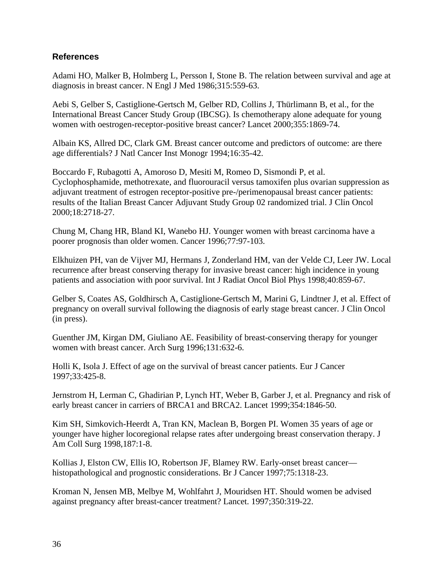## **References**

Adami HO, Malker B, Holmberg L, Persson I, Stone B. The relation between survival and age at diagnosis in breast cancer. N Engl J Med 1986;315:559-63.

Aebi S, Gelber S, Castiglione-Gertsch M, Gelber RD, Collins J, Thürlimann B, et al., for the International Breast Cancer Study Group (IBCSG). Is chemotherapy alone adequate for young women with oestrogen-receptor-positive breast cancer? Lancet 2000;355:1869-74.

Albain KS, Allred DC, Clark GM. Breast cancer outcome and predictors of outcome: are there age differentials? J Natl Cancer Inst Monogr 1994;16:35-42.

Boccardo F, Rubagotti A, Amoroso D, Mesiti M, Romeo D, Sismondi P, et al. Cyclophosphamide, methotrexate, and fluorouracil versus tamoxifen plus ovarian suppression as adjuvant treatment of estrogen receptor-positive pre-/perimenopausal breast cancer patients: results of the Italian Breast Cancer Adjuvant Study Group 02 randomized trial. J Clin Oncol 2000;18:2718-27.

Chung M, Chang HR, Bland KI, Wanebo HJ. Younger women with breast carcinoma have a poorer prognosis than older women. Cancer 1996;77:97-103.

Elkhuizen PH, van de Vijver MJ, Hermans J, Zonderland HM, van der Velde CJ, Leer JW. Local recurrence after breast conserving therapy for invasive breast cancer: high incidence in young patients and association with poor survival. Int J Radiat Oncol Biol Phys 1998;40:859-67.

Gelber S, Coates AS, Goldhirsch A, Castiglione-Gertsch M, Marini G, Lindtner J, et al. Effect of pregnancy on overall survival following the diagnosis of early stage breast cancer. J Clin Oncol (in press).

Guenther JM, Kirgan DM, Giuliano AE. Feasibility of breast-conserving therapy for younger women with breast cancer. Arch Surg 1996;131:632-6.

Holli K, Isola J. Effect of age on the survival of breast cancer patients. Eur J Cancer 1997;33:425-8.

Jernstrom H, Lerman C, Ghadirian P, Lynch HT, Weber B, Garber J, et al. Pregnancy and risk of early breast cancer in carriers of BRCA1 and BRCA2. Lancet 1999;354:1846-50.

Kim SH, Simkovich-Heerdt A, Tran KN, Maclean B, Borgen PI. Women 35 years of age or younger have higher locoregional relapse rates after undergoing breast conservation therapy. J Am Coll Surg 1998,187:1-8.

Kollias J, Elston CW, Ellis IO, Robertson JF, Blamey RW. Early-onset breast cancer histopathological and prognostic considerations. Br J Cancer 1997;75:1318-23.

Kroman N, Jensen MB, Melbye M, Wohlfahrt J, Mouridsen HT. Should women be advised against pregnancy after breast-cancer treatment? Lancet. 1997;350:319-22.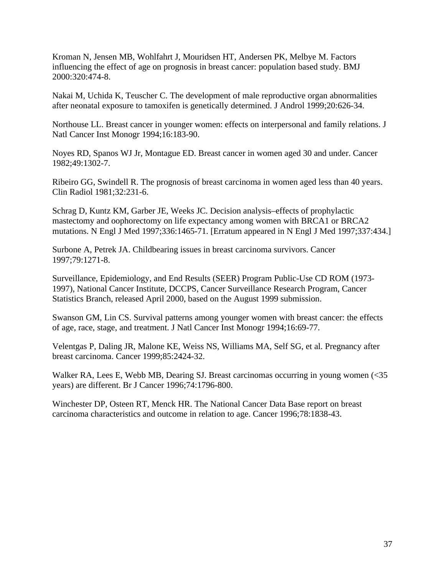Kroman N, Jensen MB, Wohlfahrt J, Mouridsen HT, Andersen PK, Melbye M. Factors influencing the effect of age on prognosis in breast cancer: population based study. BMJ 2000:320:474-8.

Nakai M, Uchida K, Teuscher C. The development of male reproductive organ abnormalities after neonatal exposure to tamoxifen is genetically determined. J Androl 1999;20:626-34.

Northouse LL. Breast cancer in younger women: effects on interpersonal and family relations. J Natl Cancer Inst Monogr 1994;16:183-90.

Noyes RD, Spanos WJ Jr, Montague ED. Breast cancer in women aged 30 and under. Cancer 1982;49:1302-7.

Ribeiro GG, Swindell R. The prognosis of breast carcinoma in women aged less than 40 years. Clin Radiol 1981;32:231-6.

Schrag D, Kuntz KM, Garber JE, Weeks JC. Decision analysis–effects of prophylactic mastectomy and oophorectomy on life expectancy among women with BRCA1 or BRCA2 mutations. N Engl J Med 1997;336:1465-71. [Erratum appeared in N Engl J Med 1997;337:434.]

Surbone A, Petrek JA. Childbearing issues in breast carcinoma survivors. Cancer 1997;79:1271-8.

Surveillance, Epidemiology, and End Results (SEER) Program Public-Use CD ROM (1973 1997), National Cancer Institute, DCCPS, Cancer Surveillance Research Program, Cancer Statistics Branch, released April 2000, based on the August 1999 submission.

Swanson GM, Lin CS. Survival patterns among younger women with breast cancer: the effects of age, race, stage, and treatment. J Natl Cancer Inst Monogr 1994;16:69-77.

Velentgas P, Daling JR, Malone KE, Weiss NS, Williams MA, Self SG, et al. Pregnancy after breast carcinoma. Cancer 1999;85:2424-32.

Walker RA, Lees E, Webb MB, Dearing SJ. Breast carcinomas occurring in young women (<35 years) are different. Br J Cancer 1996;74:1796-800.

Winchester DP, Osteen RT, Menck HR. The National Cancer Data Base report on breast carcinoma characteristics and outcome in relation to age. Cancer 1996;78:1838-43.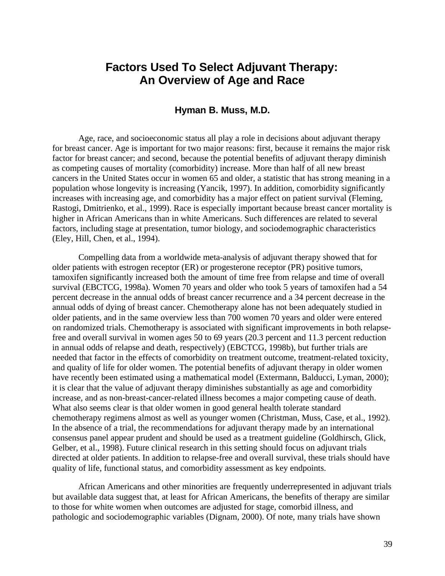# **Factors Used To Select Adjuvant Therapy: An Overview of Age and Race**

## **Hyman B. Muss, M.D.**

Age, race, and socioeconomic status all play a role in decisions about adjuvant therapy for breast cancer. Age is important for two major reasons: first, because it remains the major risk factor for breast cancer; and second, because the potential benefits of adjuvant therapy diminish as competing causes of mortality (comorbidity) increase. More than half of all new breast cancers in the United States occur in women 65 and older, a statistic that has strong meaning in a population whose longevity is increasing (Yancik, 1997). In addition, comorbidity significantly increases with increasing age, and comorbidity has a major effect on patient survival (Fleming, Rastogi, Dmitrienko, et al., 1999). Race is especially important because breast cancer mortality is higher in African Americans than in white Americans. Such differences are related to several factors, including stage at presentation, tumor biology, and sociodemographic characteristics (Eley, Hill, Chen, et al., 1994).

Compelling data from a worldwide meta-analysis of adjuvant therapy showed that for older patients with estrogen receptor (ER) or progesterone receptor (PR) positive tumors, tamoxifen significantly increased both the amount of time free from relapse and time of overall survival (EBCTCG, 1998a). Women 70 years and older who took 5 years of tamoxifen had a 54 percent decrease in the annual odds of breast cancer recurrence and a 34 percent decrease in the annual odds of dying of breast cancer. Chemotherapy alone has not been adequately studied in older patients, and in the same overview less than 700 women 70 years and older were entered on randomized trials. Chemotherapy is associated with significant improvements in both relapsefree and overall survival in women ages 50 to 69 years (20.3 percent and 11.3 percent reduction in annual odds of relapse and death, respectively) (EBCTCG, 1998b), but further trials are needed that factor in the effects of comorbidity on treatment outcome, treatment-related toxicity, and quality of life for older women. The potential benefits of adjuvant therapy in older women have recently been estimated using a mathematical model (Extermann, Balducci, Lyman, 2000); it is clear that the value of adjuvant therapy diminishes substantially as age and comorbidity increase, and as non-breast-cancer-related illness becomes a major competing cause of death. What also seems clear is that older women in good general health tolerate standard chemotherapy regimens almost as well as younger women (Christman, Muss, Case, et al., 1992). In the absence of a trial, the recommendations for adjuvant therapy made by an international consensus panel appear prudent and should be used as a treatment guideline (Goldhirsch, Glick, Gelber, et al., 1998). Future clinical research in this setting should focus on adjuvant trials directed at older patients. In addition to relapse-free and overall survival, these trials should have quality of life, functional status, and comorbidity assessment as key endpoints.

African Americans and other minorities are frequently underrepresented in adjuvant trials but available data suggest that, at least for African Americans, the benefits of therapy are similar to those for white women when outcomes are adjusted for stage, comorbid illness, and pathologic and sociodemographic variables (Dignam, 2000). Of note, many trials have shown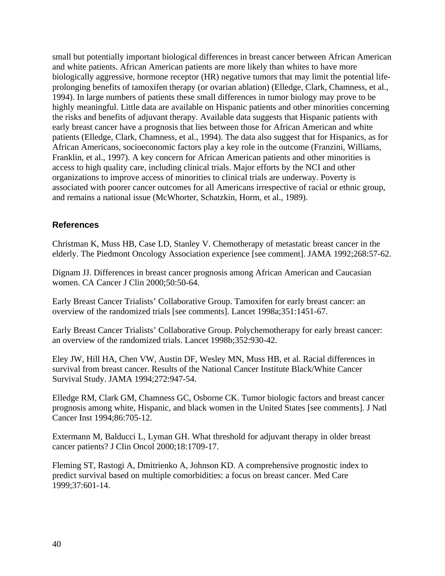small but potentially important biological differences in breast cancer between African American and white patients. African American patients are more likely than whites to have more biologically aggressive, hormone receptor (HR) negative tumors that may limit the potential lifeprolonging benefits of tamoxifen therapy (or ovarian ablation) (Elledge, Clark, Chamness, et al., 1994). In large numbers of patients these small differences in tumor biology may prove to be highly meaningful. Little data are available on Hispanic patients and other minorities concerning the risks and benefits of adjuvant therapy. Available data suggests that Hispanic patients with early breast cancer have a prognosis that lies between those for African American and white patients (Elledge, Clark, Chamness, et al., 1994). The data also suggest that for Hispanics, as for African Americans, socioeconomic factors play a key role in the outcome (Franzini, Williams, Franklin, et al., 1997). A key concern for African American patients and other minorities is access to high quality care, including clinical trials. Major efforts by the NCI and other organizations to improve access of minorities to clinical trials are underway. Poverty is associated with poorer cancer outcomes for all Americans irrespective of racial or ethnic group, and remains a national issue (McWhorter, Schatzkin, Horm, et al., 1989).

### **References**

Christman K, Muss HB, Case LD, Stanley V. Chemotherapy of metastatic breast cancer in the elderly. The Piedmont Oncology Association experience [see comment]. JAMA 1992;268:57-62.

Dignam JJ. Differences in breast cancer prognosis among African American and Caucasian women. CA Cancer J Clin 2000;50:50-64.

Early Breast Cancer Trialists' Collaborative Group. Tamoxifen for early breast cancer: an overview of the randomized trials [see comments]. Lancet 1998a;351:1451-67.

Early Breast Cancer Trialists' Collaborative Group. Polychemotherapy for early breast cancer: an overview of the randomized trials. Lancet 1998b;352:930-42.

Eley JW, Hill HA, Chen VW, Austin DF, Wesley MN, Muss HB, et al. Racial differences in survival from breast cancer. Results of the National Cancer Institute Black/White Cancer Survival Study. JAMA 1994;272:947-54.

Elledge RM, Clark GM, Chamness GC, Osborne CK. Tumor biologic factors and breast cancer prognosis among white, Hispanic, and black women in the United States [see comments]. J Natl Cancer Inst 1994;86:705-12.

Extermann M, Balducci L, Lyman GH. What threshold for adjuvant therapy in older breast cancer patients? J Clin Oncol 2000;18:1709-17.

Fleming ST, Rastogi A, Dmitrienko A, Johnson KD. A comprehensive prognostic index to predict survival based on multiple comorbidities: a focus on breast cancer. Med Care 1999;37:601-14.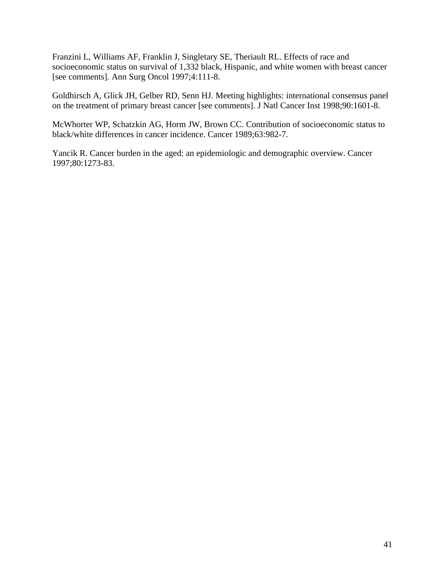Franzini L, Williams AF, Franklin J, Singletary SE, Theriault RL. Effects of race and socioeconomic status on survival of 1,332 black, Hispanic, and white women with breast cancer [see comments]. Ann Surg Oncol 1997;4:111-8.

Goldhirsch A, Glick JH, Gelber RD, Senn HJ. Meeting highlights: international consensus panel on the treatment of primary breast cancer [see comments]. J Natl Cancer Inst 1998;90:1601-8.

McWhorter WP, Schatzkin AG, Horm JW, Brown CC. Contribution of socioeconomic status to black/white differences in cancer incidence. Cancer 1989;63:982-7.

Yancik R. Cancer burden in the aged: an epidemiologic and demographic overview. Cancer 1997;80:1273-83.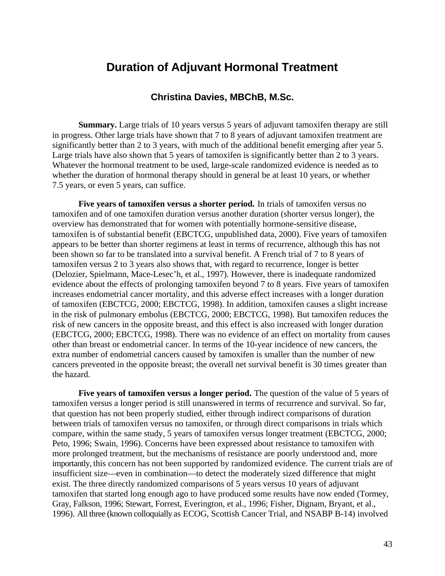## **Duration of Adjuvant Hormonal Treatment**

### **Christina Davies, MBChB, M.Sc.**

**Summary.** Large trials of 10 years versus 5 years of adjuvant tamoxifen therapy are still in progress. Other large trials have shown that 7 to 8 years of adjuvant tamoxifen treatment are significantly better than 2 to 3 years, with much of the additional benefit emerging after year 5. Large trials have also shown that 5 years of tamoxifen is significantly better than 2 to 3 years. Whatever the hormonal treatment to be used, large-scale randomized evidence is needed as to whether the duration of hormonal therapy should in general be at least 10 years, or whether 7.5 years, or even 5 years, can suffice.

**Five years of tamoxifen versus a shorter period.** In trials of tamoxifen versus no tamoxifen and of one tamoxifen duration versus another duration (shorter versus longer), the overview has demonstrated that for women with potentially hormone-sensitive disease, tamoxifen is of substantial benefit (EBCTCG, unpublished data, 2000). Five years of tamoxifen appears to be better than shorter regimens at least in terms of recurrence, although this has not been shown so far to be translated into a survival benefit. A French trial of 7 to 8 years of tamoxifen versus 2 to 3 years also shows that, with regard to recurrence, longer is better (Delozier, Spielmann, Mace-Lesec'h, et al., 1997). However, there is inadequate randomized evidence about the effects of prolonging tamoxifen beyond 7 to 8 years. Five years of tamoxifen increases endometrial cancer mortality, and this adverse effect increases with a longer duration of tamoxifen (EBCTCG, 2000; EBCTCG, 1998). In addition, tamoxifen causes a slight increase in the risk of pulmonary embolus (EBCTCG, 2000; EBCTCG, 1998). But tamoxifen reduces the risk of new cancers in the opposite breast, and this effect is also increased with longer duration (EBCTCG, 2000; EBCTCG, 1998). There was no evidence of an effect on mortality from causes other than breast or endometrial cancer. In terms of the 10-year incidence of new cancers, the extra number of endometrial cancers caused by tamoxifen is smaller than the number of new cancers prevented in the opposite breast; the overall net survival benefit is 30 times greater than the hazard.

**Five years of tamoxifen versus a longer period.** The question of the value of 5 years of tamoxifen versus a longer period is still unanswered in terms of recurrence and survival. So far, that question has not been properly studied, either through indirect comparisons of duration between trials of tamoxifen versus no tamoxifen, or through direct comparisons in trials which compare, within the same study, 5 years of tamoxifen versus longer treatment (EBCTCG, 2000; Peto, 1996; Swain, 1996). Concerns have been expressed about resistance to tamoxifen with more prolonged treatment, but the mechanisms of resistance are poorly understood and, more importantly, this concern has not been supported by randomized evidence. The current trials are of insufficient size—even in combination—to detect the moderately sized difference that might exist. The three directly randomized comparisons of 5 years versus 10 years of adjuvant tamoxifen that started long enough ago to have produced some results have now ended (Tormey, Gray, Falkson, 1996; Stewart, Forrest, Everington, et al., 1996; Fisher, Dignam, Bryant, et al., 1996). All three (known colloquially as ECOG, Scottish Cancer Trial, and NSABP B-14) involved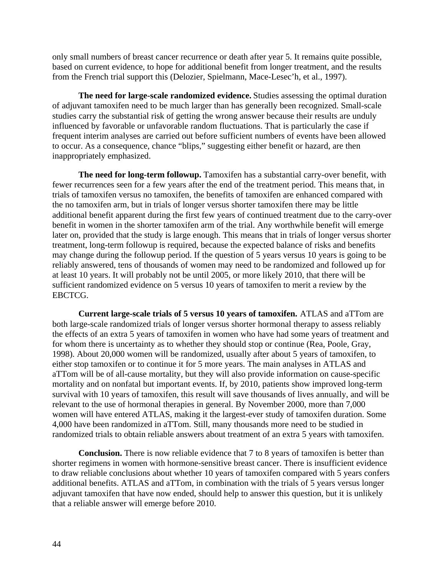only small numbers of breast cancer recurrence or death after year 5. It remains quite possible, based on current evidence, to hope for additional benefit from longer treatment, and the results from the French trial support this (Delozier, Spielmann, Mace-Lesec'h, et al., 1997).

**The need for large-scale randomized evidence.** Studies assessing the optimal duration of adjuvant tamoxifen need to be much larger than has generally been recognized. Small-scale studies carry the substantial risk of getting the wrong answer because their results are unduly influenced by favorable or unfavorable random fluctuations. That is particularly the case if frequent interim analyses are carried out before sufficient numbers of events have been allowed to occur. As a consequence, chance "blips," suggesting either benefit or hazard, are then inappropriately emphasized.

**The need for long-term followup.** Tamoxifen has a substantial carry-over benefit, with fewer recurrences seen for a few years after the end of the treatment period. This means that, in trials of tamoxifen versus no tamoxifen, the benefits of tamoxifen are enhanced compared with the no tamoxifen arm, but in trials of longer versus shorter tamoxifen there may be little additional benefit apparent during the first few years of continued treatment due to the carry-over benefit in women in the shorter tamoxifen arm of the trial. Any worthwhile benefit will emerge later on, provided that the study is large enough. This means that in trials of longer versus shorter treatment, long-term followup is required, because the expected balance of risks and benefits may change during the followup period. If the question of 5 years versus 10 years is going to be reliably answered, tens of thousands of women may need to be randomized and followed up for at least 10 years. It will probably not be until 2005, or more likely 2010, that there will be sufficient randomized evidence on 5 versus 10 years of tamoxifen to merit a review by the EBCTCG.

**Current large-scale trials of 5 versus 10 years of tamoxifen.** ATLAS and aTTom are both large-scale randomized trials of longer versus shorter hormonal therapy to assess reliably the effects of an extra 5 years of tamoxifen in women who have had some years of treatment and for whom there is uncertainty as to whether they should stop or continue (Rea, Poole, Gray, 1998). About 20,000 women will be randomized, usually after about 5 years of tamoxifen, to either stop tamoxifen or to continue it for 5 more years. The main analyses in ATLAS and aTTom will be of all-cause mortality, but they will also provide information on cause-specific mortality and on nonfatal but important events. If, by 2010, patients show improved long-term survival with 10 years of tamoxifen, this result will save thousands of lives annually, and will be relevant to the use of hormonal therapies in general. By November 2000, more than 7,000 women will have entered ATLAS, making it the largest-ever study of tamoxifen duration. Some 4,000 have been randomized in aTTom. Still, many thousands more need to be studied in randomized trials to obtain reliable answers about treatment of an extra 5 years with tamoxifen.

**Conclusion.** There is now reliable evidence that 7 to 8 years of tamoxifen is better than shorter regimens in women with hormone-sensitive breast cancer. There is insufficient evidence to draw reliable conclusions about whether 10 years of tamoxifen compared with 5 years confers additional benefits. ATLAS and aTTom, in combination with the trials of 5 years versus longer adjuvant tamoxifen that have now ended, should help to answer this question, but it is unlikely that a reliable answer will emerge before 2010.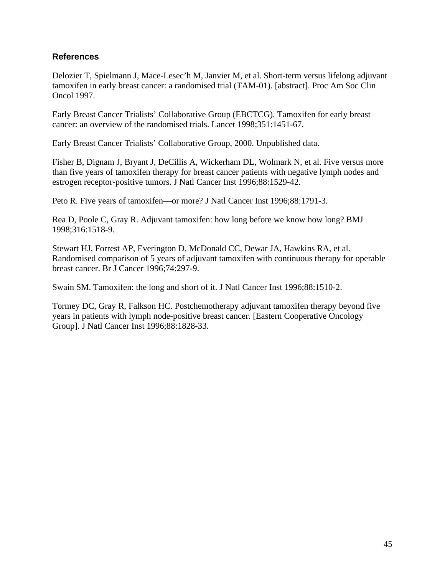## **References**

Delozier T, Spielmann J, Mace-Lesec'h M, Janvier M, et al. Short-term versus lifelong adjuvant tamoxifen in early breast cancer: a randomised trial (TAM-01). [abstract]. Proc Am Soc Clin Oncol 1997.

Early Breast Cancer Trialists' Collaborative Group (EBCTCG). Tamoxifen for early breast cancer: an overview of the randomised trials. Lancet 1998;351:1451-67.

Early Breast Cancer Trialists' Collaborative Group, 2000. Unpublished data.

Fisher B, Dignam J, Bryant J, DeCillis A, Wickerham DL, Wolmark N, et al. Five versus more than five years of tamoxifen therapy for breast cancer patients with negative lymph nodes and estrogen receptor-positive tumors. J Natl Cancer Inst 1996;88:1529-42.

Peto R. Five years of tamoxifen—or more? J Natl Cancer Inst 1996;88:1791-3.

Rea D, Poole C, Gray R. Adjuvant tamoxifen: how long before we know how long? BMJ 1998;316:1518-9.

Stewart HJ, Forrest AP, Everington D, McDonald CC, Dewar JA, Hawkins RA, et al. Randomised comparison of 5 years of adjuvant tamoxifen with continuous therapy for operable breast cancer. Br J Cancer 1996;74:297-9.

Swain SM. Tamoxifen: the long and short of it. J Natl Cancer Inst 1996;88:1510-2.

Tormey DC, Gray R, Falkson HC. Postchemotherapy adjuvant tamoxifen therapy beyond five years in patients with lymph node-positive breast cancer. [Eastern Cooperative Oncology Group]. J Natl Cancer Inst 1996;88:1828-33.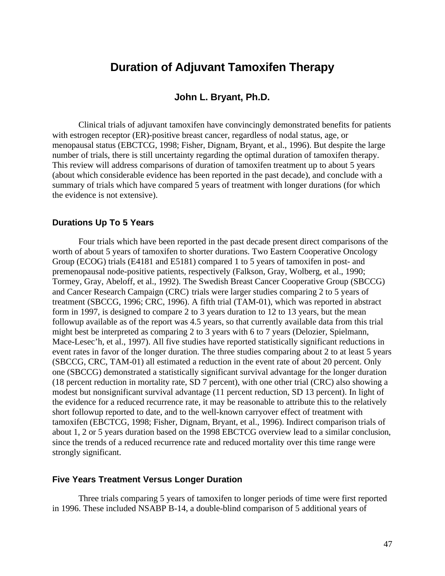## **Duration of Adjuvant Tamoxifen Therapy**

## **John L. Bryant, Ph.D.**

Clinical trials of adjuvant tamoxifen have convincingly demonstrated benefits for patients with estrogen receptor (ER)-positive breast cancer, regardless of nodal status, age, or menopausal status (EBCTCG, 1998; Fisher, Dignam, Bryant, et al., 1996). But despite the large number of trials, there is still uncertainty regarding the optimal duration of tamoxifen therapy. This review will address comparisons of duration of tamoxifen treatment up to about 5 years (about which considerable evidence has been reported in the past decade), and conclude with a summary of trials which have compared 5 years of treatment with longer durations (for which the evidence is not extensive).

#### **Durations Up To 5 Years**

Four trials which have been reported in the past decade present direct comparisons of the worth of about 5 years of tamoxifen to shorter durations. Two Eastern Cooperative Oncology Group (ECOG) trials (E4181 and E5181) compared 1 to 5 years of tamoxifen in post- and premenopausal node-positive patients, respectively (Falkson, Gray, Wolberg, et al., 1990; Tormey, Gray, Abeloff, et al., 1992). The Swedish Breast Cancer Cooperative Group (SBCCG) and Cancer Research Campaign (CRC) trials were larger studies comparing 2 to 5 years of treatment (SBCCG, 1996; CRC, 1996). A fifth trial (TAM-01), which was reported in abstract form in 1997, is designed to compare 2 to 3 years duration to 12 to 13 years, but the mean followup available as of the report was 4.5 years, so that currently available data from this trial might best be interpreted as comparing 2 to 3 years with 6 to 7 years (Delozier, Spielmann, Mace-Lesec'h, et al., 1997). All five studies have reported statistically significant reductions in event rates in favor of the longer duration. The three studies comparing about 2 to at least 5 years (SBCCG, CRC, TAM-01) all estimated a reduction in the event rate of about 20 percent. Only one (SBCCG) demonstrated a statistically significant survival advantage for the longer duration (18 percent reduction in mortality rate, SD 7 percent), with one other trial (CRC) also showing a modest but nonsignificant survival advantage (11 percent reduction, SD 13 percent). In light of the evidence for a reduced recurrence rate, it may be reasonable to attribute this to the relatively short followup reported to date, and to the well-known carryover effect of treatment with tamoxifen (EBCTCG, 1998; Fisher, Dignam, Bryant, et al., 1996). Indirect comparison trials of about 1, 2 or 5 years duration based on the 1998 EBCTCG overview lead to a similar conclusion, since the trends of a reduced recurrence rate and reduced mortality over this time range were strongly significant.

#### **Five Years Treatment Versus Longer Duration**

Three trials comparing 5 years of tamoxifen to longer periods of time were first reported in 1996. These included NSABP B-14, a double-blind comparison of 5 additional years of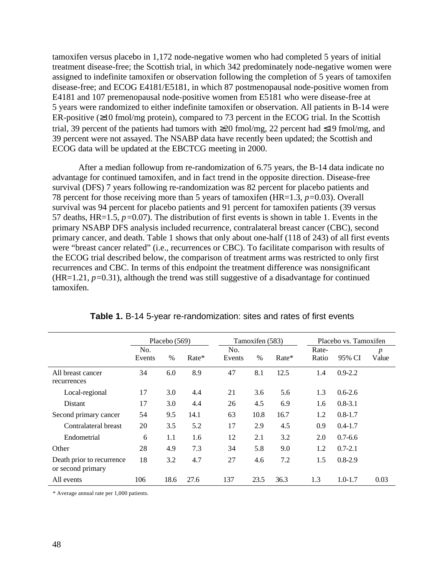tamoxifen versus placebo in 1,172 node-negative women who had completed 5 years of initial treatment disease-free; the Scottish trial, in which 342 predominately node-negative women were assigned to indefinite tamoxifen or observation following the completion of 5 years of tamoxifen disease-free; and ECOG E4181/E5181, in which 87 postmenopausal node-positive women from E4181 and 107 premenopausal node-positive women from E5181 who were disease-free at 5 years were randomized to either indefinite tamoxifen or observation. All patients in B-14 were ER-positive  $(\geq 10 \text{ fmol/mg protein})$ , compared to 73 percent in the ECOG trial. In the Scottish trial, 39 percent of the patients had tumors with  $\geq 20$  fmol/mg, 22 percent had  $\leq 19$  fmol/mg, and 39 percent were not assayed. The NSABP data have recently been updated; the Scottish and ECOG data will be updated at the EBCTCG meeting in 2000.

After a median followup from re-randomization of 6.75 years, the B-14 data indicate no advantage for continued tamoxifen, and in fact trend in the opposite direction. Disease-free survival (DFS) 7 years following re-randomization was 82 percent for placebo patients and 78 percent for those receiving more than 5 years of tamoxifen (HR=1.3, *p=*0.03). Overall survival was 94 percent for placebo patients and 91 percent for tamoxifen patients (39 versus 57 deaths, HR=1.5, *p=*0.07). The distribution of first events is shown in table 1. Events in the primary NSABP DFS analysis included recurrence, contralateral breast cancer (CBC), second primary cancer, and death. Table 1 shows that only about one-half (118 of 243) of all first events were "breast cancer related" (i.e., recurrences or CBC). To facilitate comparison with results of the ECOG trial described below, the comparison of treatment arms was restricted to only first recurrences and CBC. In terms of this endpoint the treatment difference was nonsignificant (HR=1.21, *p=*0.31), although the trend was still suggestive of a disadvantage for continued tamoxifen.

|                                                | Placebo $(569)$ |      |       | Tamoxifen (583) |      |       | Placebo vs. Tamoxifen |             |                           |
|------------------------------------------------|-----------------|------|-------|-----------------|------|-------|-----------------------|-------------|---------------------------|
|                                                | No.<br>Events   | $\%$ | Rate* | No.<br>Events   | $\%$ | Rate* | Rate-<br>Ratio        | 95% CI      | $\boldsymbol{p}$<br>Value |
| All breast cancer<br>recurrences               | 34              | 6.0  | 8.9   | 47              | 8.1  | 12.5  | 1.4                   | $0.9 - 2.2$ |                           |
| Local-regional                                 | 17              | 3.0  | 4.4   | 21              | 3.6  | 5.6   | 1.3                   | $0.6 - 2.6$ |                           |
| Distant                                        | 17              | 3.0  | 4.4   | 26              | 4.5  | 6.9   | 1.6                   | $0.8 - 3.1$ |                           |
| Second primary cancer                          | 54              | 9.5  | 14.1  | 63              | 10.8 | 16.7  | 1.2                   | $0.8 - 1.7$ |                           |
| Contralateral breast                           | 20              | 3.5  | 5.2   | 17              | 2.9  | 4.5   | 0.9                   | $0.4 - 1.7$ |                           |
| Endometrial                                    | 6               | 1.1  | 1.6   | 12              | 2.1  | 3.2   | 2.0                   | $0.7 - 6.6$ |                           |
| Other                                          | 28              | 4.9  | 7.3   | 34              | 5.8  | 9.0   | 1.2                   | $0.7 - 2.1$ |                           |
| Death prior to recurrence<br>or second primary | 18              | 3.2  | 4.7   | 27              | 4.6  | 7.2   | 1.5                   | $0.8 - 2.9$ |                           |
| All events                                     | 106             | 18.6 | 27.6  | 137             | 23.5 | 36.3  | 1.3                   | $1.0 - 1.7$ | 0.03                      |

|  | Table 1. B-14 5-year re-randomization: sites and rates of first events |  |  |
|--|------------------------------------------------------------------------|--|--|
|--|------------------------------------------------------------------------|--|--|

\* Average annual rate per 1,000 patients.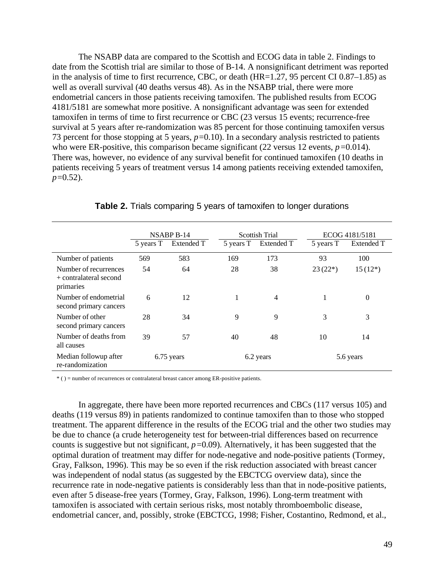The NSABP data are compared to the Scottish and ECOG data in table 2. Findings to date from the Scottish trial are similar to those of B-14. A nonsignificant detriment was reported in the analysis of time to first recurrence, CBC, or death (HR=1.27, 95 percent CI 0.87–1.85) as well as overall survival (40 deaths versus 48). As in the NSABP trial, there were more endometrial cancers in those patients receiving tamoxifen. The published results from ECOG 4181/5181 are somewhat more positive. A nonsignificant advantage was seen for extended tamoxifen in terms of time to first recurrence or CBC (23 versus 15 events; recurrence-free survival at 5 years after re-randomization was 85 percent for those continuing tamoxifen versus 73 percent for those stopping at 5 years, *p=*0.10). In a secondary analysis restricted to patients who were ER-positive, this comparison became significant (22 versus 12 events,  $p=0.014$ ). There was, however, no evidence of any survival benefit for continued tamoxifen (10 deaths in patients receiving 5 years of treatment versus 14 among patients receiving extended tamoxifen, *p=*0.52).

|                                                              | NSABP <sub>B-14</sub> |            |           | Scottish Trial | ECOG 4181/5181 |                |  |
|--------------------------------------------------------------|-----------------------|------------|-----------|----------------|----------------|----------------|--|
|                                                              | 5 years T             | Extended T | 5 years T | Extended T     | 5 years T      | Extended T     |  |
| Number of patients                                           | 569                   | 583        | 169       | 173            | 93             | 100            |  |
| Number of recurrences<br>+ contralateral second<br>primaries | 54                    | 64         | 28        | 38             | $23(22*)$      | $15(12*)$      |  |
| Number of endometrial<br>second primary cancers              | 6                     | 12         | 1         | $\overline{4}$ | 1              | $\overline{0}$ |  |
| Number of other<br>second primary cancers                    | 28                    | 34         | 9         | 9              | 3              | 3              |  |
| Number of deaths from<br>all causes                          | 39                    | 57         | 40        | 48             | 10             | 14             |  |
| Median followup after<br>re-randomization                    |                       | 6.75 years |           | 6.2 years      |                | 5.6 years      |  |

**Table 2.** Trials comparing 5 years of tamoxifen to longer durations

\* ( ) = number of recurrences or contralateral breast cancer among ER-positive patients.

In aggregate, there have been more reported recurrences and CBCs (117 versus 105) and deaths (119 versus 89) in patients randomized to continue tamoxifen than to those who stopped treatment. The apparent difference in the results of the ECOG trial and the other two studies may be due to chance (a crude heterogeneity test for between-trial differences based on recurrence counts is suggestive but not significant, *p=*0.09). Alternatively, it has been suggested that the optimal duration of treatment may differ for node-negative and node-positive patients (Tormey, Gray, Falkson, 1996). This may be so even if the risk reduction associated with breast cancer was independent of nodal status (as suggested by the EBCTCG overview data), since the recurrence rate in node-negative patients is considerably less than that in node-positive patients, even after 5 disease-free years (Tormey, Gray, Falkson, 1996). Long-term treatment with tamoxifen is associated with certain serious risks, most notably thromboembolic disease, endometrial cancer, and, possibly, stroke (EBCTCG, 1998; Fisher, Costantino, Redmond, et al.,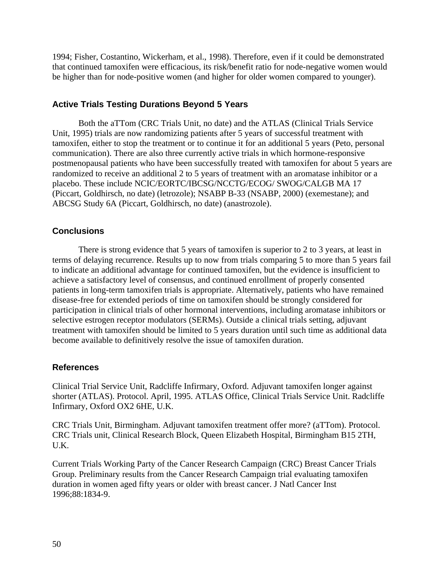1994; Fisher, Costantino, Wickerham, et al., 1998). Therefore, even if it could be demonstrated that continued tamoxifen were efficacious, its risk/benefit ratio for node-negative women would be higher than for node-positive women (and higher for older women compared to younger).

## **Active Trials Testing Durations Beyond 5 Years**

Both the aTTom (CRC Trials Unit, no date) and the ATLAS (Clinical Trials Service Unit, 1995) trials are now randomizing patients after 5 years of successful treatment with tamoxifen, either to stop the treatment or to continue it for an additional 5 years (Peto, personal communication). There are also three currently active trials in which hormone-responsive postmenopausal patients who have been successfully treated with tamoxifen for about 5 years are randomized to receive an additional 2 to 5 years of treatment with an aromatase inhibitor or a placebo. These include NCIC/EORTC/IBCSG/NCCTG/ECOG/ SWOG/CALGB MA 17 (Piccart, Goldhirsch, no date) (letrozole); NSABP B-33 (NSABP, 2000) (exemestane); and ABCSG Study 6A (Piccart, Goldhirsch, no date) (anastrozole).

## **Conclusions**

There is strong evidence that 5 years of tamoxifen is superior to 2 to 3 years, at least in terms of delaying recurrence. Results up to now from trials comparing 5 to more than 5 years fail to indicate an additional advantage for continued tamoxifen, but the evidence is insufficient to achieve a satisfactory level of consensus, and continued enrollment of properly consented patients in long-term tamoxifen trials is appropriate. Alternatively, patients who have remained disease-free for extended periods of time on tamoxifen should be strongly considered for participation in clinical trials of other hormonal interventions, including aromatase inhibitors or selective estrogen receptor modulators (SERMs). Outside a clinical trials setting, adjuvant treatment with tamoxifen should be limited to 5 years duration until such time as additional data become available to definitively resolve the issue of tamoxifen duration.

### **References**

Clinical Trial Service Unit, Radcliffe Infirmary, Oxford. Adjuvant tamoxifen longer against shorter (ATLAS). Protocol. April, 1995. ATLAS Office, Clinical Trials Service Unit. Radcliffe Infirmary, Oxford OX2 6HE, U.K.

CRC Trials Unit, Birmingham. Adjuvant tamoxifen treatment offer more? (aTTom). Protocol. CRC Trials unit, Clinical Research Block, Queen Elizabeth Hospital, Birmingham B15 2TH, U.K.

Current Trials Working Party of the Cancer Research Campaign (CRC) Breast Cancer Trials Group. Preliminary results from the Cancer Research Campaign trial evaluating tamoxifen duration in women aged fifty years or older with breast cancer. J Natl Cancer Inst 1996;88:1834-9.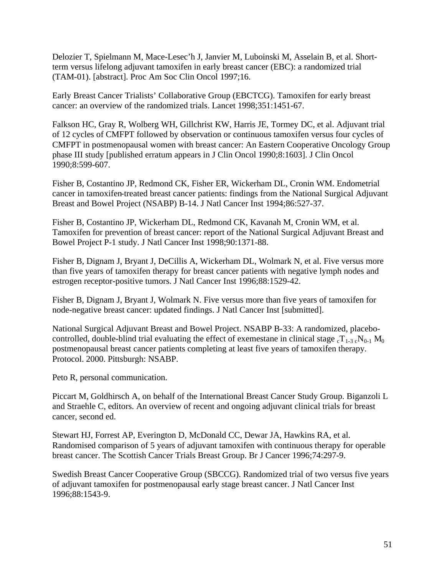Delozier T, Spielmann M, Mace-Lesec'h J, Janvier M, Luboinski M, Asselain B, et al. Shortterm versus lifelong adjuvant tamoxifen in early breast cancer (EBC): a randomized trial (TAM-01). [abstract]. Proc Am Soc Clin Oncol 1997;16.

Early Breast Cancer Trialists' Collaborative Group (EBCTCG). Tamoxifen for early breast cancer: an overview of the randomized trials. Lancet 1998;351:1451-67.

Falkson HC, Gray R, Wolberg WH, Gillchrist KW, Harris JE, Tormey DC, et al. Adjuvant trial of 12 cycles of CMFPT followed by observation or continuous tamoxifen versus four cycles of CMFPT in postmenopausal women with breast cancer: An Eastern Cooperative Oncology Group phase III study [published erratum appears in J Clin Oncol 1990;8:1603]. J Clin Oncol 1990;8:599-607.

Fisher B, Costantino JP, Redmond CK, Fisher ER, Wickerham DL, Cronin WM. Endometrial cancer in tamoxifen-treated breast cancer patients: findings from the National Surgical Adjuvant Breast and Bowel Project (NSABP) B-14. J Natl Cancer Inst 1994;86:527-37.

Fisher B, Costantino JP, Wickerham DL, Redmond CK, Kavanah M, Cronin WM, et al. Tamoxifen for prevention of breast cancer: report of the National Surgical Adjuvant Breast and Bowel Project P-1 study. J Natl Cancer Inst 1998;90:1371-88.

Fisher B, Dignam J, Bryant J, DeCillis A, Wickerham DL, Wolmark N, et al. Five versus more than five years of tamoxifen therapy for breast cancer patients with negative lymph nodes and estrogen receptor-positive tumors. J Natl Cancer Inst 1996;88:1529-42.

Fisher B, Dignam J, Bryant J, Wolmark N. Five versus more than five years of tamoxifen for node-negative breast cancer: updated findings. J Natl Cancer Inst [submitted].

National Surgical Adjuvant Breast and Bowel Project. NSABP B-33: A randomized, placebocontrolled, double-blind trial evaluating the effect of exemestane in clinical stage  ${}_{c}T_{1-3} {}_{c}N_{0-1} M_0$ postmenopausal breast cancer patients completing at least five years of tamoxifen therapy. Protocol. 2000. Pittsburgh: NSABP.

Peto R, personal communication.

Piccart M, Goldhirsch A, on behalf of the International Breast Cancer Study Group. Biganzoli L and Straehle C, editors. An overview of recent and ongoing adjuvant clinical trials for breast cancer, second ed.

Stewart HJ, Forrest AP, Everington D, McDonald CC, Dewar JA, Hawkins RA, et al. Randomised comparison of 5 years of adjuvant tamoxifen with continuous therapy for operable breast cancer. The Scottish Cancer Trials Breast Group. Br J Cancer 1996;74:297-9.

Swedish Breast Cancer Cooperative Group (SBCCG). Randomized trial of two versus five years of adjuvant tamoxifen for postmenopausal early stage breast cancer. J Natl Cancer Inst 1996;88:1543-9.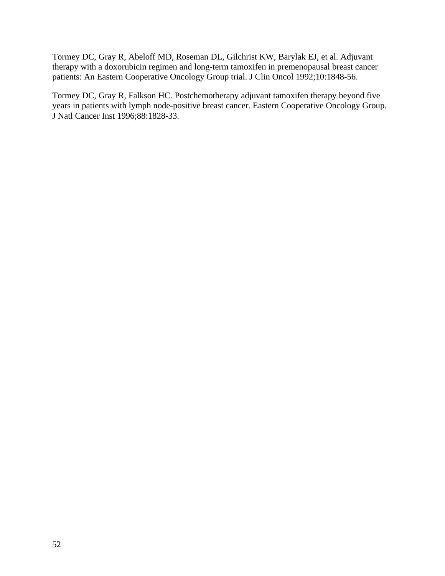Tormey DC, Gray R, Abeloff MD, Roseman DL, Gilchrist KW, Barylak EJ, et al. Adjuvant therapy with a doxorubicin regimen and long-term tamoxifen in premenopausal breast cancer patients: An Eastern Cooperative Oncology Group trial. J Clin Oncol 1992;10:1848-56.

Tormey DC, Gray R, Falkson HC. Postchemotherapy adjuvant tamoxifen therapy beyond five years in patients with lymph node-positive breast cancer. Eastern Cooperative Oncology Group. J Natl Cancer Inst 1996;88:1828-33.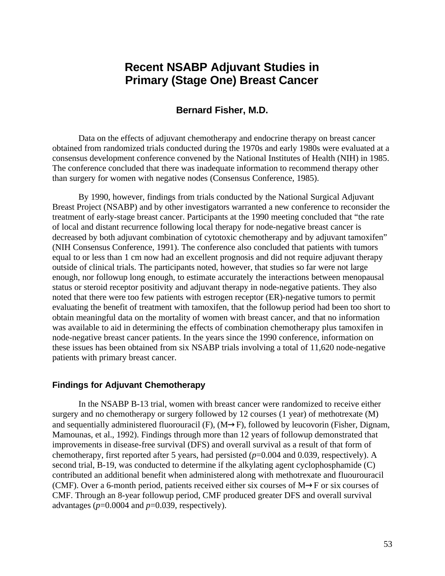# **Recent NSABP Adjuvant Studies in Primary (Stage One) Breast Cancer**

### **Bernard Fisher, M.D.**

Data on the effects of adjuvant chemotherapy and endocrine therapy on breast cancer obtained from randomized trials conducted during the 1970s and early 1980s were evaluated at a consensus development conference convened by the National Institutes of Health (NIH) in 1985. The conference concluded that there was inadequate information to recommend therapy other than surgery for women with negative nodes (Consensus Conference, 1985).

By 1990, however, findings from trials conducted by the National Surgical Adjuvant Breast Project (NSABP) and by other investigators warranted a new conference to reconsider the treatment of early-stage breast cancer. Participants at the 1990 meeting concluded that "the rate of local and distant recurrence following local therapy for node-negative breast cancer is decreased by both adjuvant combination of cytotoxic chemotherapy and by adjuvant tamoxifen" (NIH Consensus Conference, 1991). The conference also concluded that patients with tumors equal to or less than 1 cm now had an excellent prognosis and did not require adjuvant therapy outside of clinical trials. The participants noted, however, that studies so far were not large enough, nor followup long enough, to estimate accurately the interactions between menopausal status or steroid receptor positivity and adjuvant therapy in node-negative patients. They also noted that there were too few patients with estrogen receptor (ER)-negative tumors to permit evaluating the benefit of treatment with tamoxifen, that the followup period had been too short to obtain meaningful data on the mortality of women with breast cancer, and that no information was available to aid in determining the effects of combination chemotherapy plus tamoxifen in node-negative breast cancer patients. In the years since the 1990 conference, information on these issues has been obtained from six NSABP trials involving a total of 11,620 node-negative patients with primary breast cancer.

#### **Findings for Adjuvant Chemotherapy**

In the NSABP B-13 trial, women with breast cancer were randomized to receive either surgery and no chemotherapy or surgery followed by 12 courses (1 year) of methotrexate (M) and sequentially administered fluorouracil (F),  $(M\rightarrow F)$ , followed by leucovorin (Fisher, Dignam, Mamounas, et al., 1992). Findings through more than 12 years of followup demonstrated that improvements in disease-free survival (DFS) and overall survival as a result of that form of chemotherapy, first reported after 5 years, had persisted (*p*=0.004 and 0.039, respectively). A second trial, B-19, was conducted to determine if the alkylating agent cyclophosphamide (C) contributed an additional benefit when administered along with methotrexate and fluourouracil (CMF). Over a 6-month period, patients received either six courses of  $M \rightarrow F$  or six courses of CMF. Through an 8-year followup period, CMF produced greater DFS and overall survival advantages  $(p=0.0004$  and  $p=0.039$ , respectively).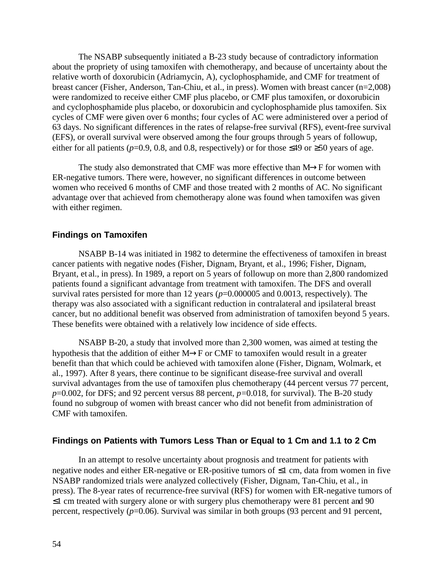The NSABP subsequently initiated a B-23 study because of contradictory information about the propriety of using tamoxifen with chemotherapy, and because of uncertainty about the relative worth of doxorubicin (Adriamycin, A), cyclophosphamide, and CMF for treatment of breast cancer (Fisher, Anderson, Tan-Chiu, et al., in press). Women with breast cancer (n=2,008) were randomized to receive either CMF plus placebo, or CMF plus tamoxifen, or doxorubicin and cyclophosphamide plus placebo, or doxorubicin and cyclophosphamide plus tamoxifen. Six cycles of CMF were given over 6 months; four cycles of AC were administered over a period of 63 days. No significant differences in the rates of relapse-free survival (RFS), event-free survival (EFS), or overall survival were observed among the four groups through 5 years of followup, either for all patients ( $p=0.9$ , 0.8, and 0.8, respectively) or for those  $\leq 49$  or  $\geq 50$  years of age.

The study also demonstrated that CMF was more effective than  $M\rightarrow$ F for women with ER-negative tumors. There were, however, no significant differences in outcome between women who received 6 months of CMF and those treated with 2 months of AC. No significant advantage over that achieved from chemotherapy alone was found when tamoxifen was given with either regimen.

### **Findings on Tamoxifen**

NSABP B-14 was initiated in 1982 to determine the effectiveness of tamoxifen in breast cancer patients with negative nodes (Fisher, Dignam, Bryant, et al., 1996; Fisher, Dignam, Bryant, et al., in press). In 1989, a report on 5 years of followup on more than 2,800 randomized patients found a significant advantage from treatment with tamoxifen. The DFS and overall survival rates persisted for more than 12 years ( $p=0.000005$  and 0.0013, respectively). The therapy was also associated with a significant reduction in contralateral and ipsilateral breast cancer, but no additional benefit was observed from administration of tamoxifen beyond 5 years. These benefits were obtained with a relatively low incidence of side effects.

NSABP B-20, a study that involved more than 2,300 women, was aimed at testing the hypothesis that the addition of either  $M\rightarrow$ F or CMF to tamoxifen would result in a greater benefit than that which could be achieved with tamoxifen alone (Fisher, Dignam, Wolmark, et al., 1997). After 8 years, there continue to be significant disease-free survival and overall survival advantages from the use of tamoxifen plus chemotherapy (44 percent versus 77 percent, *p*=0.002, for DFS; and 92 percent versus 88 percent, *p*=0.018, for survival). The B-20 study found no subgroup of women with breast cancer who did not benefit from administration of CMF with tamoxifen.

### **Findings on Patients with Tumors Less Than or Equal to 1 Cm and 1.1 to 2 Cm**

In an attempt to resolve uncertainty about prognosis and treatment for patients with negative nodes and either ER-negative or ER-positive tumors of  $\leq 1$  cm, data from women in five NSABP randomized trials were analyzed collectively (Fisher, Dignam, Tan-Chiu, et al., in press). The 8-year rates of recurrence-free survival (RFS) for women with ER-negative tumors of  $\leq$ 1 cm treated with surgery alone or with surgery plus chemotherapy were 81 percent and 90 percent, respectively  $(p=0.06)$ . Survival was similar in both groups (93 percent and 91 percent,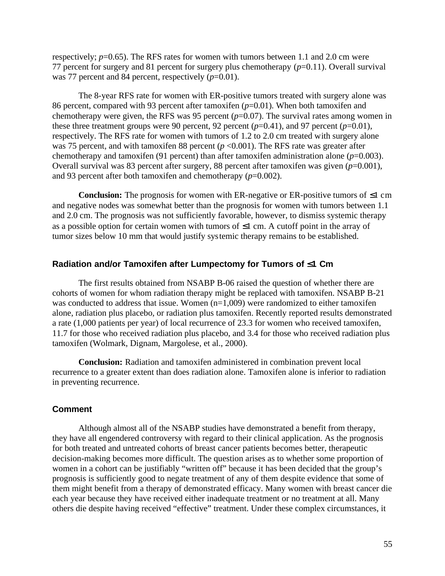respectively;  $p=0.65$ ). The RFS rates for women with tumors between 1.1 and 2.0 cm were 77 percent for surgery and 81 percent for surgery plus chemotherapy (*p*=0.11). Overall survival was 77 percent and 84 percent, respectively ( $p=0.01$ ).

The 8-year RFS rate for women with ER-positive tumors treated with surgery alone was 86 percent, compared with 93 percent after tamoxifen (*p*=0.01). When both tamoxifen and chemotherapy were given, the RFS was 95 percent (*p*=0.07). The survival rates among women in these three treatment groups were 90 percent, 92 percent  $(p=0.41)$ , and 97 percent  $(p=0.01)$ , respectively. The RFS rate for women with tumors of 1.2 to 2.0 cm treated with surgery alone was 75 percent, and with tamoxifen 88 percent  $(p \le 0.001)$ . The RFS rate was greater after chemotherapy and tamoxifen (91 percent) than after tamoxifen administration alone  $(p=0.003)$ . Overall survival was 83 percent after surgery, 88 percent after tamoxifen was given (*p*=0.001), and 93 percent after both tamoxifen and chemotherapy (*p*=0.002).

**Conclusion:** The prognosis for women with ER-negative or ER-positive tumors of  $\leq 1$  cm and negative nodes was somewhat better than the prognosis for women with tumors between 1.1 and 2.0 cm. The prognosis was not sufficiently favorable, however, to dismiss systemic therapy as a possible option for certain women with tumors of  $\leq 1$  cm. A cutoff point in the array of tumor sizes below 10 mm that would justify systemic therapy remains to be established.

#### **Radiation and/or Tamoxifen after Lumpectomy for Tumors of £1 Cm**

The first results obtained from NSABP B-06 raised the question of whether there are cohorts of women for whom radiation therapy might be replaced with tamoxifen. NSABP B-21 was conducted to address that issue. Women  $(n=1,009)$  were randomized to either tamoxifen alone, radiation plus placebo, or radiation plus tamoxifen. Recently reported results demonstrated a rate (1,000 patients per year) of local recurrence of 23.3 for women who received tamoxifen, 11.7 for those who received radiation plus placebo, and 3.4 for those who received radiation plus tamoxifen (Wolmark, Dignam, Margolese, et al., 2000).

**Conclusion:** Radiation and tamoxifen administered in combination prevent local recurrence to a greater extent than does radiation alone. Tamoxifen alone is inferior to radiation in preventing recurrence.

### **Comment**

Although almost all of the NSABP studies have demonstrated a benefit from therapy, they have all engendered controversy with regard to their clinical application. As the prognosis for both treated and untreated cohorts of breast cancer patients becomes better, therapeutic decision-making becomes more difficult. The question arises as to whether some proportion of women in a cohort can be justifiably "written off" because it has been decided that the group's prognosis is sufficiently good to negate treatment of any of them despite evidence that some of them might benefit from a therapy of demonstrated efficacy. Many women with breast cancer die each year because they have received either inadequate treatment or no treatment at all. Many others die despite having received "effective" treatment. Under these complex circumstances, it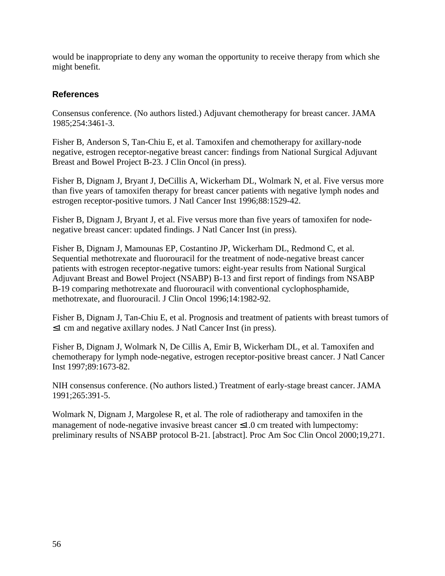would be inappropriate to deny any woman the opportunity to receive therapy from which she might benefit.

## **References**

Consensus conference. (No authors listed.) Adjuvant chemotherapy for breast cancer. JAMA 1985;254:3461-3.

Fisher B, Anderson S, Tan-Chiu E, et al. Tamoxifen and chemotherapy for axillary-node negative, estrogen receptor-negative breast cancer: findings from National Surgical Adjuvant Breast and Bowel Project B-23. J Clin Oncol (in press).

Fisher B, Dignam J, Bryant J, DeCillis A, Wickerham DL, Wolmark N, et al. Five versus more than five years of tamoxifen therapy for breast cancer patients with negative lymph nodes and estrogen receptor-positive tumors. J Natl Cancer Inst 1996;88:1529-42.

Fisher B, Dignam J, Bryant J, et al. Five versus more than five years of tamoxifen for nodenegative breast cancer: updated findings. J Natl Cancer Inst (in press).

Fisher B, Dignam J, Mamounas EP, Costantino JP, Wickerham DL, Redmond C, et al. Sequential methotrexate and fluorouracil for the treatment of node-negative breast cancer patients with estrogen receptor-negative tumors: eight-year results from National Surgical Adjuvant Breast and Bowel Project (NSABP) B-13 and first report of findings from NSABP B-19 comparing methotrexate and fluorouracil with conventional cyclophosphamide, methotrexate, and fluorouracil. J Clin Oncol 1996;14:1982-92.

Fisher B, Dignam J, Tan-Chiu E, et al. Prognosis and treatment of patients with breast tumors of  $\leq$ 1 cm and negative axillary nodes. J Natl Cancer Inst (in press).

Fisher B, Dignam J, Wolmark N, De Cillis A, Emir B, Wickerham DL, et al. Tamoxifen and chemotherapy for lymph node-negative, estrogen receptor-positive breast cancer. J Natl Cancer Inst 1997;89:1673-82.

NIH consensus conference. (No authors listed.) Treatment of early-stage breast cancer. JAMA 1991;265:391-5.

Wolmark N, Dignam J, Margolese R, et al. The role of radiotherapy and tamoxifen in the management of node-negative invasive breast cancer  $\leq 1.0$  cm treated with lumpectomy: preliminary results of NSABP protocol B-21. [abstract]. Proc Am Soc Clin Oncol 2000;19,271.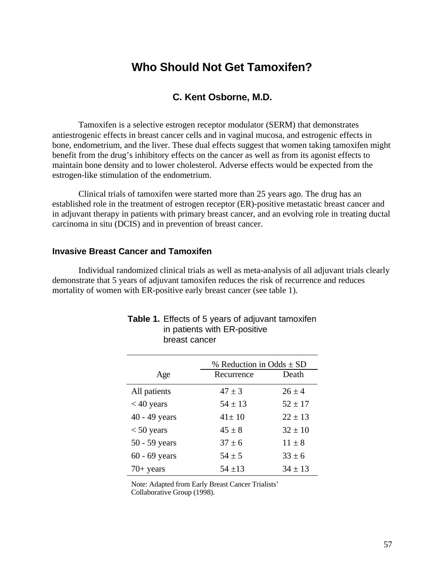# **Who Should Not Get Tamoxifen?**

## **C. Kent Osborne, M.D.**

Tamoxifen is a selective estrogen receptor modulator (SERM) that demonstrates antiestrogenic effects in breast cancer cells and in vaginal mucosa, and estrogenic effects in bone, endometrium, and the liver. These dual effects suggest that women taking tamoxifen might benefit from the drug's inhibitory effects on the cancer as well as from its agonist effects to maintain bone density and to lower cholesterol. Adverse effects would be expected from the estrogen-like stimulation of the endometrium.

Clinical trials of tamoxifen were started more than 25 years ago. The drug has an established role in the treatment of estrogen receptor (ER)-positive metastatic breast cancer and in adjuvant therapy in patients with primary breast cancer, and an evolving role in treating ductal carcinoma in situ (DCIS) and in prevention of breast cancer.

### **Invasive Breast Cancer and Tamoxifen**

Individual randomized clinical trials as well as meta-analysis of all adjuvant trials clearly demonstrate that 5 years of adjuvant tamoxifen reduces the risk of recurrence and reduces mortality of women with ER-positive early breast cancer (see table 1).

|                 | % Reduction in Odds $\pm$ SD |             |  |  |
|-----------------|------------------------------|-------------|--|--|
| Age             | Recurrence                   | Death       |  |  |
| All patients    | $47 \pm 3$                   | $26 + 4$    |  |  |
| $<$ 40 years    | $54 \pm 13$                  | $52 \pm 17$ |  |  |
| $40 - 49$ years | $41 \pm 10$                  | $22 \pm 13$ |  |  |
| $< 50$ years    | $45 + 8$                     | $32 \pm 10$ |  |  |
| 50 - 59 years   | $37 + 6$                     | $11 \pm 8$  |  |  |
| $60 - 69$ years | $54 + 5$                     | $33 \pm 6$  |  |  |
| $70+$ years     | $54 + 13$                    | $34 \pm 13$ |  |  |

#### **Table 1.** Effects of 5 years of adjuvant tamoxifen in patients with ER-positive breast cancer

Note: Adapted from Early Breast Cancer Trialists' Collaborative Group (1998).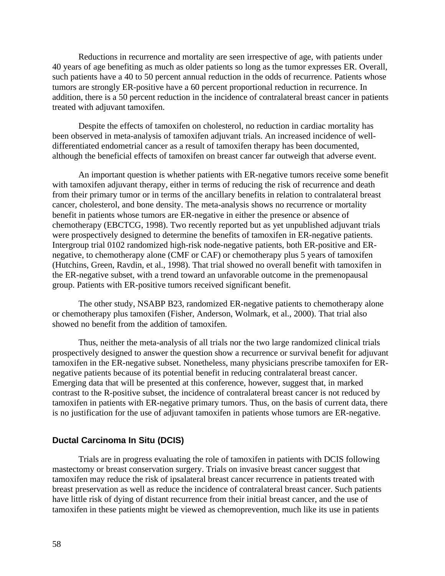Reductions in recurrence and mortality are seen irrespective of age, with patients under 40 years of age benefiting as much as older patients so long as the tumor expresses ER. Overall, such patients have a 40 to 50 percent annual reduction in the odds of recurrence. Patients whose tumors are strongly ER-positive have a 60 percent proportional reduction in recurrence. In addition, there is a 50 percent reduction in the incidence of contralateral breast cancer in patients treated with adjuvant tamoxifen.

Despite the effects of tamoxifen on cholesterol, no reduction in cardiac mortality has been observed in meta-analysis of tamoxifen adjuvant trials. An increased incidence of welldifferentiated endometrial cancer as a result of tamoxifen therapy has been documented, although the beneficial effects of tamoxifen on breast cancer far outweigh that adverse event.

An important question is whether patients with ER-negative tumors receive some benefit with tamoxifen adjuvant therapy, either in terms of reducing the risk of recurrence and death from their primary tumor or in terms of the ancillary benefits in relation to contralateral breast cancer, cholesterol, and bone density. The meta-analysis shows no recurrence or mortality benefit in patients whose tumors are ER-negative in either the presence or absence of chemotherapy (EBCTCG, 1998). Two recently reported but as yet unpublished adjuvant trials were prospectively designed to determine the benefits of tamoxifen in ER-negative patients. Intergroup trial 0102 randomized high-risk node-negative patients, both ER-positive and ERnegative, to chemotherapy alone (CMF or CAF) or chemotherapy plus 5 years of tamoxifen (Hutchins, Green, Ravdin, et al., 1998). That trial showed no overall benefit with tamoxifen in the ER-negative subset, with a trend toward an unfavorable outcome in the premenopausal group. Patients with ER-positive tumors received significant benefit.

The other study, NSABP B23, randomized ER-negative patients to chemotherapy alone or chemotherapy plus tamoxifen (Fisher, Anderson, Wolmark, et al., 2000). That trial also showed no benefit from the addition of tamoxifen.

Thus, neither the meta-analysis of all trials nor the two large randomized clinical trials prospectively designed to answer the question show a recurrence or survival benefit for adjuvant tamoxifen in the ER-negative subset. Nonetheless, many physicians prescribe tamoxifen for ERnegative patients because of its potential benefit in reducing contralateral breast cancer. Emerging data that will be presented at this conference, however, suggest that, in marked contrast to the R-positive subset, the incidence of contralateral breast cancer is not reduced by tamoxifen in patients with ER-negative primary tumors. Thus, on the basis of current data, there is no justification for the use of adjuvant tamoxifen in patients whose tumors are ER-negative.

### **Ductal Carcinoma In Situ (DCIS)**

Trials are in progress evaluating the role of tamoxifen in patients with DCIS following mastectomy or breast conservation surgery. Trials on invasive breast cancer suggest that tamoxifen may reduce the risk of ipsalateral breast cancer recurrence in patients treated with breast preservation as well as reduce the incidence of contralateral breast cancer. Such patients have little risk of dying of distant recurrence from their initial breast cancer, and the use of tamoxifen in these patients might be viewed as chemoprevention, much like its use in patients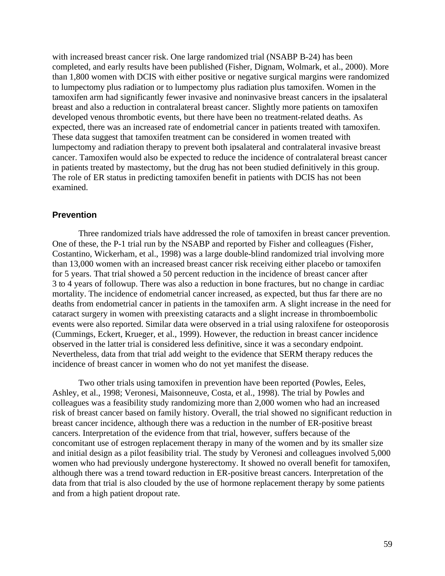with increased breast cancer risk. One large randomized trial (NSABP B-24) has been completed, and early results have been published (Fisher, Dignam, Wolmark, et al., 2000). More than 1,800 women with DCIS with either positive or negative surgical margins were randomized to lumpectomy plus radiation or to lumpectomy plus radiation plus tamoxifen. Women in the tamoxifen arm had significantly fewer invasive and noninvasive breast cancers in the ipsalateral breast and also a reduction in contralateral breast cancer. Slightly more patients on tamoxifen developed venous thrombotic events, but there have been no treatment-related deaths. As expected, there was an increased rate of endometrial cancer in patients treated with tamoxifen. These data suggest that tamoxifen treatment can be considered in women treated with lumpectomy and radiation therapy to prevent both ipsalateral and contralateral invasive breast cancer. Tamoxifen would also be expected to reduce the incidence of contralateral breast cancer in patients treated by mastectomy, but the drug has not been studied definitively in this group. The role of ER status in predicting tamoxifen benefit in patients with DCIS has not been examined.

### **Prevention**

Three randomized trials have addressed the role of tamoxifen in breast cancer prevention. One of these, the P-1 trial run by the NSABP and reported by Fisher and colleagues (Fisher, Costantino, Wickerham, et al., 1998) was a large double-blind randomized trial involving more than 13,000 women with an increased breast cancer risk receiving either placebo or tamoxifen for 5 years. That trial showed a 50 percent reduction in the incidence of breast cancer after 3 to 4 years of followup. There was also a reduction in bone fractures, but no change in cardiac mortality. The incidence of endometrial cancer increased, as expected, but thus far there are no deaths from endometrial cancer in patients in the tamoxifen arm. A slight increase in the need for cataract surgery in women with preexisting cataracts and a slight increase in thromboembolic events were also reported. Similar data were observed in a trial using raloxifene for osteoporosis (Cummings, Eckert, Krueger, et al., 1999). However, the reduction in breast cancer incidence observed in the latter trial is considered less definitive, since it was a secondary endpoint. Nevertheless, data from that trial add weight to the evidence that SERM therapy reduces the incidence of breast cancer in women who do not yet manifest the disease.

Two other trials using tamoxifen in prevention have been reported (Powles, Eeles, Ashley, et al., 1998; Veronesi, Maisonneuve, Costa, et al., 1998). The trial by Powles and colleagues was a feasibility study randomizing more than 2,000 women who had an increased risk of breast cancer based on family history. Overall, the trial showed no significant reduction in breast cancer incidence, although there was a reduction in the number of ER-positive breast cancers. Interpretation of the evidence from that trial, however, suffers because of the concomitant use of estrogen replacement therapy in many of the women and by its smaller size and initial design as a pilot feasibility trial. The study by Veronesi and colleagues involved 5,000 women who had previously undergone hysterectomy. It showed no overall benefit for tamoxifen, although there was a trend toward reduction in ER-positive breast cancers. Interpretation of the data from that trial is also clouded by the use of hormone replacement therapy by some patients and from a high patient dropout rate.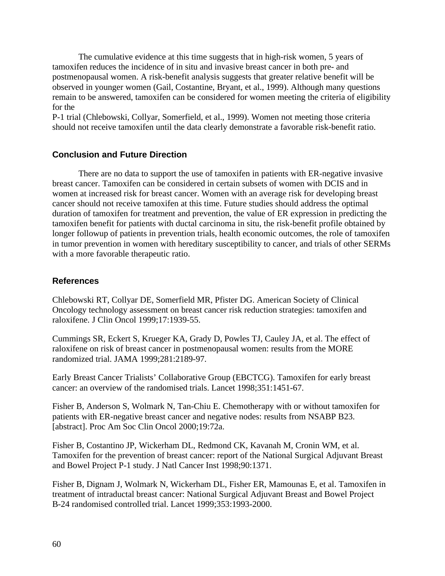The cumulative evidence at this time suggests that in high-risk women, 5 years of tamoxifen reduces the incidence of in situ and invasive breast cancer in both pre- and postmenopausal women. A risk-benefit analysis suggests that greater relative benefit will be observed in younger women (Gail, Costantine, Bryant, et al., 1999). Although many questions remain to be answered, tamoxifen can be considered for women meeting the criteria of eligibility for the

P-1 trial (Chlebowski, Collyar, Somerfield, et al., 1999). Women not meeting those criteria should not receive tamoxifen until the data clearly demonstrate a favorable risk-benefit ratio.

### **Conclusion and Future Direction**

There are no data to support the use of tamoxifen in patients with ER-negative invasive breast cancer. Tamoxifen can be considered in certain subsets of women with DCIS and in women at increased risk for breast cancer. Women with an average risk for developing breast cancer should not receive tamoxifen at this time. Future studies should address the optimal duration of tamoxifen for treatment and prevention, the value of ER expression in predicting the tamoxifen benefit for patients with ductal carcinoma in situ, the risk-benefit profile obtained by longer followup of patients in prevention trials, health economic outcomes, the role of tamoxifen in tumor prevention in women with hereditary susceptibility to cancer, and trials of other SERMs with a more favorable therapeutic ratio.

### **References**

Chlebowski RT, Collyar DE, Somerfield MR, Pfister DG. American Society of Clinical Oncology technology assessment on breast cancer risk reduction strategies: tamoxifen and raloxifene. J Clin Oncol 1999;17:1939-55.

Cummings SR, Eckert S, Krueger KA, Grady D, Powles TJ, Cauley JA, et al. The effect of raloxifene on risk of breast cancer in postmenopausal women: results from the MORE randomized trial. JAMA 1999;281:2189-97.

Early Breast Cancer Trialists' Collaborative Group (EBCTCG). Tamoxifen for early breast cancer: an overview of the randomised trials. Lancet 1998;351:1451-67.

Fisher B, Anderson S, Wolmark N, Tan-Chiu E. Chemotherapy with or without tamoxifen for patients with ER-negative breast cancer and negative nodes: results from NSABP B23. [abstract]. Proc Am Soc Clin Oncol 2000;19:72a.

Fisher B, Costantino JP, Wickerham DL, Redmond CK, Kavanah M, Cronin WM, et al. Tamoxifen for the prevention of breast cancer: report of the National Surgical Adjuvant Breast and Bowel Project P-1 study. J Natl Cancer Inst 1998;90:1371.

Fisher B, Dignam J, Wolmark N, Wickerham DL, Fisher ER, Mamounas E, et al. Tamoxifen in treatment of intraductal breast cancer: National Surgical Adjuvant Breast and Bowel Project B-24 randomised controlled trial. Lancet 1999;353:1993-2000.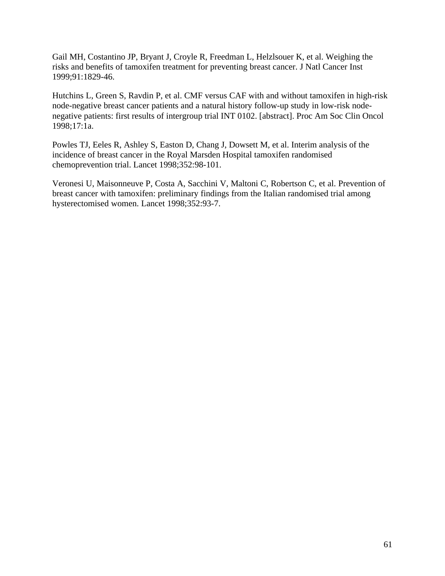Gail MH, Costantino JP, Bryant J, Croyle R, Freedman L, Helzlsouer K, et al. Weighing the risks and benefits of tamoxifen treatment for preventing breast cancer. J Natl Cancer Inst 1999;91:1829-46.

Hutchins L, Green S, Ravdin P, et al. CMF versus CAF with and without tamoxifen in high-risk node-negative breast cancer patients and a natural history follow-up study in low-risk nodenegative patients: first results of intergroup trial INT 0102. [abstract]. Proc Am Soc Clin Oncol 1998;17:1a.

Powles TJ, Eeles R, Ashley S, Easton D, Chang J, Dowsett M, et al. Interim analysis of the incidence of breast cancer in the Royal Marsden Hospital tamoxifen randomised chemoprevention trial. Lancet 1998;352:98-101.

Veronesi U, Maisonneuve P, Costa A, Sacchini V, Maltoni C, Robertson C, et al. Prevention of breast cancer with tamoxifen: preliminary findings from the Italian randomised trial among hysterectomised women. Lancet 1998;352:93-7.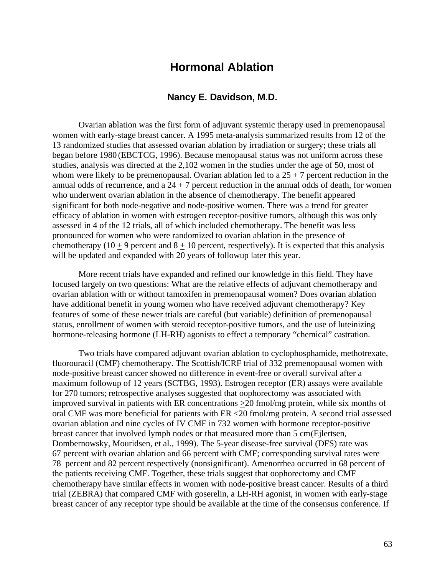## **Hormonal Ablation**

### **Nancy E. Davidson, M.D.**

Ovarian ablation was the first form of adjuvant systemic therapy used in premenopausal women with early-stage breast cancer. A 1995 meta-analysis summarized results from 12 of the 13 randomized studies that assessed ovarian ablation by irradiation or surgery; these trials all began before 1980 (EBCTCG, 1996). Because menopausal status was not uniform across these studies, analysis was directed at the 2,102 women in the studies under the age of 50, most of whom were likely to be premenopausal. Ovarian ablation led to a  $25 + 7$  percent reduction in the annual odds of recurrence, and a  $24 + 7$  percent reduction in the annual odds of death, for women who underwent ovarian ablation in the absence of chemotherapy. The benefit appeared significant for both node-negative and node-positive women. There was a trend for greater efficacy of ablation in women with estrogen receptor-positive tumors, although this was only assessed in 4 of the 12 trials, all of which included chemotherapy. The benefit was less pronounced for women who were randomized to ovarian ablation in the presence of chemotherapy (10 + 9 percent and  $8 + 10$  percent, respectively). It is expected that this analysis will be updated and expanded with 20 years of followup later this year.

More recent trials have expanded and refined our knowledge in this field. They have focused largely on two questions: What are the relative effects of adjuvant chemotherapy and ovarian ablation with or without tamoxifen in premenopausal women? Does ovarian ablation have additional benefit in young women who have received adjuvant chemotherapy? Key features of some of these newer trials are careful (but variable) definition of premenopausal status, enrollment of women with steroid receptor-positive tumors, and the use of luteinizing hormone-releasing hormone (LH-RH) agonists to effect a temporary "chemical" castration.

Two trials have compared adjuvant ovarian ablation to cyclophosphamide, methotrexate, fluorouracil (CMF) chemotherapy. The Scottish/ICRF trial of 332 premenopausal women with node-positive breast cancer showed no difference in event-free or overall survival after a maximum followup of 12 years (SCTBG, 1993). Estrogen receptor (ER) assays were available for 270 tumors; retrospective analyses suggested that oophorectomy was associated with improved survival in patients with ER concentrations  $\geq$  20 fmol/mg protein, while six months of oral CMF was more beneficial for patients with ER <20 fmol/mg protein. A second trial assessed ovarian ablation and nine cycles of IV CMF in 732 women with hormone receptor-positive breast cancer that involved lymph nodes or that measured more than 5 cm(Ejlertsen, Dombernowsky, Mouridsen, et al., 1999). The 5-year disease-free survival (DFS) rate was 67 percent with ovarian ablation and 66 percent with CMF; corresponding survival rates were 78 percent and 82 percent respectively (nonsignificant). Amenorrhea occurred in 68 percent of the patients receiving CMF. Together, these trials suggest that oophorectomy and CMF chemotherapy have similar effects in women with node-positive breast cancer. Results of a third trial (ZEBRA) that compared CMF with goserelin, a LH-RH agonist, in women with early-stage breast cancer of any receptor type should be available at the time of the consensus conference. If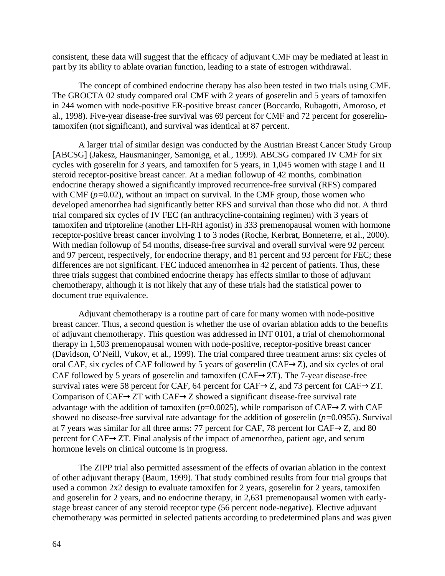consistent, these data will suggest that the efficacy of adjuvant CMF may be mediated at least in part by its ability to ablate ovarian function, leading to a state of estrogen withdrawal.

The concept of combined endocrine therapy has also been tested in two trials using CMF. The GROCTA 02 study compared oral CMF with 2 years of goserelin and 5 years of tamoxifen in 244 women with node-positive ER-positive breast cancer (Boccardo, Rubagotti, Amoroso, et al., 1998). Five-year disease-free survival was 69 percent for CMF and 72 percent for goserelintamoxifen (not significant), and survival was identical at 87 percent.

A larger trial of similar design was conducted by the Austrian Breast Cancer Study Group [ABCSG] (Jakesz, Hausmaninger, Samonigg, et al., 1999). ABCSG compared IV CMF for six cycles with goserelin for 3 years, and tamoxifen for 5 years, in 1,045 women with stage I and II steroid receptor-positive breast cancer. At a median followup of 42 months, combination endocrine therapy showed a significantly improved recurrence-free survival (RFS) compared with CMF ( $p=0.02$ ), without an impact on survival. In the CMF group, those women who developed amenorrhea had significantly better RFS and survival than those who did not. A third trial compared six cycles of IV FEC (an anthracycline-containing regimen) with 3 years of tamoxifen and triptoreline (another LH-RH agonist) in 333 premenopausal women with hormone receptor-positive breast cancer involving 1 to 3 nodes (Roche, Kerbrat, Bonneterre, et al., 2000). With median followup of 54 months, disease-free survival and overall survival were 92 percent and 97 percent, respectively, for endocrine therapy, and 81 percent and 93 percent for FEC; these differences are not significant. FEC induced amenorrhea in 42 percent of patients. Thus, these three trials suggest that combined endocrine therapy has effects similar to those of adjuvant chemotherapy, although it is not likely that any of these trials had the statistical power to document true equivalence.

Adjuvant chemotherapy is a routine part of care for many women with node-positive breast cancer. Thus, a second question is whether the use of ovarian ablation adds to the benefits of adjuvant chemotherapy. This question was addressed in INT 0101, a trial of chemohormonal therapy in 1,503 premenopausal women with node-positive, receptor-positive breast cancer (Davidson, O'Neill, Vukov, et al., 1999). The trial compared three treatment arms: six cycles of oral CAF, six cycles of CAF followed by 5 years of goserelin (CAF $\rightarrow$ Z), and six cycles of oral CAF followed by 5 years of goserelin and tamoxifen (CAF $\rightarrow$ ZT). The 7-year disease-free survival rates were 58 percent for CAF, 64 percent for CAF $\rightarrow$ Z, and 73 percent for CAF $\rightarrow$ ZT. Comparison of CAF $\rightarrow$ ZT with CAF $\rightarrow$ Z showed a significant disease-free survival rate advantage with the addition of tamoxifen ( $p=0.0025$ ), while comparison of CAF $\rightarrow$ Z with CAF showed no disease-free survival rate advantage for the addition of goserelin (*p=*0.0955). Survival at 7 years was similar for all three arms: 77 percent for CAF, 78 percent for CAF $\rightarrow$ Z, and 80 percent for CAF $\rightarrow$ ZT. Final analysis of the impact of amenorrhea, patient age, and serum hormone levels on clinical outcome is in progress.

The ZIPP trial also permitted assessment of the effects of ovarian ablation in the context of other adjuvant therapy (Baum, 1999). That study combined results from four trial groups that used a common 2x2 design to evaluate tamoxifen for 2 years, goserelin for 2 years, tamoxifen and goserelin for 2 years, and no endocrine therapy, in 2,631 premenopausal women with earlystage breast cancer of any steroid receptor type (56 percent node-negative). Elective adjuvant chemotherapy was permitted in selected patients according to predetermined plans and was given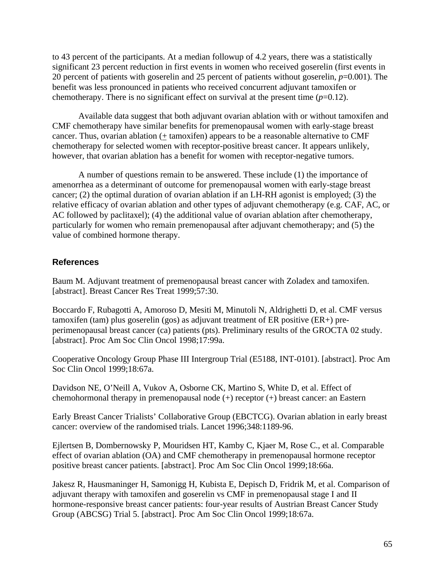to 43 percent of the participants. At a median followup of 4.2 years, there was a statistically significant 23 percent reduction in first events in women who received goserelin (first events in 20 percent of patients with goserelin and 25 percent of patients without goserelin, *p*=0.001). The benefit was less pronounced in patients who received concurrent adjuvant tamoxifen or chemotherapy. There is no significant effect on survival at the present time  $(p=0.12)$ .

Available data suggest that both adjuvant ovarian ablation with or without tamoxifen and CMF chemotherapy have similar benefits for premenopausal women with early-stage breast cancer. Thus, ovarian ablation (+ tamoxifen) appears to be a reasonable alternative to CMF chemotherapy for selected women with receptor-positive breast cancer. It appears unlikely, however, that ovarian ablation has a benefit for women with receptor-negative tumors.

A number of questions remain to be answered. These include (1) the importance of amenorrhea as a determinant of outcome for premenopausal women with early-stage breast cancer; (2) the optimal duration of ovarian ablation if an LH-RH agonist is employed; (3) the relative efficacy of ovarian ablation and other types of adjuvant chemotherapy (e.g. CAF, AC, or AC followed by paclitaxel); (4) the additional value of ovarian ablation after chemotherapy, particularly for women who remain premenopausal after adjuvant chemotherapy; and (5) the value of combined hormone therapy.

### **References**

Baum M. Adjuvant treatment of premenopausal breast cancer with Zoladex and tamoxifen. [abstract]. Breast Cancer Res Treat 1999;57:30.

Boccardo F, Rubagotti A, Amoroso D, Mesiti M, Minutoli N, Aldrighetti D, et al. CMF versus tamoxifen (tam) plus goserelin (gos) as adjuvant treatment of ER positive (ER+) preperimenopausal breast cancer (ca) patients (pts). Preliminary results of the GROCTA 02 study. [abstract]. Proc Am Soc Clin Oncol 1998;17:99a.

Cooperative Oncology Group Phase III Intergroup Trial (E5188, INT-0101). [abstract]. Proc Am Soc Clin Oncol 1999;18:67a.

Davidson NE, O'Neill A, Vukov A, Osborne CK, Martino S, White D, et al. Effect of chemohormonal therapy in premenopausal node (+) receptor (+) breast cancer: an Eastern

Early Breast Cancer Trialists' Collaborative Group (EBCTCG). Ovarian ablation in early breast cancer: overview of the randomised trials. Lancet 1996;348:1189-96.

Ejlertsen B, Dombernowsky P, Mouridsen HT, Kamby C, Kjaer M, Rose C., et al. Comparable effect of ovarian ablation (OA) and CMF chemotherapy in premenopausal hormone receptor positive breast cancer patients. [abstract]. Proc Am Soc Clin Oncol 1999;18:66a.

Jakesz R, Hausmaninger H, Samonigg H, Kubista E, Depisch D, Fridrik M, et al. Comparison of adjuvant therapy with tamoxifen and goserelin vs CMF in premenopausal stage I and II hormone-responsive breast cancer patients: four-year results of Austrian Breast Cancer Study Group (ABCSG) Trial 5. [abstract]. Proc Am Soc Clin Oncol 1999;18:67a.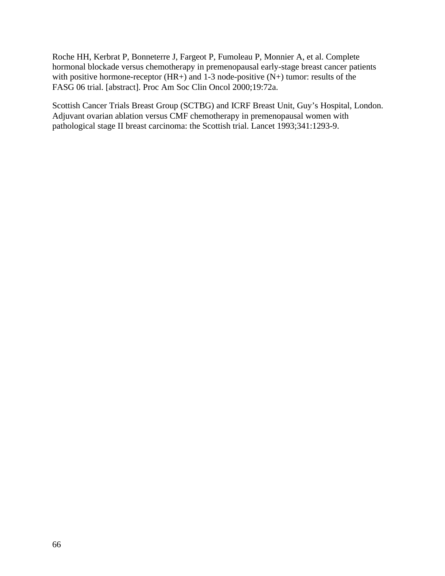Roche HH, Kerbrat P, Bonneterre J, Fargeot P, Fumoleau P, Monnier A, et al. Complete hormonal blockade versus chemotherapy in premenopausal early-stage breast cancer patients with positive hormone-receptor  $(HR+)$  and 1-3 node-positive  $(N+)$  tumor: results of the FASG 06 trial. [abstract]. Proc Am Soc Clin Oncol 2000;19:72a.

Scottish Cancer Trials Breast Group (SCTBG) and ICRF Breast Unit, Guy's Hospital, London. Adjuvant ovarian ablation versus CMF chemotherapy in premenopausal women with pathological stage II breast carcinoma: the Scottish trial. Lancet 1993;341:1293-9.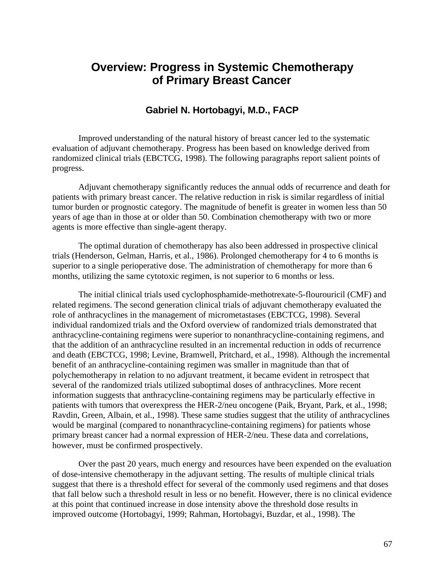# **Overview: Progress in Systemic Chemotherapy of Primary Breast Cancer**

## **Gabriel N. Hortobagyi, M.D., FACP**

Improved understanding of the natural history of breast cancer led to the systematic evaluation of adjuvant chemotherapy. Progress has been based on knowledge derived from randomized clinical trials (EBCTCG, 1998). The following paragraphs report salient points of progress.

Adjuvant chemotherapy significantly reduces the annual odds of recurrence and death for patients with primary breast cancer. The relative reduction in risk is similar regardless of initial tumor burden or prognostic category. The magnitude of benefit is greater in women less than 50 years of age than in those at or older than 50. Combination chemotherapy with two or more agents is more effective than single-agent therapy.

The optimal duration of chemotherapy has also been addressed in prospective clinical trials (Henderson, Gelman, Harris, et al., 1986). Prolonged chemotherapy for 4 to 6 months is superior to a single perioperative dose. The administration of chemotherapy for more than 6 months, utilizing the same cytotoxic regimen, is not superior to 6 months or less.

The initial clinical trials used cyclophosphamide-methotrexate-5-flourouricil (CMF) and related regimens. The second generation clinical trials of adjuvant chemotherapy evaluated the role of anthracyclines in the management of micrometastases (EBCTCG, 1998). Several individual randomized trials and the Oxford overview of randomized trials demonstrated that anthracycline-containing regimens were superior to nonanthracycline-containing regimens, and that the addition of an anthracycline resulted in an incremental reduction in odds of recurrence and death (EBCTCG, 1998; Levine, Bramwell, Pritchard, et al., 1998). Although the incremental benefit of an anthracycline-containing regimen was smaller in magnitude than that of polychemotherapy in relation to no adjuvant treatment, it became evident in retrospect that several of the randomized trials utilized suboptimal doses of anthracyclines. More recent information suggests that anthracycline-containing regimens may be particularly effective in patients with tumors that overexpress the HER-2/neu oncogene (Paik, Bryant, Park, et al., 1998; Ravdin, Green, Albain, et al., 1998). These same studies suggest that the utility of anthracyclines would be marginal (compared to nonanthracycline-containing regimens) for patients whose primary breast cancer had a normal expression of HER-2/neu. These data and correlations, however, must be confirmed prospectively.

Over the past 20 years, much energy and resources have been expended on the evaluation of dose-intensive chemotherapy in the adjuvant setting. The results of multiple clinical trials suggest that there is a threshold effect for several of the commonly used regimens and that doses that fall below such a threshold result in less or no benefit. However, there is no clinical evidence at this point that continued increase in dose intensity above the threshold dose results in improved outcome (Hortobagyi, 1999; Rahman, Hortobagyi, Buzdar, et al., 1998). The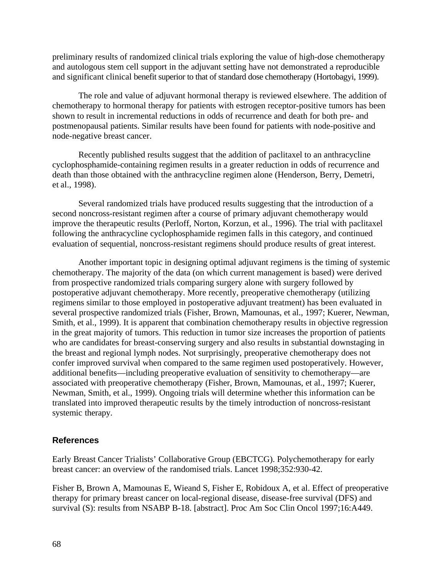preliminary results of randomized clinical trials exploring the value of high-dose chemotherapy and autologous stem cell support in the adjuvant setting have not demonstrated a reproducible and significant clinical benefit superior to that of standard dose chemotherapy (Hortobagyi, 1999).

The role and value of adjuvant hormonal therapy is reviewed elsewhere. The addition of chemotherapy to hormonal therapy for patients with estrogen receptor-positive tumors has been shown to result in incremental reductions in odds of recurrence and death for both pre- and postmenopausal patients. Similar results have been found for patients with node-positive and node-negative breast cancer.

Recently published results suggest that the addition of paclitaxel to an anthracycline cyclophosphamide-containing regimen results in a greater reduction in odds of recurrence and death than those obtained with the anthracycline regimen alone (Henderson, Berry, Demetri, et al., 1998).

Several randomized trials have produced results suggesting that the introduction of a second noncross-resistant regimen after a course of primary adjuvant chemotherapy would improve the therapeutic results (Perloff, Norton, Korzun, et al., 1996). The trial with paclitaxel following the anthracycline cyclophosphamide regimen falls in this category, and continued evaluation of sequential, noncross-resistant regimens should produce results of great interest.

Another important topic in designing optimal adjuvant regimens is the timing of systemic chemotherapy. The majority of the data (on which current management is based) were derived from prospective randomized trials comparing surgery alone with surgery followed by postoperative adjuvant chemotherapy. More recently, preoperative chemotherapy (utilizing regimens similar to those employed in postoperative adjuvant treatment) has been evaluated in several prospective randomized trials (Fisher, Brown, Mamounas, et al., 1997; Kuerer, Newman, Smith, et al., 1999). It is apparent that combination chemotherapy results in objective regression in the great majority of tumors. This reduction in tumor size increases the proportion of patients who are candidates for breast-conserving surgery and also results in substantial downstaging in the breast and regional lymph nodes. Not surprisingly, preoperative chemotherapy does not confer improved survival when compared to the same regimen used postoperatively. However, additional benefits—including preoperative evaluation of sensitivity to chemotherapy—are associated with preoperative chemotherapy (Fisher, Brown, Mamounas, et al., 1997; Kuerer, Newman, Smith, et al., 1999). Ongoing trials will determine whether this information can be translated into improved therapeutic results by the timely introduction of noncross-resistant systemic therapy.

### **References**

Early Breast Cancer Trialists' Collaborative Group (EBCTCG). Polychemotherapy for early breast cancer: an overview of the randomised trials. Lancet 1998;352:930-42.

Fisher B, Brown A, Mamounas E, Wieand S, Fisher E, Robidoux A, et al. Effect of preoperative therapy for primary breast cancer on local-regional disease, disease-free survival (DFS) and survival (S): results from NSABP B-18. [abstract]. Proc Am Soc Clin Oncol 1997;16:A449.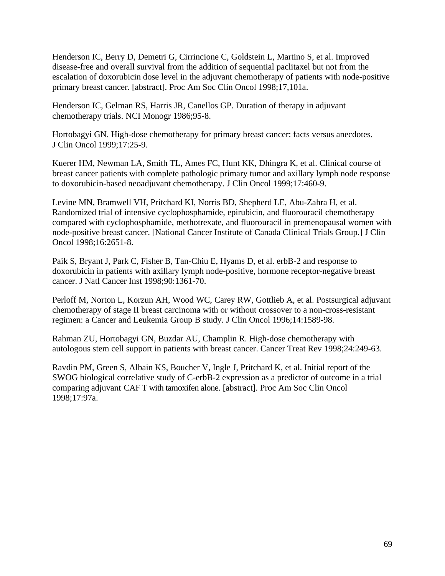Henderson IC, Berry D, Demetri G, Cirrincione C, Goldstein L, Martino S, et al. Improved disease-free and overall survival from the addition of sequential paclitaxel but not from the escalation of doxorubicin dose level in the adjuvant chemotherapy of patients with node-positive primary breast cancer. [abstract]. Proc Am Soc Clin Oncol 1998;17,101a.

Henderson IC, Gelman RS, Harris JR, Canellos GP. Duration of therapy in adjuvant chemotherapy trials. NCI Monogr 1986;95-8.

Hortobagyi GN. High-dose chemotherapy for primary breast cancer: facts versus anecdotes. J Clin Oncol 1999;17:25-9.

Kuerer HM, Newman LA, Smith TL, Ames FC, Hunt KK, Dhingra K, et al. Clinical course of breast cancer patients with complete pathologic primary tumor and axillary lymph node response to doxorubicin-based neoadjuvant chemotherapy. J Clin Oncol 1999;17:460-9.

Levine MN, Bramwell VH, Pritchard KI, Norris BD, Shepherd LE, Abu-Zahra H, et al. Randomized trial of intensive cyclophosphamide, epirubicin, and fluorouracil chemotherapy compared with cyclophosphamide, methotrexate, and fluorouracil in premenopausal women with node-positive breast cancer. [National Cancer Institute of Canada Clinical Trials Group.] J Clin Oncol 1998;16:2651-8.

Paik S, Bryant J, Park C, Fisher B, Tan-Chiu E, Hyams D, et al. erbB-2 and response to doxorubicin in patients with axillary lymph node-positive, hormone receptor-negative breast cancer. J Natl Cancer Inst 1998;90:1361-70.

Perloff M, Norton L, Korzun AH, Wood WC, Carey RW, Gottlieb A, et al. Postsurgical adjuvant chemotherapy of stage II breast carcinoma with or without crossover to a non-cross-resistant regimen: a Cancer and Leukemia Group B study. J Clin Oncol 1996;14:1589-98.

Rahman ZU, Hortobagyi GN, Buzdar AU, Champlin R. High-dose chemotherapy with autologous stem cell support in patients with breast cancer. Cancer Treat Rev 1998;24:249-63.

Ravdin PM, Green S, Albain KS, Boucher V, Ingle J, Pritchard K, et al. Initial report of the SWOG biological correlative study of C-erbB-2 expression as a predictor of outcome in a trial comparing adjuvant CAF T with tamoxifen alone. [abstract]. Proc Am Soc Clin Oncol 1998;17:97a.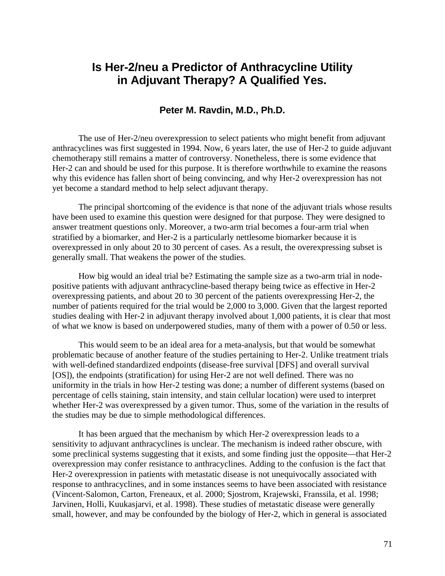# **Is Her-2/neu a Predictor of Anthracycline Utility in Adjuvant Therapy? A Qualified Yes.**

## **Peter M. Ravdin, M.D., Ph.D.**

The use of Her-2/neu overexpression to select patients who might benefit from adjuvant anthracyclines was first suggested in 1994. Now, 6 years later, the use of Her-2 to guide adjuvant chemotherapy still remains a matter of controversy. Nonetheless, there is some evidence that Her-2 can and should be used for this purpose. It is therefore worthwhile to examine the reasons why this evidence has fallen short of being convincing, and why Her-2 overexpression has not yet become a standard method to help select adjuvant therapy.

The principal shortcoming of the evidence is that none of the adjuvant trials whose results have been used to examine this question were designed for that purpose. They were designed to answer treatment questions only. Moreover, a two-arm trial becomes a four-arm trial when stratified by a biomarker, and Her-2 is a particularly nettlesome biomarker because it is overexpressed in only about 20 to 30 percent of cases. As a result, the overexpressing subset is generally small. That weakens the power of the studies.

How big would an ideal trial be? Estimating the sample size as a two-arm trial in nodepositive patients with adjuvant anthracycline-based therapy being twice as effective in Her-2 overexpressing patients, and about 20 to 30 percent of the patients overexpressing Her-2, the number of patients required for the trial would be 2,000 to 3,000. Given that the largest reported studies dealing with Her-2 in adjuvant therapy involved about 1,000 patients, it is clear that most of what we know is based on underpowered studies, many of them with a power of 0.50 or less.

This would seem to be an ideal area for a meta-analysis, but that would be somewhat problematic because of another feature of the studies pertaining to Her-2. Unlike treatment trials with well-defined standardized endpoints (disease-free survival [DFS] and overall survival [OS]), the endpoints (stratification) for using Her-2 are not well defined. There was no uniformity in the trials in how Her-2 testing was done; a number of different systems (based on percentage of cells staining, stain intensity, and stain cellular location) were used to interpret whether Her-2 was overexpressed by a given tumor. Thus, some of the variation in the results of the studies may be due to simple methodological differences.

It has been argued that the mechanism by which Her-2 overexpression leads to a sensitivity to adjuvant anthracyclines is unclear. The mechanism is indeed rather obscure, with some preclinical systems suggesting that it exists, and some finding just the opposite—that Her-2 overexpression may confer resistance to anthracyclines. Adding to the confusion is the fact that Her-2 overexpression in patients with metastatic disease is not unequivocally associated with response to anthracyclines, and in some instances seems to have been associated with resistance (Vincent-Salomon, Carton, Freneaux, et al. 2000; Sjostrom, Krajewski, Franssila, et al. 1998; Jarvinen, Holli, Kuukasjarvi, et al. 1998). These studies of metastatic disease were generally small, however, and may be confounded by the biology of Her-2, which in general is associated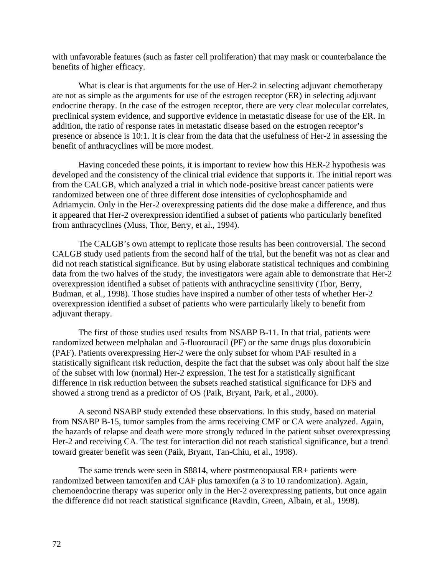with unfavorable features (such as faster cell proliferation) that may mask or counterbalance the benefits of higher efficacy.

What is clear is that arguments for the use of Her-2 in selecting adjuvant chemotherapy are not as simple as the arguments for use of the estrogen receptor (ER) in selecting adjuvant endocrine therapy. In the case of the estrogen receptor, there are very clear molecular correlates, preclinical system evidence, and supportive evidence in metastatic disease for use of the ER. In addition, the ratio of response rates in metastatic disease based on the estrogen receptor's presence or absence is 10:1. It is clear from the data that the usefulness of Her-2 in assessing the benefit of anthracyclines will be more modest.

Having conceded these points, it is important to review how this HER-2 hypothesis was developed and the consistency of the clinical trial evidence that supports it. The initial report was from the CALGB, which analyzed a trial in which node-positive breast cancer patients were randomized between one of three different dose intensities of cyclophosphamide and Adriamycin. Only in the Her-2 overexpressing patients did the dose make a difference, and thus it appeared that Her-2 overexpression identified a subset of patients who particularly benefited from anthracyclines (Muss, Thor, Berry, et al., 1994).

The CALGB's own attempt to replicate those results has been controversial. The second CALGB study used patients from the second half of the trial, but the benefit was not as clear and did not reach statistical significance. But by using elaborate statistical techniques and combining data from the two halves of the study, the investigators were again able to demonstrate that Her-2 overexpression identified a subset of patients with anthracycline sensitivity (Thor, Berry, Budman, et al., 1998). Those studies have inspired a number of other tests of whether Her-2 overexpression identified a subset of patients who were particularly likely to benefit from adjuvant therapy.

The first of those studies used results from NSABP B-11. In that trial, patients were randomized between melphalan and 5-fluorouracil (PF) or the same drugs plus doxorubicin (PAF). Patients overexpressing Her-2 were the only subset for whom PAF resulted in a statistically significant risk reduction, despite the fact that the subset was only about half the size of the subset with low (normal) Her-2 expression. The test for a statistically significant difference in risk reduction between the subsets reached statistical significance for DFS and showed a strong trend as a predictor of OS (Paik, Bryant, Park, et al., 2000).

A second NSABP study extended these observations. In this study, based on material from NSABP B-15, tumor samples from the arms receiving CMF or CA were analyzed. Again, the hazards of relapse and death were more strongly reduced in the patient subset overexpressing Her-2 and receiving CA. The test for interaction did not reach statistical significance, but a trend toward greater benefit was seen (Paik, Bryant, Tan-Chiu, et al., 1998).

The same trends were seen in S8814, where postmenopausal ER+ patients were randomized between tamoxifen and CAF plus tamoxifen (a 3 to 10 randomization). Again, chemoendocrine therapy was superior only in the Her-2 overexpressing patients, but once again the difference did not reach statistical significance (Ravdin, Green, Albain, et al., 1998).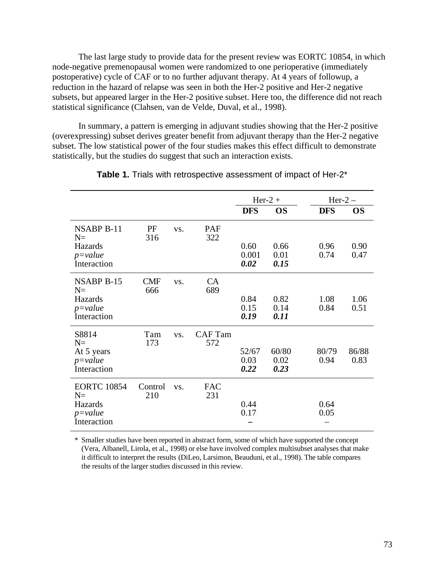The last large study to provide data for the present review was EORTC 10854, in which node-negative premenopausal women were randomized to one perioperative (immediately postoperative) cycle of CAF or to no further adjuvant therapy. At 4 years of followup, a reduction in the hazard of relapse was seen in both the Her-2 positive and Her-2 negative subsets, but appeared larger in the Her-2 positive subset. Here too, the difference did not reach statistical significance (Clahsen, van de Velde, Duval, et al., 1998).

In summary, a pattern is emerging in adjuvant studies showing that the Her-2 positive (overexpressing) subset derives greater benefit from adjuvant therapy than the Her-2 negative subset. The low statistical power of the four studies makes this effect difficult to demonstrate statistically, but the studies do suggest that such an interaction exists.

|                             |                   |     |                       |               | $Her-2 +$    | $Her-2-$   |           |
|-----------------------------|-------------------|-----|-----------------------|---------------|--------------|------------|-----------|
|                             |                   |     |                       | <b>DFS</b>    | <b>OS</b>    | <b>DFS</b> | <b>OS</b> |
| <b>NSABP B-11</b><br>$N =$  | PF<br>316         | VS. | PAF<br>322            |               |              |            |           |
| Hazards                     |                   |     |                       | 0.60          | 0.66         | 0.96       | 0.90      |
| $p = value$<br>Interaction  |                   |     |                       | 0.001<br>0.02 | 0.01<br>0.15 | 0.74       | 0.47      |
| <b>NSABP B-15</b><br>$N =$  | <b>CMF</b><br>666 | VS. | <b>CA</b><br>689      |               |              |            |           |
| Hazards                     |                   |     |                       | 0.84          | 0.82         | 1.08       | 1.06      |
| $p = value$<br>Interaction  |                   |     |                       | 0.15<br>0.19  | 0.14<br>0.11 | 0.84       | 0.51      |
|                             |                   |     |                       |               |              |            |           |
| S8814<br>$N =$              | Tam<br>173        | VS. | <b>CAF</b> Tam<br>572 |               |              |            |           |
| At 5 years                  |                   |     |                       | 52/67         | 60/80        | 80/79      | 86/88     |
| $p = value$<br>Interaction  |                   |     |                       | 0.03<br>0.22  | 0.02<br>0.23 | 0.94       | 0.83      |
| <b>EORTC 10854</b><br>$N =$ | Control<br>210    | VS. | <b>FAC</b><br>231     |               |              |            |           |
| Hazards                     |                   |     |                       | 0.44          |              | 0.64       |           |
| $p = value$<br>Interaction  |                   |     |                       | 0.17          |              | 0.05       |           |
|                             |                   |     |                       |               |              |            |           |

| <b>Table 1.</b> Trials with retrospective assessment of impact of Her-2 <sup>*</sup> |  |
|--------------------------------------------------------------------------------------|--|
|--------------------------------------------------------------------------------------|--|

\* Smaller studies have been reported in abstract form, some of which have supported the concept (Vera, Albanell, Lirola, et al., 1998) or else have involved complex multisubset analyses that make it difficult to interpret the results (DiLeo, Larsimon, Beauduni, et al., 1998). The table compares the results of the larger studies discussed in this review.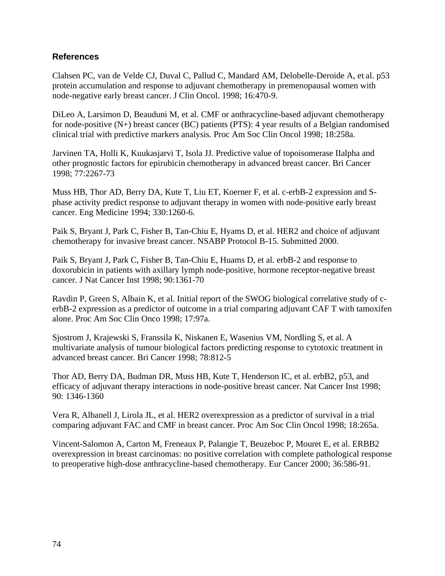## **References**

Clahsen PC, van de Velde CJ, Duval C, Pallud C, Mandard AM, Delobelle-Deroide A, et al. p53 protein accumulation and response to adjuvant chemotherapy in premenopausal women with node-negative early breast cancer. J Clin Oncol. 1998; 16:470-9.

DiLeo A, Larsimon D, Beauduni M, et al. CMF or anthracycline-based adjuvant chemotherapy for node-positive (N+) breast cancer (BC) patients (PTS): 4 year results of a Belgian randomised clinical trial with predictive markers analysis. Proc Am Soc Clin Oncol 1998; 18:258a.

Jarvinen TA, Holli K, Kuukasjarvi T, Isola JJ. Predictive value of topoisomerase IIalpha and other prognostic factors for epirubicin chemotherapy in advanced breast cancer. Bri Cancer 1998; 77:2267-73

Muss HB, Thor AD, Berry DA, Kute T, Liu ET, Koerner F, et al. c-erbB-2 expression and Sphase activity predict response to adjuvant therapy in women with node-positive early breast cancer. Eng Medicine 1994; 330:1260-6.

Paik S, Bryant J, Park C, Fisher B, Tan-Chiu E, Hyams D, et al. HER2 and choice of adjuvant chemotherapy for invasive breast cancer. NSABP Protocol B-15. Submitted 2000.

Paik S, Bryant J, Park C, Fisher B, Tan-Chiu E, Huams D, et al. erbB-2 and response to doxorubicin in patients with axillary lymph node-positive, hormone receptor-negative breast cancer. J Nat Cancer Inst 1998; 90:1361-70

Ravdin P, Green S, Albain K, et al. Initial report of the SWOG biological correlative study of cerbB-2 expression as a predictor of outcome in a trial comparing adjuvant CAF T with tamoxifen alone. Proc Am Soc Clin Onco 1998; 17:97a.

Sjostrom J, Krajewski S, Franssila K, Niskanen E, Wasenius VM, Nordling S, et al. A multivariate analysis of tumour biological factors predicting response to cytotoxic treatment in advanced breast cancer. Bri Cancer 1998; 78:812-5

Thor AD, Berry DA, Budman DR, Muss HB, Kute T, Henderson IC, et al. erbB2, p53, and efficacy of adjuvant therapy interactions in node-positive breast cancer. Nat Cancer Inst 1998; 90: 1346-1360

Vera R, Albanell J, Lirola JL, et al. HER2 overexpression as a predictor of survival in a trial comparing adjuvant FAC and CMF in breast cancer. Proc Am Soc Clin Oncol 1998; 18:265a.

Vincent-Salomon A, Carton M, Freneaux P, Palangie T, Beuzeboc P, Mouret E, et al. ERBB2 overexpression in breast carcinomas: no positive correlation with complete pathological response to preoperative high-dose anthracycline-based chemotherapy. Eur Cancer 2000; 36:586-91.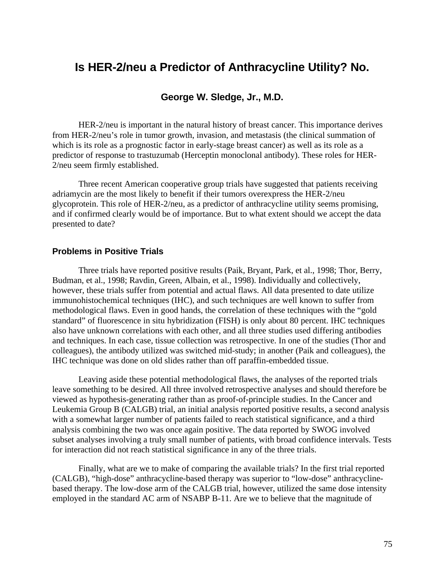## **Is HER-2/neu a Predictor of Anthracycline Utility? No.**

## **George W. Sledge, Jr., M.D.**

HER-2/neu is important in the natural history of breast cancer. This importance derives from HER-2/neu's role in tumor growth, invasion, and metastasis (the clinical summation of which is its role as a prognostic factor in early-stage breast cancer) as well as its role as a predictor of response to trastuzumab (Herceptin monoclonal antibody). These roles for HER-2/neu seem firmly established.

Three recent American cooperative group trials have suggested that patients receiving adriamycin are the most likely to benefit if their tumors overexpress the HER-2/neu glycoprotein. This role of HER-2/neu, as a predictor of anthracycline utility seems promising, and if confirmed clearly would be of importance. But to what extent should we accept the data presented to date?

### **Problems in Positive Trials**

Three trials have reported positive results (Paik, Bryant, Park, et al., 1998; Thor, Berry, Budman, et al., 1998; Ravdin, Green, Albain, et al., 1998). Individually and collectively, however, these trials suffer from potential and actual flaws. All data presented to date utilize immunohistochemical techniques (IHC), and such techniques are well known to suffer from methodological flaws. Even in good hands, the correlation of these techniques with the "gold standard" of fluorescence in situ hybridization (FISH) is only about 80 percent. IHC techniques also have unknown correlations with each other, and all three studies used differing antibodies and techniques. In each case, tissue collection was retrospective. In one of the studies (Thor and colleagues), the antibody utilized was switched mid-study; in another (Paik and colleagues), the IHC technique was done on old slides rather than off paraffin-embedded tissue.

Leaving aside these potential methodological flaws, the analyses of the reported trials leave something to be desired. All three involved retrospective analyses and should therefore be viewed as hypothesis-generating rather than as proof-of-principle studies. In the Cancer and Leukemia Group B (CALGB) trial, an initial analysis reported positive results, a second analysis with a somewhat larger number of patients failed to reach statistical significance, and a third analysis combining the two was once again positive. The data reported by SWOG involved subset analyses involving a truly small number of patients, with broad confidence intervals. Tests for interaction did not reach statistical significance in any of the three trials.

Finally, what are we to make of comparing the available trials? In the first trial reported (CALGB), "high-dose" anthracycline-based therapy was superior to "low-dose" anthracyclinebased therapy. The low-dose arm of the CALGB trial, however, utilized the same dose intensity employed in the standard AC arm of NSABP B-11. Are we to believe that the magnitude of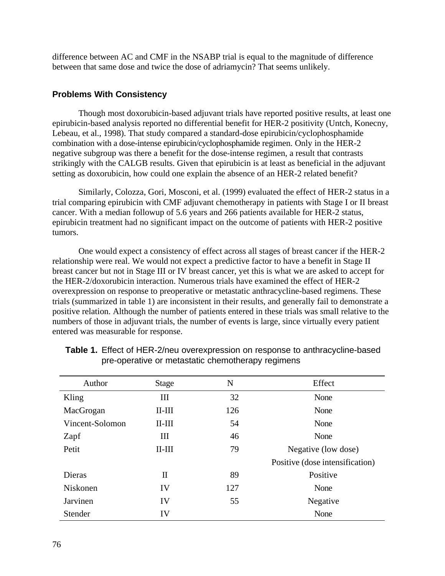difference between AC and CMF in the NSABP trial is equal to the magnitude of difference between that same dose and twice the dose of adriamycin? That seems unlikely.

### **Problems With Consistency**

Though most doxorubicin-based adjuvant trials have reported positive results, at least one epirubicin-based analysis reported no differential benefit for HER-2 positivity (Untch, Konecny, Lebeau, et al., 1998). That study compared a standard-dose epirubicin/cyclophosphamide combination with a dose-intense epirubicin/cyclophosphamide regimen. Only in the HER-2 negative subgroup was there a benefit for the dose-intense regimen, a result that contrasts strikingly with the CALGB results. Given that epirubicin is at least as beneficial in the adjuvant setting as doxorubicin, how could one explain the absence of an HER-2 related benefit?

Similarly, Colozza, Gori, Mosconi, et al. (1999) evaluated the effect of HER-2 status in a trial comparing epirubicin with CMF adjuvant chemotherapy in patients with Stage I or II breast cancer. With a median followup of 5.6 years and 266 patients available for HER-2 status, epirubicin treatment had no significant impact on the outcome of patients with HER-2 positive tumors.

One would expect a consistency of effect across all stages of breast cancer if the HER-2 relationship were real. We would not expect a predictive factor to have a benefit in Stage II breast cancer but not in Stage III or IV breast cancer, yet this is what we are asked to accept for the HER-2/doxorubicin interaction. Numerous trials have examined the effect of HER-2 overexpression on response to preoperative or metastatic anthracycline-based regimens. These trials (summarized in table 1) are inconsistent in their results, and generally fail to demonstrate a positive relation. Although the number of patients entered in these trials was small relative to the numbers of those in adjuvant trials, the number of events is large, since virtually every patient entered was measurable for response.

| Author          | <b>Stage</b> | N   | Effect                          |  |
|-----------------|--------------|-----|---------------------------------|--|
| Kling           | III          | 32  | None                            |  |
| MacGrogan       | $II$ - $III$ | 126 | None                            |  |
| Vincent-Solomon | $II$ - $III$ | 54  | None                            |  |
| Zapf            | Ш            | 46  | None                            |  |
| Petit           | $II$ - $III$ | 79  | Negative (low dose)             |  |
|                 |              |     | Positive (dose intensification) |  |
| Dieras          | $\mathbf{I}$ | 89  | Positive                        |  |
| Niskonen        | IV           | 127 | None                            |  |
| Jarvinen        | IV           | 55  | Negative                        |  |
| Stender         | IV           |     | None                            |  |

| Table 1. Effect of HER-2/neu overexpression on response to anthracycline-based |
|--------------------------------------------------------------------------------|
| pre-operative or metastatic chemotherapy regimens                              |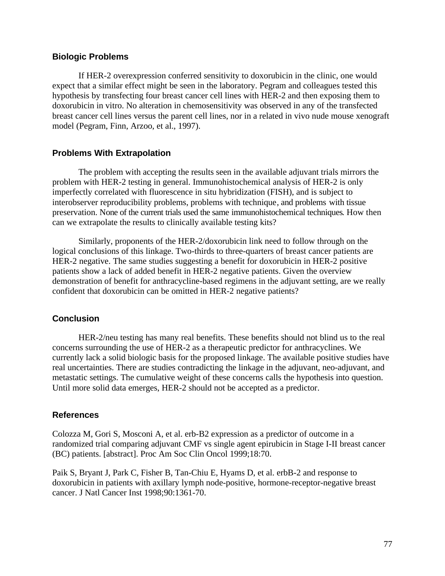#### **Biologic Problems**

If HER-2 overexpression conferred sensitivity to doxorubicin in the clinic, one would expect that a similar effect might be seen in the laboratory. Pegram and colleagues tested this hypothesis by transfecting four breast cancer cell lines with HER-2 and then exposing them to doxorubicin in vitro. No alteration in chemosensitivity was observed in any of the transfected breast cancer cell lines versus the parent cell lines, nor in a related in vivo nude mouse xenograft model (Pegram, Finn, Arzoo, et al., 1997).

### **Problems With Extrapolation**

The problem with accepting the results seen in the available adjuvant trials mirrors the problem with HER-2 testing in general. Immunohistochemical analysis of HER-2 is only imperfectly correlated with fluorescence in situ hybridization (FISH), and is subject to interobserver reproducibility problems, problems with technique, and problems with tissue preservation. None of the current trials used the same immunohistochemical techniques. How then can we extrapolate the results to clinically available testing kits?

Similarly, proponents of the HER-2/doxorubicin link need to follow through on the logical conclusions of this linkage. Two-thirds to three-quarters of breast cancer patients are HER-2 negative. The same studies suggesting a benefit for doxorubicin in HER-2 positive patients show a lack of added benefit in HER-2 negative patients. Given the overview demonstration of benefit for anthracycline-based regimens in the adjuvant setting, are we really confident that doxorubicin can be omitted in HER-2 negative patients?

#### **Conclusion**

HER-2/neu testing has many real benefits. These benefits should not blind us to the real concerns surrounding the use of HER-2 as a therapeutic predictor for anthracyclines. We currently lack a solid biologic basis for the proposed linkage. The available positive studies have real uncertainties. There are studies contradicting the linkage in the adjuvant, neo-adjuvant, and metastatic settings. The cumulative weight of these concerns calls the hypothesis into question. Until more solid data emerges, HER-2 should not be accepted as a predictor.

#### **References**

Colozza M, Gori S, Mosconi A, et al. erb-B2 expression as a predictor of outcome in a randomized trial comparing adjuvant CMF vs single agent epirubicin in Stage I-II breast cancer (BC) patients. [abstract]. Proc Am Soc Clin Oncol 1999;18:70.

Paik S, Bryant J, Park C, Fisher B, Tan-Chiu E, Hyams D, et al. erbB-2 and response to doxorubicin in patients with axillary lymph node-positive, hormone-receptor-negative breast cancer. J Natl Cancer Inst 1998;90:1361-70.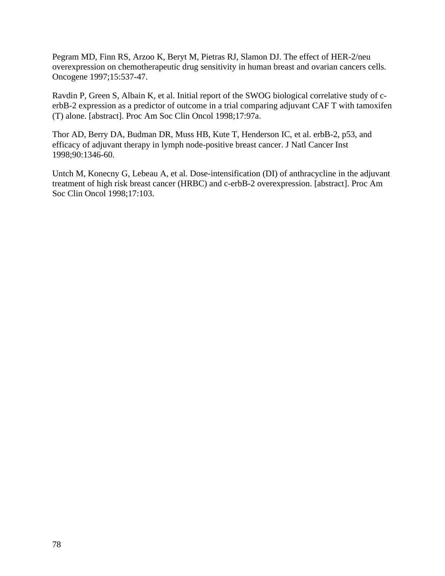Pegram MD, Finn RS, Arzoo K, Beryt M, Pietras RJ, Slamon DJ. The effect of HER-2/neu overexpression on chemotherapeutic drug sensitivity in human breast and ovarian cancers cells. Oncogene 1997;15:537-47.

Ravdin P, Green S, Albain K, et al. Initial report of the SWOG biological correlative study of cerbB-2 expression as a predictor of outcome in a trial comparing adjuvant CAF T with tamoxifen (T) alone. [abstract]. Proc Am Soc Clin Oncol 1998;17:97a.

Thor AD, Berry DA, Budman DR, Muss HB, Kute T, Henderson IC, et al. erbB-2, p53, and efficacy of adjuvant therapy in lymph node-positive breast cancer. J Natl Cancer Inst 1998;90:1346-60.

Untch M, Konecny G, Lebeau A, et al. Dose-intensification (DI) of anthracycline in the adjuvant treatment of high risk breast cancer (HRBC) and c-erbB-2 overexpression. [abstract]. Proc Am Soc Clin Oncol 1998;17:103.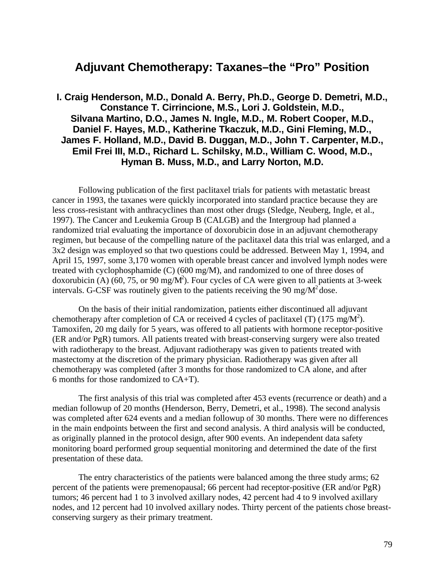# **Adjuvant Chemotherapy: Taxanes–the "Pro" Position**

**I. Craig Henderson, M.D., Donald A. Berry, Ph.D., George D. Demetri, M.D., Constance T. Cirrincione, M.S., Lori J. Goldstein, M.D., Silvana Martino, D.O., James N. Ingle, M.D., M. Robert Cooper, M.D., Daniel F. Hayes, M.D., Katherine Tkaczuk, M.D., Gini Fleming, M.D., James F. Holland, M.D., David B. Duggan, M.D., John T. Carpenter, M.D., Emil Frei III, M.D., Richard L. Schilsky, M.D., William C. Wood, M.D., Hyman B. Muss, M.D., and Larry Norton, M.D.**

Following publication of the first paclitaxel trials for patients with metastatic breast cancer in 1993, the taxanes were quickly incorporated into standard practice because they are less cross-resistant with anthracyclines than most other drugs (Sledge, Neuberg, Ingle, et al., 1997). The Cancer and Leukemia Group B (CALGB) and the Intergroup had planned a randomized trial evaluating the importance of doxorubicin dose in an adjuvant chemotherapy regimen, but because of the compelling nature of the paclitaxel data this trial was enlarged, and a 3x2 design was employed so that two questions could be addressed. Between May 1, 1994, and April 15, 1997, some 3,170 women with operable breast cancer and involved lymph nodes were treated with cyclophosphamide (C) (600 mg/M), and randomized to one of three doses of doxorubicin (A) (60, 75, or 90 mg/M<sup>2</sup>). Four cycles of CA were given to all patients at 3-week intervals. G-CSF was routinely given to the patients receiving the 90 mg/ $M^2$  dose.

On the basis of their initial randomization, patients either discontinued all adjuvant chemotherapy after completion of CA or received 4 cycles of paclitaxel (T) (175 mg/M<sup>2</sup>). Tamoxifen, 20 mg daily for 5 years, was offered to all patients with hormone receptor-positive (ER and/or PgR) tumors. All patients treated with breast-conserving surgery were also treated with radiotherapy to the breast. Adjuvant radiotherapy was given to patients treated with mastectomy at the discretion of the primary physician. Radiotherapy was given after all chemotherapy was completed (after 3 months for those randomized to CA alone, and after 6 months for those randomized to CA+T).

The first analysis of this trial was completed after 453 events (recurrence or death) and a median followup of 20 months (Henderson, Berry, Demetri, et al., 1998). The second analysis was completed after 624 events and a median followup of 30 months. There were no differences in the main endpoints between the first and second analysis. A third analysis will be conducted, as originally planned in the protocol design, after 900 events. An independent data safety monitoring board performed group sequential monitoring and determined the date of the first presentation of these data.

The entry characteristics of the patients were balanced among the three study arms; 62 percent of the patients were premenopausal; 66 percent had receptor-positive (ER and/or PgR) tumors; 46 percent had 1 to 3 involved axillary nodes, 42 percent had 4 to 9 involved axillary nodes, and 12 percent had 10 involved axillary nodes. Thirty percent of the patients chose breastconserving surgery as their primary treatment.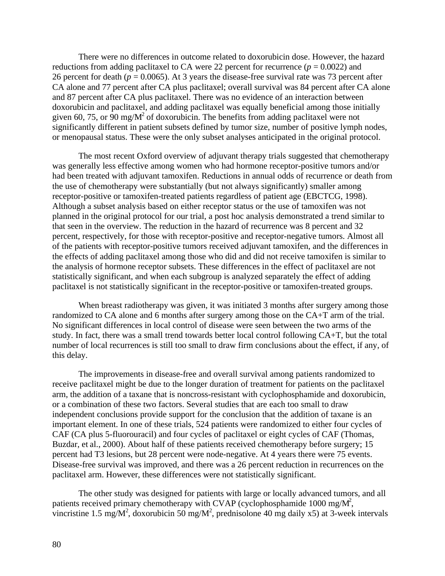There were no differences in outcome related to doxorubicin dose. However, the hazard reductions from adding paclitaxel to CA were 22 percent for recurrence  $(p = 0.0022)$  and 26 percent for death ( $p = 0.0065$ ). At 3 years the disease-free survival rate was 73 percent after CA alone and 77 percent after CA plus paclitaxel; overall survival was 84 percent after CA alone and 87 percent after CA plus paclitaxel. There was no evidence of an interaction between doxorubicin and paclitaxel, and adding paclitaxel was equally beneficial among those initially given 60, 75, or  $90 \text{ mg/M}^2$  of doxorubicin. The benefits from adding paclitaxel were not significantly different in patient subsets defined by tumor size, number of positive lymph nodes, or menopausal status. These were the only subset analyses anticipated in the original protocol.

The most recent Oxford overview of adjuvant therapy trials suggested that chemotherapy was generally less effective among women who had hormone receptor-positive tumors and/or had been treated with adjuvant tamoxifen. Reductions in annual odds of recurrence or death from the use of chemotherapy were substantially (but not always significantly) smaller among receptor-positive or tamoxifen-treated patients regardless of patient age (EBCTCG, 1998). Although a subset analysis based on either receptor status or the use of tamoxifen was not planned in the original protocol for our trial, a post hoc analysis demonstrated a trend similar to that seen in the overview. The reduction in the hazard of recurrence was 8 percent and 32 percent, respectively, for those with receptor-positive and receptor-negative tumors. Almost all of the patients with receptor-positive tumors received adjuvant tamoxifen, and the differences in the effects of adding paclitaxel among those who did and did not receive tamoxifen is similar to the analysis of hormone receptor subsets. These differences in the effect of paclitaxel are not statistically significant, and when each subgroup is analyzed separately the effect of adding paclitaxel is not statistically significant in the receptor-positive or tamoxifen-treated groups.

When breast radiotherapy was given, it was initiated 3 months after surgery among those randomized to CA alone and 6 months after surgery among those on the CA+T arm of the trial. No significant differences in local control of disease were seen between the two arms of the study. In fact, there was a small trend towards better local control following CA+T, but the total number of local recurrences is still too small to draw firm conclusions about the effect, if any, of this delay.

The improvements in disease-free and overall survival among patients randomized to receive paclitaxel might be due to the longer duration of treatment for patients on the paclitaxel arm, the addition of a taxane that is noncross-resistant with cyclophosphamide and doxorubicin, or a combination of these two factors. Several studies that are each too small to draw independent conclusions provide support for the conclusion that the addition of taxane is an important element. In one of these trials, 524 patients were randomized to either four cycles of CAF (CA plus 5-fluorouracil) and four cycles of paclitaxel or eight cycles of CAF (Thomas, Buzdar, et al., 2000). About half of these patients received chemotherapy before surgery; 15 percent had T3 lesions, but 28 percent were node-negative. At 4 years there were 75 events. Disease-free survival was improved, and there was a 26 percent reduction in recurrences on the paclitaxel arm. However, these differences were not statistically significant.

The other study was designed for patients with large or locally advanced tumors, and all patients received primary chemotherapy with CVAP (cyclophosphamide 1000 mg/ $M^2$ , vincristine 1.5 mg/M<sup>2</sup>, doxorubicin 50 mg/M<sup>2</sup>, prednisolone 40 mg daily x5) at 3-week intervals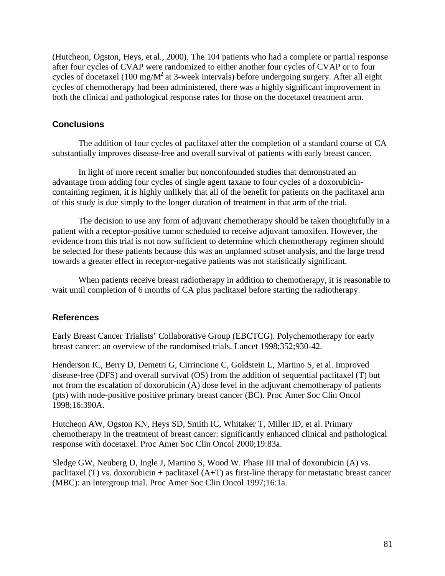(Hutcheon, Ogston, Heys, et al., 2000). The 104 patients who had a complete or partial response after four cycles of CVAP were randomized to either another four cycles of CVAP or to four cycles of docetaxel (100 mg/ $M^2$  at 3-week intervals) before undergoing surgery. After all eight cycles of chemotherapy had been administered, there was a highly significant improvement in both the clinical and pathological response rates for those on the docetaxel treatment arm.

## **Conclusions**

The addition of four cycles of paclitaxel after the completion of a standard course of CA substantially improves disease-free and overall survival of patients with early breast cancer.

In light of more recent smaller but nonconfounded studies that demonstrated an advantage from adding four cycles of single agent taxane to four cycles of a doxorubicincontaining regimen, it is highly unlikely that all of the benefit for patients on the paclitaxel arm of this study is due simply to the longer duration of treatment in that arm of the trial.

The decision to use any form of adjuvant chemotherapy should be taken thoughtfully in a patient with a receptor-positive tumor scheduled to receive adjuvant tamoxifen. However, the evidence from this trial is not now sufficient to determine which chemotherapy regimen should be selected for these patients because this was an unplanned subset analysis, and the large trend towards a greater effect in receptor-negative patients was not statistically significant.

When patients receive breast radiotherapy in addition to chemotherapy, it is reasonable to wait until completion of 6 months of CA plus paclitaxel before starting the radiotherapy.

### **References**

Early Breast Cancer Trialists' Collaborative Group (EBCTCG). Polychemotherapy for early breast cancer: an overview of the randomised trials. Lancet 1998;352;930-42.

Henderson IC, Berry D, Demetri G, Cirrincione C, Goldstein L, Martino S, et al. Improved disease-free (DFS) and overall survival (OS) from the addition of sequential paclitaxel (T) but not from the escalation of doxorubicin (A) dose level in the adjuvant chemotherapy of patients (pts) with node-positive positive primary breast cancer (BC). Proc Amer Soc Clin Oncol 1998;16:390A.

Hutcheon AW, Ogston KN, Heys SD, Smith IC, Whitaker T, Miller ID, et al. Primary chemotherapy in the treatment of breast cancer: significantly enhanced clinical and pathological response with docetaxel. Proc Amer Soc Clin Oncol 2000;19:83a.

Sledge GW, Neuberg D, Ingle J, Martino S, Wood W. Phase III trial of doxorubicin (A) vs. paclitaxel (T) vs. doxorubicin + paclitaxel  $(A+T)$  as first-line therapy for metastatic breast cancer (MBC): an Intergroup trial. Proc Amer Soc Clin Oncol 1997;16:1a.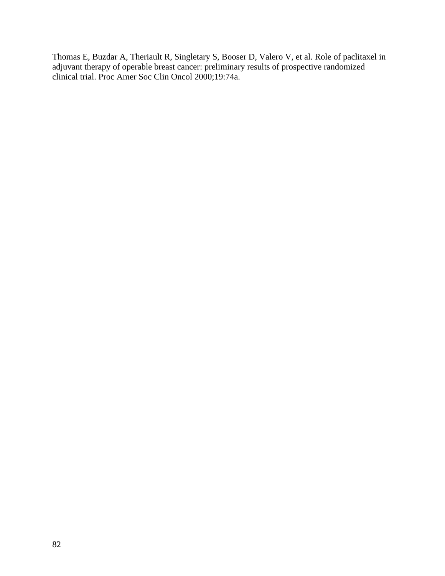Thomas E, Buzdar A, Theriault R, Singletary S, Booser D, Valero V, et al. Role of paclitaxel in adjuvant therapy of operable breast cancer: preliminary results of prospective randomized clinical trial. Proc Amer Soc Clin Oncol 2000;19:74a.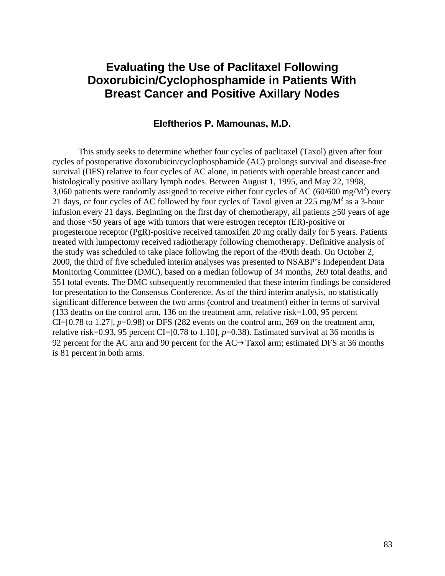# **Evaluating the Use of Paclitaxel Following Doxorubicin/Cyclophosphamide in Patients With Breast Cancer and Positive Axillary Nodes**

### **Eleftherios P. Mamounas, M.D.**

This study seeks to determine whether four cycles of paclitaxel (Taxol) given after four cycles of postoperative doxorubicin/cyclophosphamide (AC) prolongs survival and disease-free survival (DFS) relative to four cycles of AC alone, in patients with operable breast cancer and histologically positive axillary lymph nodes. Between August 1, 1995, and May 22, 1998, 3,060 patients were randomly assigned to receive either four cycles of AC (60/600 mg/M<sup>2</sup>) every 21 days, or four cycles of AC followed by four cycles of Taxol given at 225 mg/ $M^2$  as a 3-hour infusion every 21 days. Beginning on the first day of chemotherapy, all patients >50 years of age and those <50 years of age with tumors that were estrogen receptor (ER)-positive or progesterone receptor (PgR)-positive received tamoxifen 20 mg orally daily for 5 years. Patients treated with lumpectomy received radiotherapy following chemotherapy. Definitive analysis of the study was scheduled to take place following the report of the 490th death. On October 2, 2000, the third of five scheduled interim analyses was presented to NSABP's Independent Data Monitoring Committee (DMC), based on a median followup of 34 months, 269 total deaths, and 551 total events. The DMC subsequently recommended that these interim findings be considered for presentation to the Consensus Conference. As of the third interim analysis, no statistically significant difference between the two arms (control and treatment) either in terms of survival (133 deaths on the control arm, 136 on the treatment arm, relative risk=1.00, 95 percent CI= $[0.78$  to 1.27],  $p=0.98$  or DFS (282 events on the control arm, 269 on the treatment arm, relative risk=0.93, 95 percent CI=[0.78 to 1.10],  $p=0.38$ ). Estimated survival at 36 months is 92 percent for the AC arm and 90 percent for the  $AC\rightarrow Taxol$  arm; estimated DFS at 36 months is 81 percent in both arms.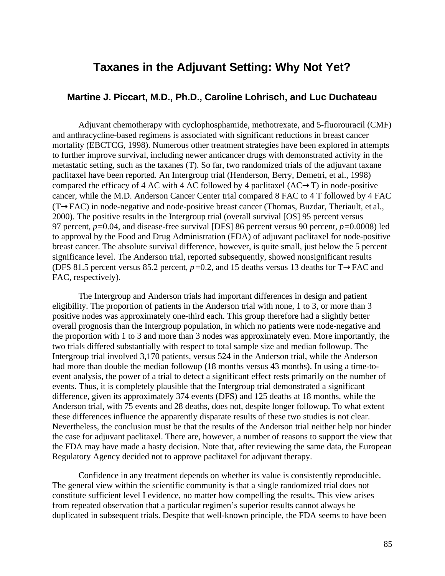# **Taxanes in the Adjuvant Setting: Why Not Yet?**

### **Martine J. Piccart, M.D., Ph.D., Caroline Lohrisch, and Luc Duchateau**

Adjuvant chemotherapy with cyclophosphamide, methotrexate, and 5-fluorouracil (CMF) and anthracycline-based regimens is associated with significant reductions in breast cancer mortality (EBCTCG, 1998). Numerous other treatment strategies have been explored in attempts to further improve survival, including newer anticancer drugs with demonstrated activity in the metastatic setting, such as the taxanes (T). So far, two randomized trials of the adjuvant taxane paclitaxel have been reported. An Intergroup trial (Henderson, Berry, Demetri, et al., 1998) compared the efficacy of 4 AC with 4 AC followed by 4 paclitaxel  $(AC \rightarrow T)$  in node-positive cancer, while the M.D. Anderson Cancer Center trial compared 8 FAC to 4 T followed by 4 FAC  $(T\rightarrow FAC)$  in node-negative and node-positive breast cancer (Thomas, Buzdar, Theriault, et al., 2000). The positive results in the Intergroup trial (overall survival [OS] 95 percent versus 97 percent, *p=*0.04, and disease-free survival [DFS] 86 percent versus 90 percent, *p=*0.0008) led to approval by the Food and Drug Administration (FDA) of adjuvant paclitaxel for node-positive breast cancer. The absolute survival difference, however, is quite small, just below the 5 percent significance level. The Anderson trial, reported subsequently, showed nonsignificant results (DFS 81.5 percent versus 85.2 percent,  $p=0.2$ , and 15 deaths versus 13 deaths for T $\rightarrow$ FAC and FAC, respectively).

The Intergroup and Anderson trials had important differences in design and patient eligibility. The proportion of patients in the Anderson trial with none, 1 to 3, or more than 3 positive nodes was approximately one-third each. This group therefore had a slightly better overall prognosis than the Intergroup population, in which no patients were node-negative and the proportion with 1 to 3 and more than 3 nodes was approximately even. More importantly, the two trials differed substantially with respect to total sample size and median followup. The Intergroup trial involved 3,170 patients, versus 524 in the Anderson trial, while the Anderson had more than double the median followup (18 months versus 43 months). In using a time-toevent analysis, the power of a trial to detect a significant effect rests primarily on the number of events. Thus, it is completely plausible that the Intergroup trial demonstrated a significant difference, given its approximately 374 events (DFS) and 125 deaths at 18 months, while the Anderson trial, with 75 events and 28 deaths, does not, despite longer followup. To what extent these differences influence the apparently disparate results of these two studies is not clear. Nevertheless, the conclusion must be that the results of the Anderson trial neither help nor hinder the case for adjuvant paclitaxel. There are, however, a number of reasons to support the view that the FDA may have made a hasty decision. Note that, after reviewing the same data, the European Regulatory Agency decided not to approve paclitaxel for adjuvant therapy.

Confidence in any treatment depends on whether its value is consistently reproducible. The general view within the scientific community is that a single randomized trial does not constitute sufficient level I evidence, no matter how compelling the results. This view arises from repeated observation that a particular regimen's superior results cannot always be duplicated in subsequent trials. Despite that well-known principle, the FDA seems to have been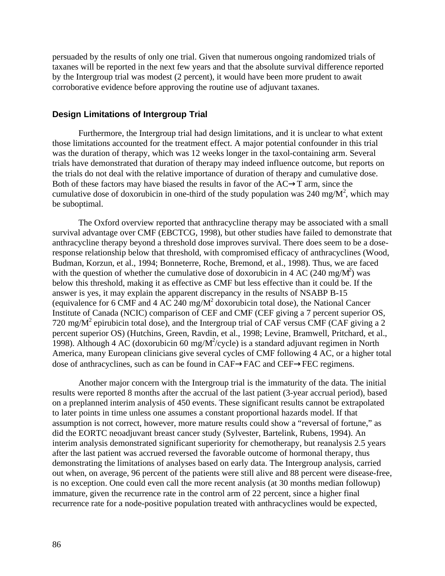persuaded by the results of only one trial. Given that numerous ongoing randomized trials of taxanes will be reported in the next few years and that the absolute survival difference reported by the Intergroup trial was modest (2 percent), it would have been more prudent to await corroborative evidence before approving the routine use of adjuvant taxanes.

### **Design Limitations of Intergroup Trial**

Furthermore, the Intergroup trial had design limitations, and it is unclear to what extent those limitations accounted for the treatment effect. A major potential confounder in this trial was the duration of therapy, which was 12 weeks longer in the taxol-containing arm. Several trials have demonstrated that duration of therapy may indeed influence outcome, but reports on the trials do not deal with the relative importance of duration of therapy and cumulative dose. Both of these factors may have biased the results in favor of the  $AC \rightarrow T$  arm, since the cumulative dose of doxorubicin in one-third of the study population was 240 mg/ $M^2$ , which may be suboptimal.

The Oxford overview reported that anthracycline therapy may be associated with a small survival advantage over CMF (EBCTCG, 1998), but other studies have failed to demonstrate that anthracycline therapy beyond a threshold dose improves survival. There does seem to be a doseresponse relationship below that threshold, with compromised efficacy of anthracyclines (Wood, Budman, Korzun, et al., 1994; Bonneterre, Roche, Bremond, et al., 1998). Thus, we are faced with the question of whether the cumulative dose of doxorubicin in 4 AC (240 mg/ $M^2$ ) was below this threshold, making it as effective as CMF but less effective than it could be. If the answer is yes, it may explain the apparent discrepancy in the results of NSABP B-15 (equivalence for 6 CMF and 4 AC 240 mg/ $M^2$  doxorubicin total dose), the National Cancer Institute of Canada (NCIC) comparison of CEF and CMF (CEF giving a 7 percent superior OS, 720 mg/M<sup>2</sup> epirubicin total dose), and the Intergroup trial of CAF versus CMF (CAF giving a 2 percent superior OS) (Hutchins, Green, Ravdin, et al., 1998; Levine, Bramwell, Pritchard, et al., 1998). Although 4 AC (doxorubicin 60 mg/ $M^2$ /cycle) is a standard adjuvant regimen in North America, many European clinicians give several cycles of CMF following 4 AC, or a higher total dose of anthracyclines, such as can be found in  $CAF \rightarrow FAC$  and  $CEF \rightarrow FEC$  regimens.

Another major concern with the Intergroup trial is the immaturity of the data. The initial results were reported 8 months after the accrual of the last patient (3-year accrual period), based on a preplanned interim analysis of 450 events. These significant results cannot be extrapolated to later points in time unless one assumes a constant proportional hazards model. If that assumption is not correct, however, more mature results could show a "reversal of fortune," as did the EORTC neoadjuvant breast cancer study (Sylvester, Bartelink, Rubens, 1994). An interim analysis demonstrated significant superiority for chemotherapy, but reanalysis 2.5 years after the last patient was accrued reversed the favorable outcome of hormonal therapy, thus demonstrating the limitations of analyses based on early data. The Intergroup analysis, carried out when, on average, 96 percent of the patients were still alive and 88 percent were disease-free, is no exception. One could even call the more recent analysis (at 30 months median followup) immature, given the recurrence rate in the control arm of 22 percent, since a higher final recurrence rate for a node-positive population treated with anthracyclines would be expected,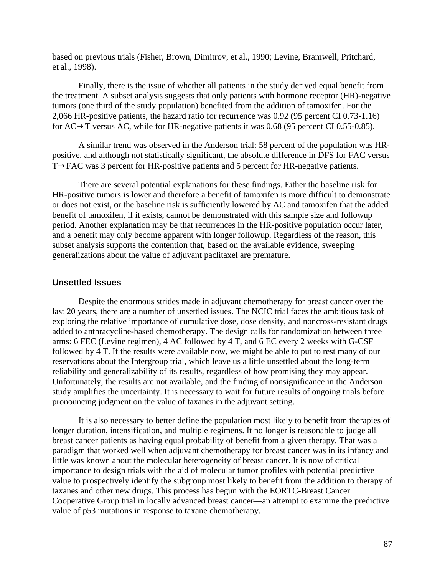based on previous trials (Fisher, Brown, Dimitrov, et al., 1990; Levine, Bramwell, Pritchard, et al., 1998).

Finally, there is the issue of whether all patients in the study derived equal benefit from the treatment. A subset analysis suggests that only patients with hormone receptor (HR)-negative tumors (one third of the study population) benefited from the addition of tamoxifen. For the 2,066 HR-positive patients, the hazard ratio for recurrence was 0.92 (95 percent CI 0.73-1.16) for  $AC \rightarrow T$  versus AC, while for HR-negative patients it was 0.68 (95 percent CI 0.55-0.85).

A similar trend was observed in the Anderson trial: 58 percent of the population was HRpositive, and although not statistically significant, the absolute difference in DFS for FAC versus  $T\rightarrow$ FAC was 3 percent for HR-positive patients and 5 percent for HR-negative patients.

There are several potential explanations for these findings. Either the baseline risk for HR-positive tumors is lower and therefore a benefit of tamoxifen is more difficult to demonstrate or does not exist, or the baseline risk is sufficiently lowered by AC and tamoxifen that the added benefit of tamoxifen, if it exists, cannot be demonstrated with this sample size and followup period. Another explanation may be that recurrences in the HR-positive population occur later, and a benefit may only become apparent with longer followup. Regardless of the reason, this subset analysis supports the contention that, based on the available evidence, sweeping generalizations about the value of adjuvant paclitaxel are premature.

#### **Unsettled Issues**

Despite the enormous strides made in adjuvant chemotherapy for breast cancer over the last 20 years, there are a number of unsettled issues. The NCIC trial faces the ambitious task of exploring the relative importance of cumulative dose, dose density, and noncross-resistant drugs added to anthracycline-based chemotherapy. The design calls for randomization between three arms: 6 FEC (Levine regimen), 4 AC followed by 4 T, and 6 EC every 2 weeks with G-CSF followed by 4 T. If the results were available now, we might be able to put to rest many of our reservations about the Intergroup trial, which leave us a little unsettled about the long-term reliability and generalizability of its results, regardless of how promising they may appear. Unfortunately, the results are not available, and the finding of nonsignificance in the Anderson study amplifies the uncertainty. It is necessary to wait for future results of ongoing trials before pronouncing judgment on the value of taxanes in the adjuvant setting.

It is also necessary to better define the population most likely to benefit from therapies of longer duration, intensification, and multiple regimens. It no longer is reasonable to judge all breast cancer patients as having equal probability of benefit from a given therapy. That was a paradigm that worked well when adjuvant chemotherapy for breast cancer was in its infancy and little was known about the molecular heterogeneity of breast cancer. It is now of critical importance to design trials with the aid of molecular tumor profiles with potential predictive value to prospectively identify the subgroup most likely to benefit from the addition to therapy of taxanes and other new drugs. This process has begun with the EORTC-Breast Cancer Cooperative Group trial in locally advanced breast cancer—an attempt to examine the predictive value of p53 mutations in response to taxane chemotherapy.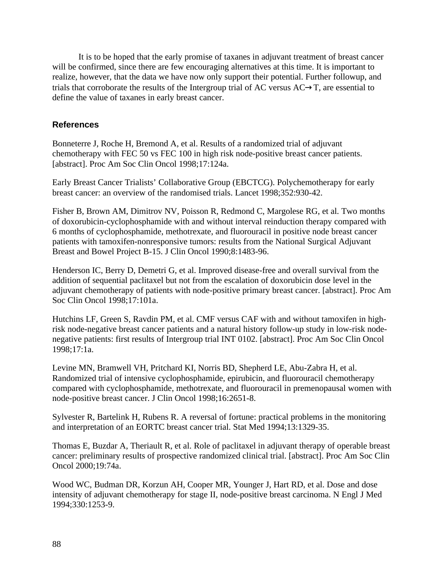It is to be hoped that the early promise of taxanes in adjuvant treatment of breast cancer will be confirmed, since there are few encouraging alternatives at this time. It is important to realize, however, that the data we have now only support their potential. Further followup, and trials that corroborate the results of the Intergroup trial of AC versus  $AC \rightarrow T$ , are essential to define the value of taxanes in early breast cancer.

## **References**

Bonneterre J, Roche H, Bremond A, et al. Results of a randomized trial of adjuvant chemotherapy with FEC 50 vs FEC 100 in high risk node-positive breast cancer patients. [abstract]. Proc Am Soc Clin Oncol 1998;17:124a.

Early Breast Cancer Trialists' Collaborative Group (EBCTCG). Polychemotherapy for early breast cancer: an overview of the randomised trials. Lancet 1998;352:930-42.

Fisher B, Brown AM, Dimitrov NV, Poisson R, Redmond C, Margolese RG, et al. Two months of doxorubicin-cyclophosphamide with and without interval reinduction therapy compared with 6 months of cyclophosphamide, methotrexate, and fluorouracil in positive node breast cancer patients with tamoxifen-nonresponsive tumors: results from the National Surgical Adjuvant Breast and Bowel Project B-15. J Clin Oncol 1990;8:1483-96.

Henderson IC, Berry D, Demetri G, et al. Improved disease-free and overall survival from the addition of sequential paclitaxel but not from the escalation of doxorubicin dose level in the adjuvant chemotherapy of patients with node-positive primary breast cancer. [abstract]. Proc Am Soc Clin Oncol 1998;17:101a.

Hutchins LF, Green S, Ravdin PM, et al. CMF versus CAF with and without tamoxifen in highrisk node-negative breast cancer patients and a natural history follow-up study in low-risk nodenegative patients: first results of Intergroup trial INT 0102. [abstract]. Proc Am Soc Clin Oncol 1998;17:1a.

Levine MN, Bramwell VH, Pritchard KI, Norris BD, Shepherd LE, Abu-Zabra H, et al. Randomized trial of intensive cyclophosphamide, epirubicin, and fluorouracil chemotherapy compared with cyclophosphamide, methotrexate, and fluorouracil in premenopausal women with node-positive breast cancer. J Clin Oncol 1998;16:2651-8.

Sylvester R, Bartelink H, Rubens R. A reversal of fortune: practical problems in the monitoring and interpretation of an EORTC breast cancer trial. Stat Med 1994;13:1329-35.

Thomas E, Buzdar A, Theriault R, et al. Role of paclitaxel in adjuvant therapy of operable breast cancer: preliminary results of prospective randomized clinical trial. [abstract]. Proc Am Soc Clin Oncol 2000;19:74a.

Wood WC, Budman DR, Korzun AH, Cooper MR, Younger J, Hart RD, et al. Dose and dose intensity of adjuvant chemotherapy for stage II, node-positive breast carcinoma. N Engl J Med 1994;330:1253-9.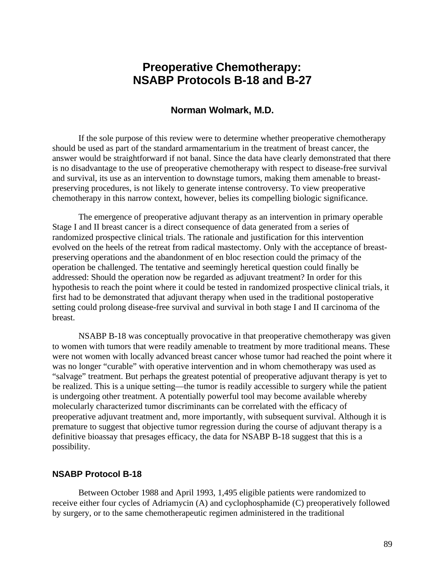# **Preoperative Chemotherapy: NSABP Protocols B-18 and B-27**

### **Norman Wolmark, M.D.**

If the sole purpose of this review were to determine whether preoperative chemotherapy should be used as part of the standard armamentarium in the treatment of breast cancer, the answer would be straightforward if not banal. Since the data have clearly demonstrated that there is no disadvantage to the use of preoperative chemotherapy with respect to disease-free survival and survival, its use as an intervention to downstage tumors, making them amenable to breastpreserving procedures, is not likely to generate intense controversy. To view preoperative chemotherapy in this narrow context, however, belies its compelling biologic significance.

The emergence of preoperative adjuvant therapy as an intervention in primary operable Stage I and II breast cancer is a direct consequence of data generated from a series of randomized prospective clinical trials. The rationale and justification for this intervention evolved on the heels of the retreat from radical mastectomy. Only with the acceptance of breastpreserving operations and the abandonment of en bloc resection could the primacy of the operation be challenged. The tentative and seemingly heretical question could finally be addressed: Should the operation now be regarded as adjuvant treatment? In order for this hypothesis to reach the point where it could be tested in randomized prospective clinical trials, it first had to be demonstrated that adjuvant therapy when used in the traditional postoperative setting could prolong disease-free survival and survival in both stage I and II carcinoma of the breast.

NSABP B-18 was conceptually provocative in that preoperative chemotherapy was given to women with tumors that were readily amenable to treatment by more traditional means. These were not women with locally advanced breast cancer whose tumor had reached the point where it was no longer "curable" with operative intervention and in whom chemotherapy was used as "salvage" treatment. But perhaps the greatest potential of preoperative adjuvant therapy is yet to be realized. This is a unique setting—the tumor is readily accessible to surgery while the patient is undergoing other treatment. A potentially powerful tool may become available whereby molecularly characterized tumor discriminants can be correlated with the efficacy of preoperative adjuvant treatment and, more importantly, with subsequent survival. Although it is premature to suggest that objective tumor regression during the course of adjuvant therapy is a definitive bioassay that presages efficacy, the data for NSABP B-18 suggest that this is a possibility.

#### **NSABP Protocol B-18**

Between October 1988 and April 1993, 1,495 eligible patients were randomized to receive either four cycles of Adriamycin (A) and cyclophosphamide (C) preoperatively followed by surgery, or to the same chemotherapeutic regimen administered in the traditional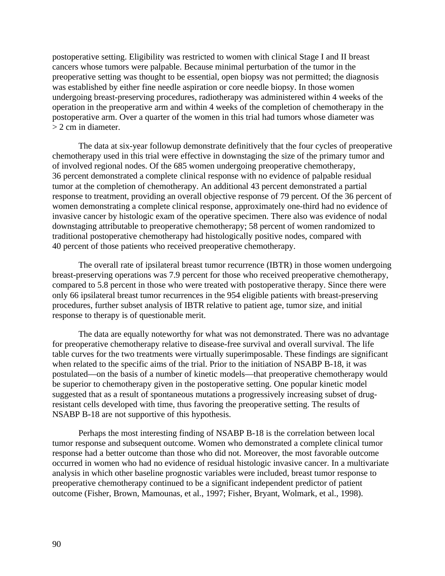postoperative setting. Eligibility was restricted to women with clinical Stage I and II breast cancers whose tumors were palpable. Because minimal perturbation of the tumor in the preoperative setting was thought to be essential, open biopsy was not permitted; the diagnosis was established by either fine needle aspiration or core needle biopsy. In those women undergoing breast-preserving procedures, radiotherapy was administered within 4 weeks of the operation in the preoperative arm and within 4 weeks of the completion of chemotherapy in the postoperative arm. Over a quarter of the women in this trial had tumors whose diameter was > 2 cm in diameter.

The data at six-year followup demonstrate definitively that the four cycles of preoperative chemotherapy used in this trial were effective in downstaging the size of the primary tumor and of involved regional nodes. Of the 685 women undergoing preoperative chemotherapy, 36 percent demonstrated a complete clinical response with no evidence of palpable residual tumor at the completion of chemotherapy. An additional 43 percent demonstrated a partial response to treatment, providing an overall objective response of 79 percent. Of the 36 percent of women demonstrating a complete clinical response, approximately one-third had no evidence of invasive cancer by histologic exam of the operative specimen. There also was evidence of nodal downstaging attributable to preoperative chemotherapy; 58 percent of women randomized to traditional postoperative chemotherapy had histologically positive nodes, compared with 40 percent of those patients who received preoperative chemotherapy.

The overall rate of ipsilateral breast tumor recurrence (IBTR) in those women undergoing breast-preserving operations was 7.9 percent for those who received preoperative chemotherapy, compared to 5.8 percent in those who were treated with postoperative therapy. Since there were only 66 ipsilateral breast tumor recurrences in the 954 eligible patients with breast-preserving procedures, further subset analysis of IBTR relative to patient age, tumor size, and initial response to therapy is of questionable merit.

The data are equally noteworthy for what was not demonstrated. There was no advantage for preoperative chemotherapy relative to disease-free survival and overall survival. The life table curves for the two treatments were virtually superimposable. These findings are significant when related to the specific aims of the trial. Prior to the initiation of NSABP B-18, it was postulated—on the basis of a number of kinetic models—that preoperative chemotherapy would be superior to chemotherapy given in the postoperative setting. One popular kinetic model suggested that as a result of spontaneous mutations a progressively increasing subset of drugresistant cells developed with time, thus favoring the preoperative setting. The results of NSABP B-18 are not supportive of this hypothesis.

Perhaps the most interesting finding of NSABP B-18 is the correlation between local tumor response and subsequent outcome. Women who demonstrated a complete clinical tumor response had a better outcome than those who did not. Moreover, the most favorable outcome occurred in women who had no evidence of residual histologic invasive cancer. In a multivariate analysis in which other baseline prognostic variables were included, breast tumor response to preoperative chemotherapy continued to be a significant independent predictor of patient outcome (Fisher, Brown, Mamounas, et al., 1997; Fisher, Bryant, Wolmark, et al., 1998).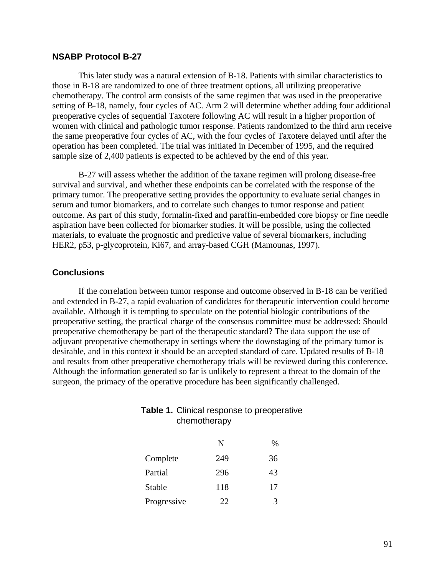#### **NSABP Protocol B-27**

This later study was a natural extension of B-18. Patients with similar characteristics to those in B-18 are randomized to one of three treatment options, all utilizing preoperative chemotherapy. The control arm consists of the same regimen that was used in the preoperative setting of B-18, namely, four cycles of AC. Arm 2 will determine whether adding four additional preoperative cycles of sequential Taxotere following AC will result in a higher proportion of women with clinical and pathologic tumor response. Patients randomized to the third arm receive the same preoperative four cycles of AC, with the four cycles of Taxotere delayed until after the operation has been completed. The trial was initiated in December of 1995, and the required sample size of 2,400 patients is expected to be achieved by the end of this year.

B-27 will assess whether the addition of the taxane regimen will prolong disease-free survival and survival, and whether these endpoints can be correlated with the response of the primary tumor. The preoperative setting provides the opportunity to evaluate serial changes in serum and tumor biomarkers, and to correlate such changes to tumor response and patient outcome. As part of this study, formalin-fixed and paraffin-embedded core biopsy or fine needle aspiration have been collected for biomarker studies. It will be possible, using the collected materials, to evaluate the prognostic and predictive value of several biomarkers, including HER2, p53, p-glycoprotein, Ki67, and array-based CGH (Mamounas, 1997).

#### **Conclusions**

If the correlation between tumor response and outcome observed in B-18 can be verified and extended in B-27, a rapid evaluation of candidates for therapeutic intervention could become available. Although it is tempting to speculate on the potential biologic contributions of the preoperative setting, the practical charge of the consensus committee must be addressed: Should preoperative chemotherapy be part of the therapeutic standard? The data support the use of adjuvant preoperative chemotherapy in settings where the downstaging of the primary tumor is desirable, and in this context it should be an accepted standard of care. Updated results of B-18 and results from other preoperative chemotherapy trials will be reviewed during this conference. Although the information generated so far is unlikely to represent a threat to the domain of the surgeon, the primacy of the operative procedure has been significantly challenged.

|             | N   | $\%$ |
|-------------|-----|------|
| Complete    | 249 | 36   |
| Partial     | 296 | 43   |
| Stable      | 118 | 17   |
| Progressive | 22. | 3    |

### **Table 1.** Clinical response to preoperative chemotherapy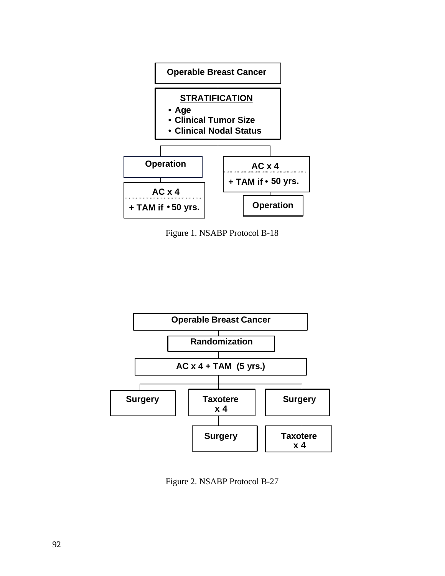

Figure 1. NSABP Protocol B-18



Figure 2. NSABP Protocol B-27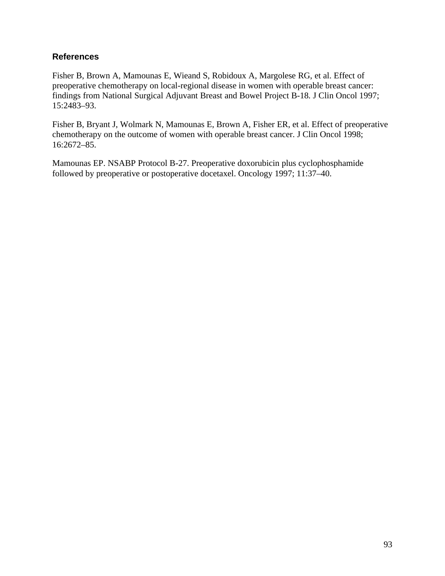## **References**

Fisher B, Brown A, Mamounas E, Wieand S, Robidoux A, Margolese RG, et al. Effect of preoperative chemotherapy on local-regional disease in women with operable breast cancer: findings from National Surgical Adjuvant Breast and Bowel Project B-18*.* J Clin Oncol 1997; 15:2483–93.

Fisher B, Bryant J, Wolmark N, Mamounas E, Brown A, Fisher ER, et al. Effect of preoperative chemotherapy on the outcome of women with operable breast cancer. J Clin Oncol 1998; 16:2672–85.

Mamounas EP. NSABP Protocol B-27. Preoperative doxorubicin plus cyclophosphamide followed by preoperative or postoperative docetaxel. Oncology 1997; 11:37–40.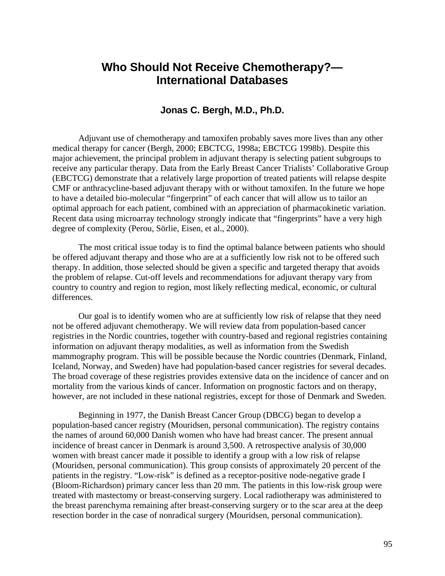# **Who Should Not Receive Chemotherapy?— International Databases**

### **Jonas C. Bergh, M.D., Ph.D.**

Adjuvant use of chemotherapy and tamoxifen probably saves more lives than any other medical therapy for cancer (Bergh, 2000; EBCTCG, 1998a; EBCTCG 1998b). Despite this major achievement, the principal problem in adjuvant therapy is selecting patient subgroups to receive any particular therapy. Data from the Early Breast Cancer Trialists' Collaborative Group (EBCTCG) demonstrate that a relatively large proportion of treated patients will relapse despite CMF or anthracycline-based adjuvant therapy with or without tamoxifen. In the future we hope to have a detailed bio-molecular "fingerprint" of each cancer that will allow us to tailor an optimal approach for each patient, combined with an appreciation of pharmacokinetic variation. Recent data using microarray technology strongly indicate that "fingerprints" have a very high degree of complexity (Perou, Sörlie, Eisen, et al., 2000).

The most critical issue today is to find the optimal balance between patients who should be offered adjuvant therapy and those who are at a sufficiently low risk not to be offered such therapy. In addition, those selected should be given a specific and targeted therapy that avoids the problem of relapse. Cut-off levels and recommendations for adjuvant therapy vary from country to country and region to region, most likely reflecting medical, economic, or cultural differences.

Our goal is to identify women who are at sufficiently low risk of relapse that they need not be offered adjuvant chemotherapy. We will review data from population-based cancer registries in the Nordic countries, together with country-based and regional registries containing information on adjuvant therapy modalities, as well as information from the Swedish mammography program. This will be possible because the Nordic countries (Denmark, Finland, Iceland, Norway, and Sweden) have had population-based cancer registries for several decades. The broad coverage of these registries provides extensive data on the incidence of cancer and on mortality from the various kinds of cancer. Information on prognostic factors and on therapy, however, are not included in these national registries, except for those of Denmark and Sweden.

Beginning in 1977, the Danish Breast Cancer Group (DBCG) began to develop a population-based cancer registry (Mouridsen, personal communication). The registry contains the names of around 60,000 Danish women who have had breast cancer. The present annual incidence of breast cancer in Denmark is around 3,500. A retrospective analysis of 30,000 women with breast cancer made it possible to identify a group with a low risk of relapse (Mouridsen, personal communication). This group consists of approximately 20 percent of the patients in the registry. "Low-risk" is defined as a receptor-positive node-negative grade I (Bloom-Richardson) primary cancer less than 20 mm. The patients in this low-risk group were treated with mastectomy or breast-conserving surgery. Local radiotherapy was administered to the breast parenchyma remaining after breast-conserving surgery or to the scar area at the deep resection border in the case of nonradical surgery (Mouridsen, personal communication).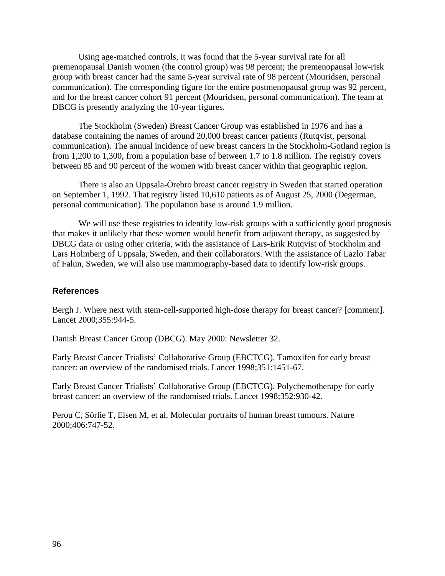Using age-matched controls, it was found that the 5-year survival rate for all premenopausal Danish women (the control group) was 98 percent; the premenopausal low-risk group with breast cancer had the same 5-year survival rate of 98 percent (Mouridsen, personal communication). The corresponding figure for the entire postmenopausal group was 92 percent, and for the breast cancer cohort 91 percent (Mouridsen, personal communication). The team at DBCG is presently analyzing the 10-year figures.

The Stockholm (Sweden) Breast Cancer Group was established in 1976 and has a database containing the names of around 20,000 breast cancer patients (Rutqvist, personal communication). The annual incidence of new breast cancers in the Stockholm-Gotland region is from 1,200 to 1,300, from a population base of between 1.7 to 1.8 million. The registry covers between 85 and 90 percent of the women with breast cancer within that geographic region.

There is also an Uppsala-Örebro breast cancer registry in Sweden that started operation on September 1, 1992. That registry listed 10,610 patients as of August 25, 2000 (Degerman, personal communication). The population base is around 1.9 million.

We will use these registries to identify low-risk groups with a sufficiently good prognosis that makes it unlikely that these women would benefit from adjuvant therapy, as suggested by DBCG data or using other criteria, with the assistance of Lars-Erik Rutqvist of Stockholm and Lars Holmberg of Uppsala, Sweden, and their collaborators. With the assistance of Lazlo Tabar of Falun, Sweden, we will also use mammography-based data to identify low-risk groups.

#### **References**

Bergh J. Where next with stem-cell-supported high-dose therapy for breast cancer? [comment]. Lancet 2000;355:944-5.

Danish Breast Cancer Group (DBCG). May 2000: Newsletter 32.

Early Breast Cancer Trialists' Collaborative Group (EBCTCG). Tamoxifen for early breast cancer: an overview of the randomised trials. Lancet 1998;351:1451-67.

Early Breast Cancer Trialists' Collaborative Group (EBCTCG). Polychemotherapy for early breast cancer: an overview of the randomised trials. Lancet 1998;352:930-42.

Perou C, Sörlie T, Eisen M, et al. Molecular portraits of human breast tumours. Nature 2000;406:747-52.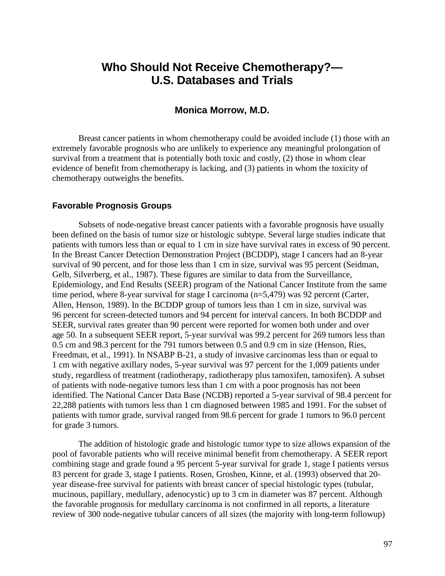# **Who Should Not Receive Chemotherapy?— U.S. Databases and Trials**

#### **Monica Morrow, M.D.**

Breast cancer patients in whom chemotherapy could be avoided include (1) those with an extremely favorable prognosis who are unlikely to experience any meaningful prolongation of survival from a treatment that is potentially both toxic and costly, (2) those in whom clear evidence of benefit from chemotherapy is lacking, and (3) patients in whom the toxicity of chemotherapy outweighs the benefits.

#### **Favorable Prognosis Groups**

Subsets of node-negative breast cancer patients with a favorable prognosis have usually been defined on the basis of tumor size or histologic subtype. Several large studies indicate that patients with tumors less than or equal to 1 cm in size have survival rates in excess of 90 percent. In the Breast Cancer Detection Demonstration Project (BCDDP), stage I cancers had an 8-year survival of 90 percent, and for those less than 1 cm in size, survival was 95 percent (Seidman, Gelb, Silverberg, et al., 1987). These figures are similar to data from the Surveillance, Epidemiology, and End Results (SEER) program of the National Cancer Institute from the same time period, where 8-year survival for stage I carcinoma (n=5,479) was 92 percent (Carter, Allen, Henson, 1989). In the BCDDP group of tumors less than 1 cm in size, survival was 96 percent for screen-detected tumors and 94 percent for interval cancers. In both BCDDP and SEER, survival rates greater than 90 percent were reported for women both under and over age 50. In a subsequent SEER report, 5-year survival was 99.2 percent for 269 tumors less than 0.5 cm and 98.3 percent for the 791 tumors between 0.5 and 0.9 cm in size (Henson, Ries, Freedman, et al., 1991). In NSABP B-21, a study of invasive carcinomas less than or equal to 1 cm with negative axillary nodes, 5-year survival was 97 percent for the 1,009 patients under study, regardless of treatment (radiotherapy, radiotherapy plus tamoxifen, tamoxifen). A subset of patients with node-negative tumors less than 1 cm with a poor prognosis has not been identified. The National Cancer Data Base (NCDB) reported a 5-year survival of 98.4 percent for 22,288 patients with tumors less than 1 cm diagnosed between 1985 and 1991. For the subset of patients with tumor grade, survival ranged from 98.6 percent for grade 1 tumors to 96.0 percent for grade 3 tumors.

The addition of histologic grade and histologic tumor type to size allows expansion of the pool of favorable patients who will receive minimal benefit from chemotherapy. A SEER report combining stage and grade found a 95 percent 5-year survival for grade 1, stage I patients versus 83 percent for grade 3, stage I patients. Rosen, Groshen, Kinne, et al. (1993) observed that 20 year disease-free survival for patients with breast cancer of special histologic types (tubular, mucinous, papillary, medullary, adenocystic) up to 3 cm in diameter was 87 percent. Although the favorable prognosis for medullary carcinoma is not confirmed in all reports, a literature review of 300 node-negative tubular cancers of all sizes (the majority with long-term followup)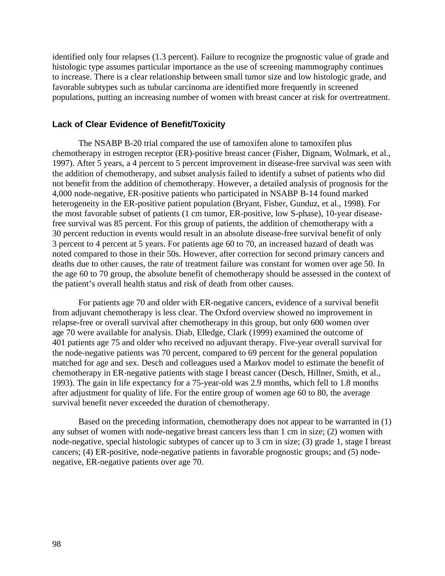identified only four relapses (1.3 percent). Failure to recognize the prognostic value of grade and histologic type assumes particular importance as the use of screening mammography continues to increase. There is a clear relationship between small tumor size and low histologic grade, and favorable subtypes such as tubular carcinoma are identified more frequently in screened populations, putting an increasing number of women with breast cancer at risk for overtreatment.

#### **Lack of Clear Evidence of Benefit/Toxicity**

The NSABP B-20 trial compared the use of tamoxifen alone to tamoxifen plus chemotherapy in estrogen receptor (ER)-positive breast cancer (Fisher, Dignam, Wolmark, et al., 1997). After 5 years, a 4 percent to 5 percent improvement in disease-free survival was seen with the addition of chemotherapy, and subset analysis failed to identify a subset of patients who did not benefit from the addition of chemotherapy. However, a detailed analysis of prognosis for the 4,000 node-negative, ER-positive patients who participated in NSABP B-14 found marked heterogeneity in the ER-positive patient population (Bryant, Fisher, Gunduz, et al., 1998). For the most favorable subset of patients (1 cm tumor, ER-positive, low S-phase), 10-year diseasefree survival was 85 percent. For this group of patients, the addition of chemotherapy with a 30 percent reduction in events would result in an absolute disease-free survival benefit of only 3 percent to 4 percent at 5 years. For patients age 60 to 70, an increased hazard of death was noted compared to those in their 50s. However, after correction for second primary cancers and deaths due to other causes, the rate of treatment failure was constant for women over age 50. In the age 60 to 70 group, the absolute benefit of chemotherapy should be assessed in the context of the patient's overall health status and risk of death from other causes.

For patients age 70 and older with ER-negative cancers, evidence of a survival benefit from adjuvant chemotherapy is less clear. The Oxford overview showed no improvement in relapse-free or overall survival after chemotherapy in this group, but only 600 women over age 70 were available for analysis. Diab, Elledge, Clark (1999) examined the outcome of 401 patients age 75 and older who received no adjuvant therapy. Five-year overall survival for the node-negative patients was 70 percent, compared to 69 percent for the general population matched for age and sex. Desch and colleagues used a Markov model to estimate the benefit of chemotherapy in ER-negative patients with stage I breast cancer (Desch, Hillner, Smith, et al., 1993). The gain in life expectancy for a 75-year-old was 2.9 months, which fell to 1.8 months after adjustment for quality of life. For the entire group of women age 60 to 80, the average survival benefit never exceeded the duration of chemotherapy.

Based on the preceding information, chemotherapy does not appear to be warranted in (1) any subset of women with node-negative breast cancers less than 1 cm in size; (2) women with node-negative, special histologic subtypes of cancer up to 3 cm in size; (3) grade 1, stage I breast cancers; (4) ER-positive, node-negative patients in favorable prognostic groups; and (5) nodenegative, ER-negative patients over age 70.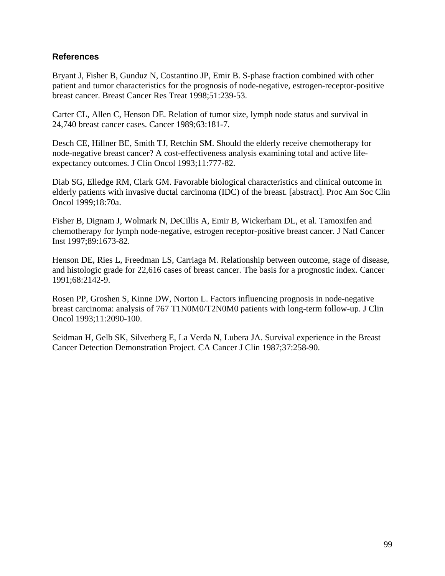## **References**

Bryant J, Fisher B, Gunduz N, Costantino JP, Emir B. S-phase fraction combined with other patient and tumor characteristics for the prognosis of node-negative, estrogen-receptor-positive breast cancer. Breast Cancer Res Treat 1998;51:239-53.

Carter CL, Allen C, Henson DE. Relation of tumor size, lymph node status and survival in 24,740 breast cancer cases. Cancer 1989;63:181-7.

Desch CE, Hillner BE, Smith TJ, Retchin SM. Should the elderly receive chemotherapy for node-negative breast cancer? A cost-effectiveness analysis examining total and active lifeexpectancy outcomes. J Clin Oncol 1993;11:777-82.

Diab SG, Elledge RM, Clark GM. Favorable biological characteristics and clinical outcome in elderly patients with invasive ductal carcinoma (IDC) of the breast. [abstract]. Proc Am Soc Clin Oncol 1999;18:70a.

Fisher B, Dignam J, Wolmark N, DeCillis A, Emir B, Wickerham DL, et al. Tamoxifen and chemotherapy for lymph node-negative, estrogen receptor-positive breast cancer. J Natl Cancer Inst 1997;89:1673-82.

Henson DE, Ries L, Freedman LS, Carriaga M. Relationship between outcome, stage of disease, and histologic grade for 22,616 cases of breast cancer. The basis for a prognostic index. Cancer 1991;68:2142-9.

Rosen PP, Groshen S, Kinne DW, Norton L. Factors influencing prognosis in node-negative breast carcinoma: analysis of 767 T1N0M0/T2N0M0 patients with long-term follow-up. J Clin Oncol 1993;11:2090-100.

Seidman H, Gelb SK, Silverberg E, La Verda N, Lubera JA. Survival experience in the Breast Cancer Detection Demonstration Project. CA Cancer J Clin 1987;37:258-90.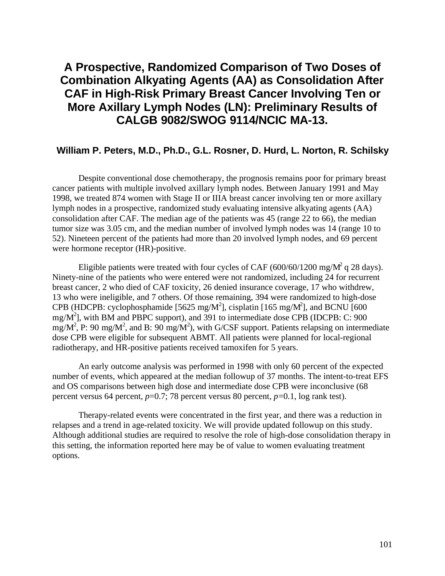# **A Prospective, Randomized Comparison of Two Doses of Combination Alkyating Agents (AA) as Consolidation After CAF in High-Risk Primary Breast Cancer Involving Ten or More Axillary Lymph Nodes (LN): Preliminary Results of CALGB 9082/SWOG 9114/NCIC MA-13.**

## **William P. Peters, M.D., Ph.D., G.L. Rosner, D. Hurd, L. Norton, R. Schilsky**

Despite conventional dose chemotherapy, the prognosis remains poor for primary breast cancer patients with multiple involved axillary lymph nodes. Between January 1991 and May 1998, we treated 874 women with Stage II or IIIA breast cancer involving ten or more axillary lymph nodes in a prospective, randomized study evaluating intensive alkyating agents (AA) consolidation after CAF. The median age of the patients was 45 (range 22 to 66), the median tumor size was 3.05 cm, and the median number of involved lymph nodes was 14 (range 10 to 52). Nineteen percent of the patients had more than 20 involved lymph nodes, and 69 percent were hormone receptor (HR)-positive.

Eligible patients were treated with four cycles of CAF  $(600/60/1200 \text{ mg/M}^2 \text{ q } 28 \text{ days})$ . Ninety-nine of the patients who were entered were not randomized, including 24 for recurrent breast cancer, 2 who died of CAF toxicity, 26 denied insurance coverage, 17 who withdrew, 13 who were ineligible, and 7 others. Of those remaining, 394 were randomized to high-dose CPB (HDCPB: cyclophosphamide [5625 mg/M<sup>2</sup>], cisplatin [165 mg/M<sup>2</sup>], and BCNU [600 mg/M<sup>2</sup>], with BM and PBPC support), and 391 to intermediate dose CPB (IDCPB: C: 900  $mg/M^2$ , P: 90 mg/M<sup>2</sup>, and B: 90 mg/M<sup>2</sup>), with G/CSF support. Patients relapsing on intermediate dose CPB were eligible for subsequent ABMT. All patients were planned for local-regional radiotherapy, and HR-positive patients received tamoxifen for 5 years.

An early outcome analysis was performed in 1998 with only 60 percent of the expected number of events, which appeared at the median followup of 37 months. The intent-to-treat EFS and OS comparisons between high dose and intermediate dose CPB were inconclusive (68 percent versus 64 percent, *p*=0.7; 78 percent versus 80 percent, *p*=0.1, log rank test).

Therapy-related events were concentrated in the first year, and there was a reduction in relapses and a trend in age-related toxicity. We will provide updated followup on this study. Although additional studies are required to resolve the role of high-dose consolidation therapy in this setting, the information reported here may be of value to women evaluating treatment options.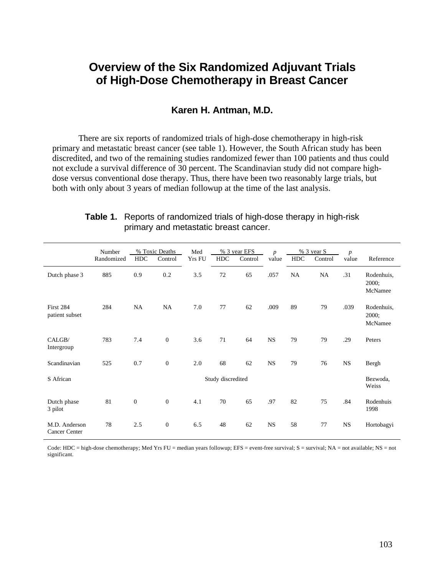# **Overview of the Six Randomized Adjuvant Trials of High-Dose Chemotherapy in Breast Cancer**

### **Karen H. Antman, M.D.**

There are six reports of randomized trials of high-dose chemotherapy in high-risk primary and metastatic breast cancer (see table 1). However, the South African study has been discredited, and two of the remaining studies randomized fewer than 100 patients and thus could not exclude a survival difference of 30 percent. The Scandinavian study did not compare highdose versus conventional dose therapy. Thus, there have been two reasonably large trials, but both with only about 3 years of median followup at the time of the last analysis.

|                                       | Number<br>Randomized | <b>HDC</b>   | % Toxic Deaths<br>Control | Med<br><b>Yrs FU</b> | <b>HDC</b> | % 3 year EFS<br>Control | $\boldsymbol{p}$<br>value | <b>HDC</b> | % 3 year S<br>Control | $\boldsymbol{p}$<br>value | Reference                      |
|---------------------------------------|----------------------|--------------|---------------------------|----------------------|------------|-------------------------|---------------------------|------------|-----------------------|---------------------------|--------------------------------|
| Dutch phase 3                         | 885                  | 0.9          | 0.2                       | 3.5                  | 72         | 65                      | .057                      | <b>NA</b>  | <b>NA</b>             | .31                       | Rodenhuis,<br>2000;<br>McNamee |
| First 284<br>patient subset           | 284                  | NA           | NA                        | 7.0                  | 77         | 62                      | .009                      | 89         | 79                    | .039                      | Rodenhuis,<br>2000;<br>McNamee |
| CALGB/<br>Intergroup                  | 783                  | 7.4          | $\mathbf{0}$              | 3.6                  | 71         | 64                      | <b>NS</b>                 | 79         | 79                    | .29                       | Peters                         |
| Scandinavian                          | 525                  | 0.7          | $\mathbf{0}$              | 2.0                  | 68         | 62                      | <b>NS</b>                 | 79         | 76                    | <b>NS</b>                 | Bergh                          |
| S African                             | Study discredited    |              |                           |                      |            |                         | Bezwoda,<br>Weiss         |            |                       |                           |                                |
| Dutch phase<br>3 pilot                | 81                   | $\mathbf{0}$ | $\mathbf{0}$              | 4.1                  | 70         | 65                      | .97                       | 82         | 75                    | .84                       | Rodenhuis<br>1998              |
| M.D. Anderson<br><b>Cancer Center</b> | 78                   | 2.5          | $\mathbf{0}$              | 6.5                  | 48         | 62                      | <b>NS</b>                 | 58         | 77                    | <b>NS</b>                 | Hortobagyi                     |

## **Table 1.** Reports of randomized trials of high-dose therapy in high-risk primary and metastatic breast cancer.

Code: HDC = high-dose chemotherapy; Med Yrs FU = median years followup; EFS = event-free survival; S = survival; NA = not available; NS = not significant.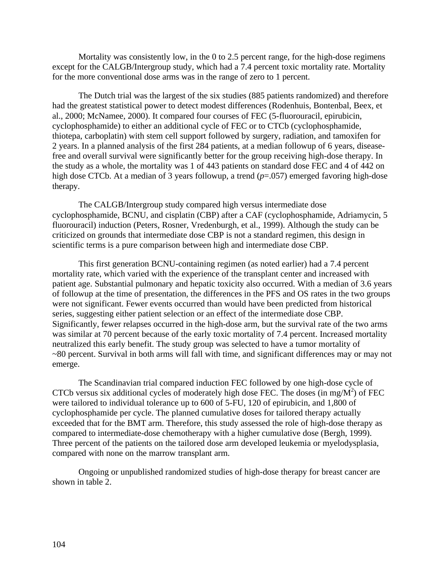Mortality was consistently low, in the 0 to 2.5 percent range, for the high-dose regimens except for the CALGB/Intergroup study, which had a 7.4 percent toxic mortality rate. Mortality for the more conventional dose arms was in the range of zero to 1 percent.

The Dutch trial was the largest of the six studies (885 patients randomized) and therefore had the greatest statistical power to detect modest differences (Rodenhuis, Bontenbal, Beex, et al., 2000; McNamee, 2000). It compared four courses of FEC (5-fluorouracil, epirubicin, cyclophosphamide) to either an additional cycle of FEC or to CTCb (cyclophosphamide, thiotepa, carboplatin) with stem cell support followed by surgery, radiation, and tamoxifen for 2 years. In a planned analysis of the first 284 patients, at a median followup of 6 years, diseasefree and overall survival were significantly better for the group receiving high-dose therapy. In the study as a whole, the mortality was 1 of 443 patients on standard dose FEC and 4 of 442 on high dose CTCb. At a median of 3 years followup, a trend ( $p=0.057$ ) emerged favoring high-dose therapy.

The CALGB/Intergroup study compared high versus intermediate dose cyclophosphamide, BCNU, and cisplatin (CBP) after a CAF (cyclophosphamide, Adriamycin, 5 fluorouracil) induction (Peters, Rosner, Vredenburgh, et al., 1999). Although the study can be criticized on grounds that intermediate dose CBP is not a standard regimen, this design in scientific terms is a pure comparison between high and intermediate dose CBP.

This first generation BCNU-containing regimen (as noted earlier) had a 7.4 percent mortality rate, which varied with the experience of the transplant center and increased with patient age. Substantial pulmonary and hepatic toxicity also occurred. With a median of 3.6 years of followup at the time of presentation, the differences in the PFS and OS rates in the two groups were not significant. Fewer events occurred than would have been predicted from historical series, suggesting either patient selection or an effect of the intermediate dose CBP. Significantly, fewer relapses occurred in the high-dose arm, but the survival rate of the two arms was similar at 70 percent because of the early toxic mortality of 7.4 percent. Increased mortality neutralized this early benefit. The study group was selected to have a tumor mortality of ~80 percent. Survival in both arms will fall with time, and significant differences may or may not emerge.

The Scandinavian trial compared induction FEC followed by one high-dose cycle of CTCb versus six additional cycles of moderately high dose FEC. The doses (in mg/ $M^2$ ) of FEC were tailored to individual tolerance up to 600 of 5-FU, 120 of epirubicin, and 1,800 of cyclophosphamide per cycle. The planned cumulative doses for tailored therapy actually exceeded that for the BMT arm. Therefore, this study assessed the role of high-dose therapy as compared to intermediate-dose chemotherapy with a higher cumulative dose (Bergh, 1999). Three percent of the patients on the tailored dose arm developed leukemia or myelodysplasia, compared with none on the marrow transplant arm.

Ongoing or unpublished randomized studies of high-dose therapy for breast cancer are shown in table 2.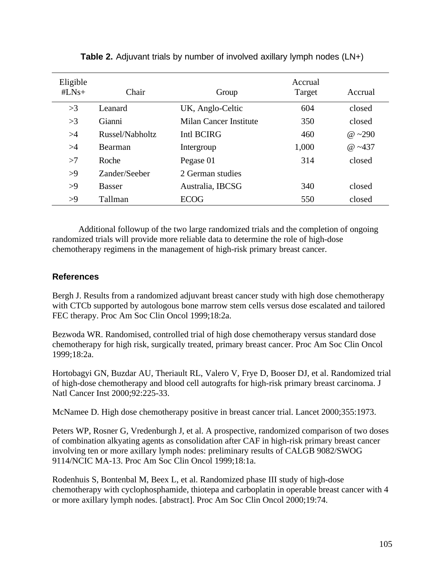| Eligible<br>$#LNs+$ | Chair           | Group                  | Accrual<br>Target | Accrual      |
|---------------------|-----------------|------------------------|-------------------|--------------|
| >3                  | Leanard         | UK, Anglo-Celtic       | 604               | closed       |
| >3                  | Gianni          | Milan Cancer Institute | 350               | closed       |
| >4                  | Russel/Nabholtz | Intl BCIRG             | 460               | @ $\sim$ 290 |
| >4                  | <b>Bearman</b>  | Intergroup             | 1,000             | $@ -437$     |
| >7                  | Roche           | Pegase 01              | 314               | closed       |
| >9                  | Zander/Seeber   | 2 German studies       |                   |              |
| >9                  | <b>Basser</b>   | Australia, IBCSG       | 340               | closed       |
| >9                  | Tallman         | <b>ECOG</b>            | 550               | closed       |

# **Table 2.** Adjuvant trials by number of involved axillary lymph nodes (LN+)

Additional followup of the two large randomized trials and the completion of ongoing randomized trials will provide more reliable data to determine the role of high-dose chemotherapy regimens in the management of high-risk primary breast cancer.

## **References**

Bergh J. Results from a randomized adjuvant breast cancer study with high dose chemotherapy with CTCb supported by autologous bone marrow stem cells versus dose escalated and tailored FEC therapy. Proc Am Soc Clin Oncol 1999;18:2a.

Bezwoda WR. Randomised, controlled trial of high dose chemotherapy versus standard dose chemotherapy for high risk, surgically treated, primary breast cancer. Proc Am Soc Clin Oncol 1999;18:2a.

Hortobagyi GN, Buzdar AU, Theriault RL, Valero V, Frye D, Booser DJ, et al. Randomized trial of high-dose chemotherapy and blood cell autografts for high-risk primary breast carcinoma. J Natl Cancer Inst 2000;92:225-33.

McNamee D. High dose chemotherapy positive in breast cancer trial. Lancet 2000;355:1973.

Peters WP, Rosner G, Vredenburgh J, et al. A prospective, randomized comparison of two doses of combination alkyating agents as consolidation after CAF in high-risk primary breast cancer involving ten or more axillary lymph nodes: preliminary results of CALGB 9082/SWOG 9114/NCIC MA-13. Proc Am Soc Clin Oncol 1999;18:1a.

Rodenhuis S, Bontenbal M, Beex L, et al. Randomized phase III study of high-dose chemotherapy with cyclophosphamide, thiotepa and carboplatin in operable breast cancer with 4 or more axillary lymph nodes. [abstract]. Proc Am Soc Clin Oncol 2000;19:74.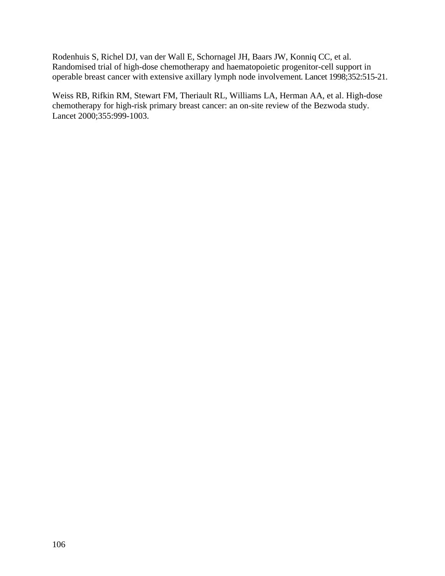Rodenhuis S, Richel DJ, van der Wall E, Schornagel JH, Baars JW, Konniq CC, et al. Randomised trial of high-dose chemotherapy and haematopoietic progenitor-cell support in operable breast cancer with extensive axillary lymph node involvement. Lancet 1998;352:515-21.

Weiss RB, Rifkin RM, Stewart FM, Theriault RL, Williams LA, Herman AA, et al. High-dose chemotherapy for high-risk primary breast cancer: an on-site review of the Bezwoda study. Lancet 2000;355:999-1003.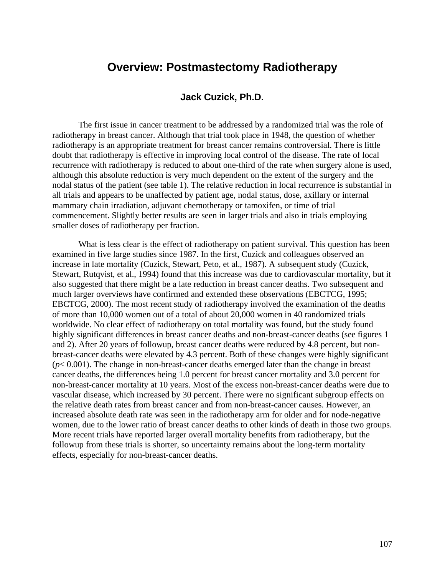# **Overview: Postmastectomy Radiotherapy**

## **Jack Cuzick, Ph.D.**

The first issue in cancer treatment to be addressed by a randomized trial was the role of radiotherapy in breast cancer. Although that trial took place in 1948, the question of whether radiotherapy is an appropriate treatment for breast cancer remains controversial. There is little doubt that radiotherapy is effective in improving local control of the disease. The rate of local recurrence with radiotherapy is reduced to about one-third of the rate when surgery alone is used, although this absolute reduction is very much dependent on the extent of the surgery and the nodal status of the patient (see table 1). The relative reduction in local recurrence is substantial in all trials and appears to be unaffected by patient age, nodal status, dose, axillary or internal mammary chain irradiation, adjuvant chemotherapy or tamoxifen, or time of trial commencement. Slightly better results are seen in larger trials and also in trials employing smaller doses of radiotherapy per fraction.

What is less clear is the effect of radiotherapy on patient survival. This question has been examined in five large studies since 1987. In the first, Cuzick and colleagues observed an increase in late mortality (Cuzick, Stewart, Peto, et al., 1987). A subsequent study (Cuzick, Stewart, Rutqvist, et al., 1994) found that this increase was due to cardiovascular mortality, but it also suggested that there might be a late reduction in breast cancer deaths. Two subsequent and much larger overviews have confirmed and extended these observations (EBCTCG, 1995; EBCTCG, 2000). The most recent study of radiotherapy involved the examination of the deaths of more than 10,000 women out of a total of about 20,000 women in 40 randomized trials worldwide. No clear effect of radiotherapy on total mortality was found, but the study found highly significant differences in breast cancer deaths and non-breast-cancer deaths (see figures 1 and 2). After 20 years of followup, breast cancer deaths were reduced by 4.8 percent, but nonbreast-cancer deaths were elevated by 4.3 percent. Both of these changes were highly significant (*p*< 0.001). The change in non-breast-cancer deaths emerged later than the change in breast cancer deaths, the differences being 1.0 percent for breast cancer mortality and 3.0 percent for non-breast-cancer mortality at 10 years. Most of the excess non-breast-cancer deaths were due to vascular disease, which increased by 30 percent. There were no significant subgroup effects on the relative death rates from breast cancer and from non-breast-cancer causes. However, an increased absolute death rate was seen in the radiotherapy arm for older and for node-negative women, due to the lower ratio of breast cancer deaths to other kinds of death in those two groups. More recent trials have reported larger overall mortality benefits from radiotherapy, but the followup from these trials is shorter, so uncertainty remains about the long-term mortality effects, especially for non-breast-cancer deaths.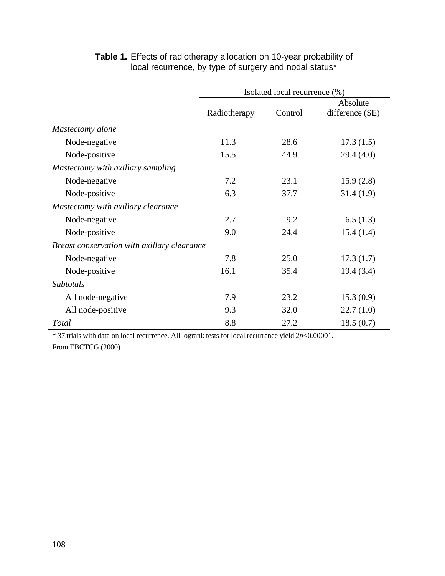|                                             | Isolated local recurrence (%) |         |                             |  |
|---------------------------------------------|-------------------------------|---------|-----------------------------|--|
|                                             | Radiotherapy                  | Control | Absolute<br>difference (SE) |  |
| Mastectomy alone                            |                               |         |                             |  |
| Node-negative                               | 11.3                          | 28.6    | 17.3(1.5)                   |  |
| Node-positive                               | 15.5                          | 44.9    | 29.4(4.0)                   |  |
| Mastectomy with axillary sampling           |                               |         |                             |  |
| Node-negative                               | 7.2                           | 23.1    | 15.9(2.8)                   |  |
| Node-positive                               | 6.3                           | 37.7    | 31.4(1.9)                   |  |
| Mastectomy with axillary clearance          |                               |         |                             |  |
| Node-negative                               | 2.7                           | 9.2     | 6.5(1.3)                    |  |
| Node-positive                               | 9.0                           | 24.4    | 15.4(1.4)                   |  |
| Breast conservation with axillary clearance |                               |         |                             |  |
| Node-negative                               | 7.8                           | 25.0    | 17.3(1.7)                   |  |
| Node-positive                               | 16.1                          | 35.4    | 19.4(3.4)                   |  |
| Subtotals                                   |                               |         |                             |  |
| All node-negative                           | 7.9                           | 23.2    | 15.3(0.9)                   |  |
| All node-positive                           | 9.3                           | 32.0    | 22.7(1.0)                   |  |
| Total                                       | 8.8                           | 27.2    | 18.5(0.7)                   |  |

# **Table 1.** Effects of radiotherapy allocation on 10-year probability of local recurrence, by type of surgery and nodal status\*

\* 37 trials with data on local recurrence. All logrank tests for local recurrence yield 2*p*<0.00001. From EBCTCG (2000)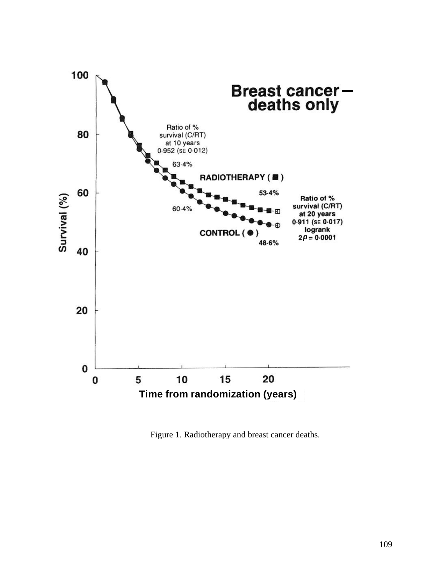

Figure 1. Radiotherapy and breast cancer deaths.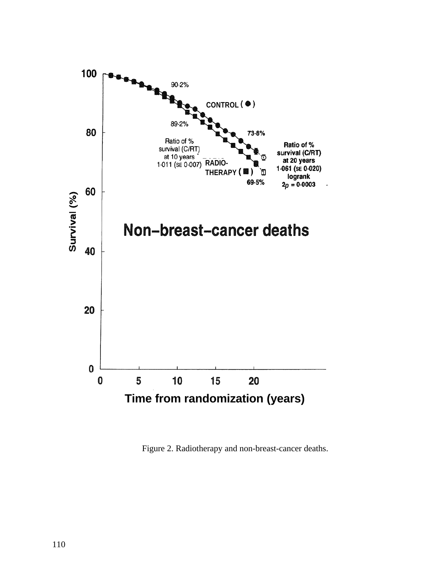

Figure 2. Radiotherapy and non-breast-cancer deaths.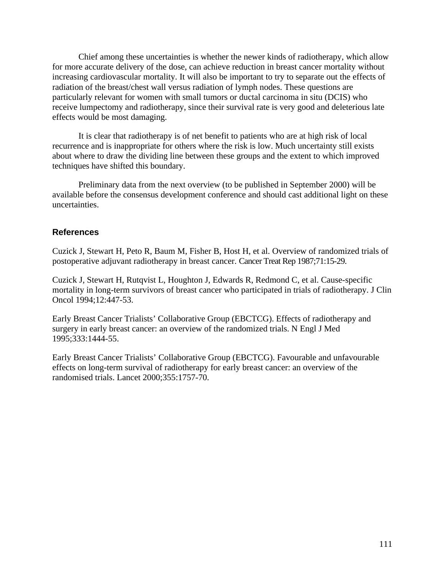Chief among these uncertainties is whether the newer kinds of radiotherapy, which allow for more accurate delivery of the dose, can achieve reduction in breast cancer mortality without increasing cardiovascular mortality. It will also be important to try to separate out the effects of radiation of the breast/chest wall versus radiation of lymph nodes. These questions are particularly relevant for women with small tumors or ductal carcinoma in situ (DCIS) who receive lumpectomy and radiotherapy, since their survival rate is very good and deleterious late effects would be most damaging.

It is clear that radiotherapy is of net benefit to patients who are at high risk of local recurrence and is inappropriate for others where the risk is low. Much uncertainty still exists about where to draw the dividing line between these groups and the extent to which improved techniques have shifted this boundary.

Preliminary data from the next overview (to be published in September 2000) will be available before the consensus development conference and should cast additional light on these uncertainties.

### **References**

Cuzick J, Stewart H, Peto R, Baum M, Fisher B, Host H, et al. Overview of randomized trials of postoperative adjuvant radiotherapy in breast cancer. Cancer Treat Rep 1987;71:15-29.

Cuzick J, Stewart H, Rutqvist L, Houghton J, Edwards R, Redmond C, et al. Cause-specific mortality in long-term survivors of breast cancer who participated in trials of radiotherapy. J Clin Oncol 1994;12:447-53.

Early Breast Cancer Trialists' Collaborative Group (EBCTCG). Effects of radiotherapy and surgery in early breast cancer: an overview of the randomized trials. N Engl J Med 1995;333:1444-55.

Early Breast Cancer Trialists' Collaborative Group (EBCTCG). Favourable and unfavourable effects on long-term survival of radiotherapy for early breast cancer: an overview of the randomised trials. Lancet 2000;355:1757-70.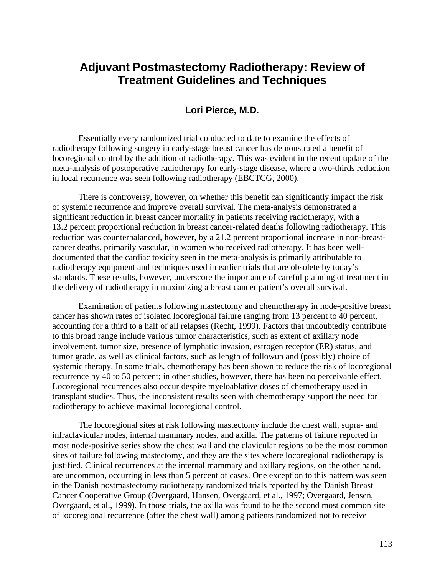# **Adjuvant Postmastectomy Radiotherapy: Review of Treatment Guidelines and Techniques**

### **Lori Pierce, M.D.**

Essentially every randomized trial conducted to date to examine the effects of radiotherapy following surgery in early-stage breast cancer has demonstrated a benefit of locoregional control by the addition of radiotherapy. This was evident in the recent update of the meta-analysis of postoperative radiotherapy for early-stage disease, where a two-thirds reduction in local recurrence was seen following radiotherapy (EBCTCG, 2000).

There is controversy, however, on whether this benefit can significantly impact the risk of systemic recurrence and improve overall survival. The meta-analysis demonstrated a significant reduction in breast cancer mortality in patients receiving radiotherapy, with a 13.2 percent proportional reduction in breast cancer-related deaths following radiotherapy. This reduction was counterbalanced, however, by a 21.2 percent proportional increase in non-breastcancer deaths, primarily vascular, in women who received radiotherapy. It has been welldocumented that the cardiac toxicity seen in the meta-analysis is primarily attributable to radiotherapy equipment and techniques used in earlier trials that are obsolete by today's standards. These results, however, underscore the importance of careful planning of treatment in the delivery of radiotherapy in maximizing a breast cancer patient's overall survival.

Examination of patients following mastectomy and chemotherapy in node-positive breast cancer has shown rates of isolated locoregional failure ranging from 13 percent to 40 percent, accounting for a third to a half of all relapses (Recht, 1999). Factors that undoubtedly contribute to this broad range include various tumor characteristics, such as extent of axillary node involvement, tumor size, presence of lymphatic invasion, estrogen receptor (ER) status, and tumor grade, as well as clinical factors, such as length of followup and (possibly) choice of systemic therapy. In some trials, chemotherapy has been shown to reduce the risk of locoregional recurrence by 40 to 50 percent; in other studies, however, there has been no perceivable effect. Locoregional recurrences also occur despite myeloablative doses of chemotherapy used in transplant studies. Thus, the inconsistent results seen with chemotherapy support the need for radiotherapy to achieve maximal locoregional control.

The locoregional sites at risk following mastectomy include the chest wall, supra- and infraclavicular nodes, internal mammary nodes, and axilla. The patterns of failure reported in most node-positive series show the chest wall and the clavicular regions to be the most common sites of failure following mastectomy, and they are the sites where locoregional radiotherapy is justified. Clinical recurrences at the internal mammary and axillary regions, on the other hand, are uncommon, occurring in less than 5 percent of cases. One exception to this pattern was seen in the Danish postmastectomy radiotherapy randomized trials reported by the Danish Breast Cancer Cooperative Group (Overgaard, Hansen, Overgaard, et al., 1997; Overgaard, Jensen, Overgaard, et al., 1999). In those trials, the axilla was found to be the second most common site of locoregional recurrence (after the chest wall) among patients randomized not to receive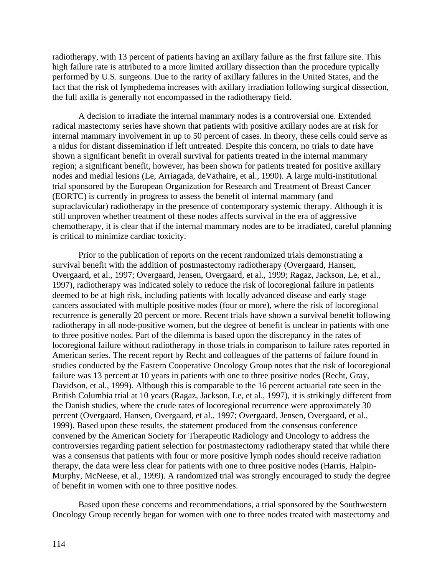radiotherapy, with 13 percent of patients having an axillary failure as the first failure site. This high failure rate is attributed to a more limited axillary dissection than the procedure typically performed by U.S. surgeons. Due to the rarity of axillary failures in the United States, and the fact that the risk of lymphedema increases with axillary irradiation following surgical dissection, the full axilla is generally not encompassed in the radiotherapy field.

A decision to irradiate the internal mammary nodes is a controversial one. Extended radical mastectomy series have shown that patients with positive axillary nodes are at risk for internal mammary involvement in up to 50 percent of cases. In theory, these cells could serve as a nidus for distant dissemination if left untreated. Despite this concern, no trials to date have shown a significant benefit in overall survival for patients treated in the internal mammary region; a significant benefit, however, has been shown for patients treated for positive axillary nodes and medial lesions (Le, Arriagada, deVathaire, et al., 1990). A large multi-institutional trial sponsored by the European Organization for Research and Treatment of Breast Cancer (EORTC) is currently in progress to assess the benefit of internal mammary (and supraclavicular) radiotherapy in the presence of contemporary systemic therapy. Although it is still unproven whether treatment of these nodes affects survival in the era of aggressive chemotherapy, it is clear that if the internal mammary nodes are to be irradiated, careful planning is critical to minimize cardiac toxicity.

Prior to the publication of reports on the recent randomized trials demonstrating a survival benefit with the addition of postmastectomy radiotherapy (Overgaard, Hansen, Overgaard, et al., 1997; Overgaard, Jensen, Overgaard, et al., 1999; Ragaz, Jackson, Le, et al., 1997), radiotherapy was indicated solely to reduce the risk of locoregional failure in patients deemed to be at high risk, including patients with locally advanced disease and early stage cancers associated with multiple positive nodes (four or more), where the risk of locoregional recurrence is generally 20 percent or more. Recent trials have shown a survival benefit following radiotherapy in all node-positive women, but the degree of benefit is unclear in patients with one to three positive nodes. Part of the dilemma is based upon the discrepancy in the rates of locoregional failure without radiotherapy in those trials in comparison to failure rates reported in American series. The recent report by Recht and colleagues of the patterns of failure found in studies conducted by the Eastern Cooperative Oncology Group notes that the risk of locoregional failure was 13 percent at 10 years in patients with one to three positive nodes (Recht, Gray, Davidson, et al., 1999). Although this is comparable to the 16 percent actuarial rate seen in the British Columbia trial at 10 years (Ragaz, Jackson, Le, et al., 1997), it is strikingly different from the Danish studies, where the crude rates of locoregional recurrence were approximately 30 percent (Overgaard, Hansen, Overgaard, et al., 1997; Overgaard, Jensen, Overgaard, et al., 1999). Based upon these results, the statement produced from the consensus conference convened by the American Society for Therapeutic Radiology and Oncology to address the controversies regarding patient selection for postmastectomy radiotherapy stated that while there was a consensus that patients with four or more positive lymph nodes should receive radiation therapy, the data were less clear for patients with one to three positive nodes (Harris, Halpin-Murphy, McNeese, et al., 1999). A randomized trial was strongly encouraged to study the degree of benefit in women with one to three positive nodes.

Based upon these concerns and recommendations, a trial sponsored by the Southwestern Oncology Group recently began for women with one to three nodes treated with mastectomy and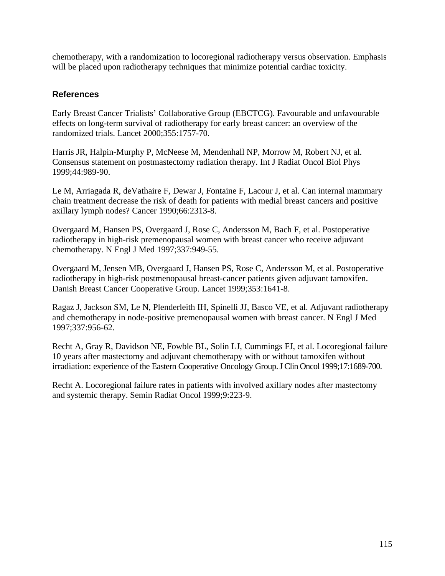chemotherapy, with a randomization to locoregional radiotherapy versus observation. Emphasis will be placed upon radiotherapy techniques that minimize potential cardiac toxicity.

## **References**

Early Breast Cancer Trialists' Collaborative Group (EBCTCG). Favourable and unfavourable effects on long-term survival of radiotherapy for early breast cancer: an overview of the randomized trials. Lancet 2000;355:1757-70.

Harris JR, Halpin-Murphy P, McNeese M, Mendenhall NP, Morrow M, Robert NJ, et al. Consensus statement on postmastectomy radiation therapy. Int J Radiat Oncol Biol Phys 1999;44:989-90.

Le M, Arriagada R, deVathaire F, Dewar J, Fontaine F, Lacour J, et al. Can internal mammary chain treatment decrease the risk of death for patients with medial breast cancers and positive axillary lymph nodes? Cancer 1990;66:2313-8.

Overgaard M, Hansen PS, Overgaard J, Rose C, Andersson M, Bach F, et al. Postoperative radiotherapy in high-risk premenopausal women with breast cancer who receive adjuvant chemotherapy. N Engl J Med 1997;337:949-55.

Overgaard M, Jensen MB, Overgaard J, Hansen PS, Rose C, Andersson M, et al. Postoperative radiotherapy in high-risk postmenopausal breast-cancer patients given adjuvant tamoxifen. Danish Breast Cancer Cooperative Group. Lancet 1999;353:1641-8.

Ragaz J, Jackson SM, Le N, Plenderleith IH, Spinelli JJ, Basco VE, et al. Adjuvant radiotherapy and chemotherapy in node-positive premenopausal women with breast cancer. N Engl J Med 1997;337:956-62.

Recht A, Gray R, Davidson NE, Fowble BL, Solin LJ, Cummings FJ, et al. Locoregional failure 10 years after mastectomy and adjuvant chemotherapy with or without tamoxifen without irradiation: experience of the Eastern Cooperative Oncology Group. J Clin Oncol 1999;17:1689-700.

Recht A. Locoregional failure rates in patients with involved axillary nodes after mastectomy and systemic therapy. Semin Radiat Oncol 1999;9:223-9.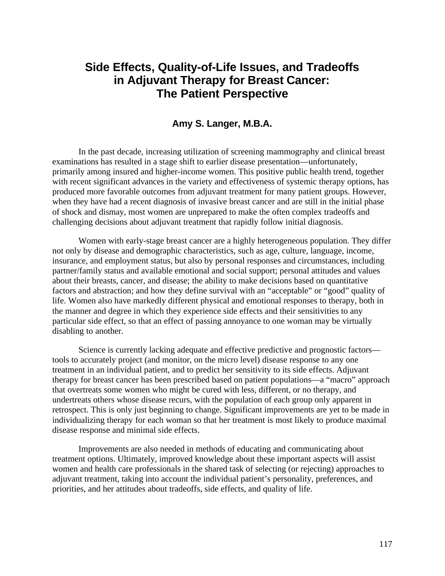# **Side Effects, Quality-of-Life Issues, and Tradeoffs in Adjuvant Therapy for Breast Cancer: The Patient Perspective**

## **Amy S. Langer, M.B.A.**

In the past decade, increasing utilization of screening mammography and clinical breast examinations has resulted in a stage shift to earlier disease presentation—unfortunately, primarily among insured and higher-income women. This positive public health trend, together with recent significant advances in the variety and effectiveness of systemic therapy options, has produced more favorable outcomes from adjuvant treatment for many patient groups. However, when they have had a recent diagnosis of invasive breast cancer and are still in the initial phase of shock and dismay, most women are unprepared to make the often complex tradeoffs and challenging decisions about adjuvant treatment that rapidly follow initial diagnosis.

Women with early-stage breast cancer are a highly heterogeneous population. They differ not only by disease and demographic characteristics, such as age, culture, language, income, insurance, and employment status, but also by personal responses and circumstances, including partner/family status and available emotional and social support; personal attitudes and values about their breasts, cancer, and disease; the ability to make decisions based on quantitative factors and abstraction; and how they define survival with an "acceptable" or "good" quality of life. Women also have markedly different physical and emotional responses to therapy, both in the manner and degree in which they experience side effects and their sensitivities to any particular side effect, so that an effect of passing annoyance to one woman may be virtually disabling to another.

Science is currently lacking adequate and effective predictive and prognostic factors tools to accurately project (and monitor, on the micro level) disease response to any one treatment in an individual patient, and to predict her sensitivity to its side effects. Adjuvant therapy for breast cancer has been prescribed based on patient populations—a "macro" approach that overtreats some women who might be cured with less, different, or no therapy, and undertreats others whose disease recurs, with the population of each group only apparent in retrospect. This is only just beginning to change. Significant improvements are yet to be made in individualizing therapy for each woman so that her treatment is most likely to produce maximal disease response and minimal side effects.

Improvements are also needed in methods of educating and communicating about treatment options. Ultimately, improved knowledge about these important aspects will assist women and health care professionals in the shared task of selecting (or rejecting) approaches to adjuvant treatment, taking into account the individual patient's personality, preferences, and priorities, and her attitudes about tradeoffs, side effects, and quality of life.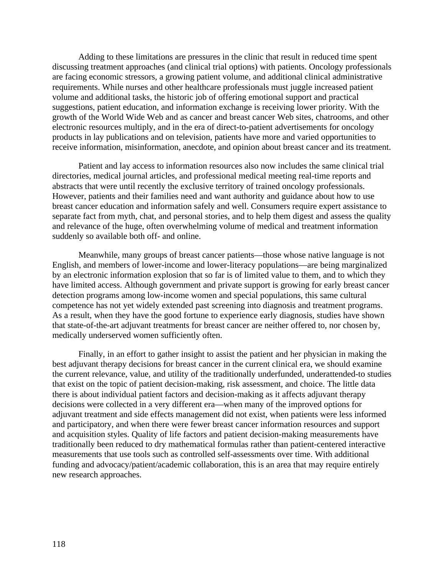Adding to these limitations are pressures in the clinic that result in reduced time spent discussing treatment approaches (and clinical trial options) with patients. Oncology professionals are facing economic stressors, a growing patient volume, and additional clinical administrative requirements. While nurses and other healthcare professionals must juggle increased patient volume and additional tasks, the historic job of offering emotional support and practical suggestions, patient education, and information exchange is receiving lower priority. With the growth of the World Wide Web and as cancer and breast cancer Web sites, chatrooms, and other electronic resources multiply, and in the era of direct-to-patient advertisements for oncology products in lay publications and on television, patients have more and varied opportunities to receive information, misinformation, anecdote, and opinion about breast cancer and its treatment.

Patient and lay access to information resources also now includes the same clinical trial directories, medical journal articles, and professional medical meeting real-time reports and abstracts that were until recently the exclusive territory of trained oncology professionals. However, patients and their families need and want authority and guidance about how to use breast cancer education and information safely and well. Consumers require expert assistance to separate fact from myth, chat, and personal stories, and to help them digest and assess the quality and relevance of the huge, often overwhelming volume of medical and treatment information suddenly so available both off- and online.

Meanwhile, many groups of breast cancer patients—those whose native language is not English, and members of lower-income and lower-literacy populations—are being marginalized by an electronic information explosion that so far is of limited value to them, and to which they have limited access. Although government and private support is growing for early breast cancer detection programs among low-income women and special populations, this same cultural competence has not yet widely extended past screening into diagnosis and treatment programs. As a result, when they have the good fortune to experience early diagnosis, studies have shown that state-of-the-art adjuvant treatments for breast cancer are neither offered to, nor chosen by, medically underserved women sufficiently often.

Finally, in an effort to gather insight to assist the patient and her physician in making the best adjuvant therapy decisions for breast cancer in the current clinical era, we should examine the current relevance, value, and utility of the traditionally underfunded, underattended-to studies that exist on the topic of patient decision-making, risk assessment, and choice. The little data there is about individual patient factors and decision-making as it affects adjuvant therapy decisions were collected in a very different era—when many of the improved options for adjuvant treatment and side effects management did not exist, when patients were less informed and participatory, and when there were fewer breast cancer information resources and support and acquisition styles. Quality of life factors and patient decision-making measurements have traditionally been reduced to dry mathematical formulas rather than patient-centered interactive measurements that use tools such as controlled self-assessments over time. With additional funding and advocacy/patient/academic collaboration, this is an area that may require entirely new research approaches.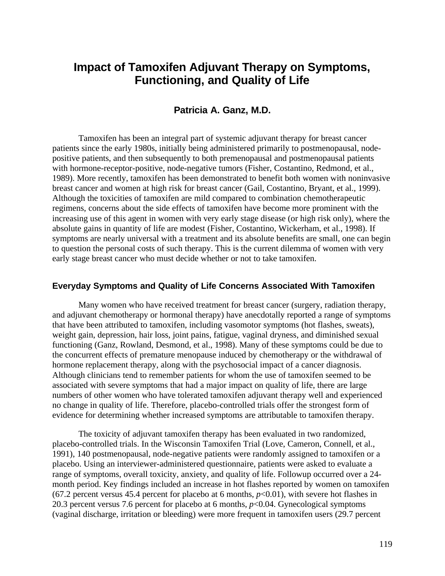## **Impact of Tamoxifen Adjuvant Therapy on Symptoms, Functioning, and Quality of Life**

## **Patricia A. Ganz, M.D.**

Tamoxifen has been an integral part of systemic adjuvant therapy for breast cancer patients since the early 1980s, initially being administered primarily to postmenopausal, nodepositive patients, and then subsequently to both premenopausal and postmenopausal patients with hormone-receptor-positive, node-negative tumors (Fisher, Costantino, Redmond, et al., 1989). More recently, tamoxifen has been demonstrated to benefit both women with noninvasive breast cancer and women at high risk for breast cancer (Gail, Costantino, Bryant, et al., 1999). Although the toxicities of tamoxifen are mild compared to combination chemotherapeutic regimens, concerns about the side effects of tamoxifen have become more prominent with the increasing use of this agent in women with very early stage disease (or high risk only), where the absolute gains in quantity of life are modest (Fisher, Costantino, Wickerham, et al., 1998). If symptoms are nearly universal with a treatment and its absolute benefits are small, one can begin to question the personal costs of such therapy. This is the current dilemma of women with very early stage breast cancer who must decide whether or not to take tamoxifen.

#### **Everyday Symptoms and Quality of Life Concerns Associated With Tamoxifen**

Many women who have received treatment for breast cancer (surgery, radiation therapy, and adjuvant chemotherapy or hormonal therapy) have anecdotally reported a range of symptoms that have been attributed to tamoxifen, including vasomotor symptoms (hot flashes, sweats), weight gain, depression, hair loss, joint pains, fatigue, vaginal dryness, and diminished sexual functioning (Ganz, Rowland, Desmond, et al., 1998). Many of these symptoms could be due to the concurrent effects of premature menopause induced by chemotherapy or the withdrawal of hormone replacement therapy, along with the psychosocial impact of a cancer diagnosis. Although clinicians tend to remember patients for whom the use of tamoxifen seemed to be associated with severe symptoms that had a major impact on quality of life, there are large numbers of other women who have tolerated tamoxifen adjuvant therapy well and experienced no change in quality of life. Therefore, placebo-controlled trials offer the strongest form of evidence for determining whether increased symptoms are attributable to tamoxifen therapy.

The toxicity of adjuvant tamoxifen therapy has been evaluated in two randomized, placebo-controlled trials. In the Wisconsin Tamoxifen Trial (Love, Cameron, Connell, et al., 1991), 140 postmenopausal, node-negative patients were randomly assigned to tamoxifen or a placebo. Using an interviewer-administered questionnaire, patients were asked to evaluate a range of symptoms, overall toxicity, anxiety, and quality of life. Followup occurred over a 24 month period. Key findings included an increase in hot flashes reported by women on tamoxifen (67.2 percent versus 45.4 percent for placebo at 6 months,  $p<0.01$ ), with severe hot flashes in 20.3 percent versus 7.6 percent for placebo at 6 months, *p*<0.04. Gynecological symptoms (vaginal discharge, irritation or bleeding) were more frequent in tamoxifen users (29.7 percent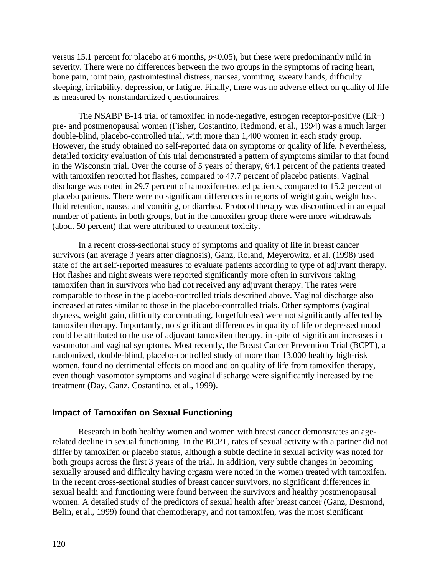versus 15.1 percent for placebo at 6 months,  $p<0.05$ ), but these were predominantly mild in severity. There were no differences between the two groups in the symptoms of racing heart, bone pain, joint pain, gastrointestinal distress, nausea, vomiting, sweaty hands, difficulty sleeping, irritability, depression, or fatigue. Finally, there was no adverse effect on quality of life as measured by nonstandardized questionnaires.

The NSABP B-14 trial of tamoxifen in node-negative, estrogen receptor-positive (ER+) pre- and postmenopausal women (Fisher, Costantino, Redmond, et al., 1994) was a much larger double-blind, placebo-controlled trial, with more than 1,400 women in each study group. However, the study obtained no self-reported data on symptoms or quality of life. Nevertheless, detailed toxicity evaluation of this trial demonstrated a pattern of symptoms similar to that found in the Wisconsin trial. Over the course of 5 years of therapy, 64.1 percent of the patients treated with tamoxifen reported hot flashes, compared to 47.7 percent of placebo patients. Vaginal discharge was noted in 29.7 percent of tamoxifen-treated patients, compared to 15.2 percent of placebo patients. There were no significant differences in reports of weight gain, weight loss, fluid retention, nausea and vomiting, or diarrhea. Protocol therapy was discontinued in an equal number of patients in both groups, but in the tamoxifen group there were more withdrawals (about 50 percent) that were attributed to treatment toxicity.

In a recent cross-sectional study of symptoms and quality of life in breast cancer survivors (an average 3 years after diagnosis), Ganz, Roland, Meyerowitz, et al. (1998) used state of the art self-reported measures to evaluate patients according to type of adjuvant therapy. Hot flashes and night sweats were reported significantly more often in survivors taking tamoxifen than in survivors who had not received any adjuvant therapy. The rates were comparable to those in the placebo-controlled trials described above. Vaginal discharge also increased at rates similar to those in the placebo-controlled trials. Other symptoms (vaginal dryness, weight gain, difficulty concentrating, forgetfulness) were not significantly affected by tamoxifen therapy. Importantly, no significant differences in quality of life or depressed mood could be attributed to the use of adjuvant tamoxifen therapy, in spite of significant increases in vasomotor and vaginal symptoms. Most recently, the Breast Cancer Prevention Trial (BCPT), a randomized, double-blind, placebo-controlled study of more than 13,000 healthy high-risk women, found no detrimental effects on mood and on quality of life from tamoxifen therapy, even though vasomotor symptoms and vaginal discharge were significantly increased by the treatment (Day, Ganz, Costantino, et al., 1999).

#### **Impact of Tamoxifen on Sexual Functioning**

Research in both healthy women and women with breast cancer demonstrates an agerelated decline in sexual functioning. In the BCPT, rates of sexual activity with a partner did not differ by tamoxifen or placebo status, although a subtle decline in sexual activity was noted for both groups across the first 3 years of the trial. In addition, very subtle changes in becoming sexually aroused and difficulty having orgasm were noted in the women treated with tamoxifen. In the recent cross-sectional studies of breast cancer survivors, no significant differences in sexual health and functioning were found between the survivors and healthy postmenopausal women. A detailed study of the predictors of sexual health after breast cancer (Ganz, Desmond, Belin, et al., 1999) found that chemotherapy, and not tamoxifen, was the most significant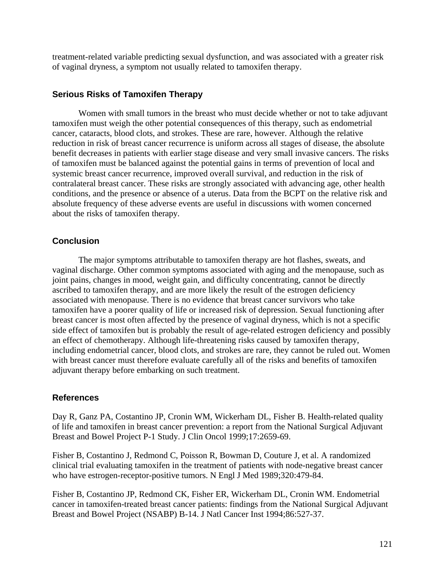treatment-related variable predicting sexual dysfunction, and was associated with a greater risk of vaginal dryness, a symptom not usually related to tamoxifen therapy.

### **Serious Risks of Tamoxifen Therapy**

Women with small tumors in the breast who must decide whether or not to take adjuvant tamoxifen must weigh the other potential consequences of this therapy, such as endometrial cancer, cataracts, blood clots, and strokes. These are rare, however. Although the relative reduction in risk of breast cancer recurrence is uniform across all stages of disease, the absolute benefit decreases in patients with earlier stage disease and very small invasive cancers. The risks of tamoxifen must be balanced against the potential gains in terms of prevention of local and systemic breast cancer recurrence, improved overall survival, and reduction in the risk of contralateral breast cancer. These risks are strongly associated with advancing age, other health conditions, and the presence or absence of a uterus. Data from the BCPT on the relative risk and absolute frequency of these adverse events are useful in discussions with women concerned about the risks of tamoxifen therapy.

#### **Conclusion**

The major symptoms attributable to tamoxifen therapy are hot flashes, sweats, and vaginal discharge. Other common symptoms associated with aging and the menopause, such as joint pains, changes in mood, weight gain, and difficulty concentrating, cannot be directly ascribed to tamoxifen therapy, and are more likely the result of the estrogen deficiency associated with menopause. There is no evidence that breast cancer survivors who take tamoxifen have a poorer quality of life or increased risk of depression. Sexual functioning after breast cancer is most often affected by the presence of vaginal dryness, which is not a specific side effect of tamoxifen but is probably the result of age-related estrogen deficiency and possibly an effect of chemotherapy. Although life-threatening risks caused by tamoxifen therapy, including endometrial cancer, blood clots, and strokes are rare, they cannot be ruled out. Women with breast cancer must therefore evaluate carefully all of the risks and benefits of tamoxifen adjuvant therapy before embarking on such treatment.

### **References**

Day R, Ganz PA, Costantino JP, Cronin WM, Wickerham DL, Fisher B. Health-related quality of life and tamoxifen in breast cancer prevention: a report from the National Surgical Adjuvant Breast and Bowel Project P-1 Study. J Clin Oncol 1999;17:2659-69.

Fisher B, Costantino J, Redmond C, Poisson R, Bowman D, Couture J, et al. A randomized clinical trial evaluating tamoxifen in the treatment of patients with node-negative breast cancer who have estrogen-receptor-positive tumors. N Engl J Med 1989;320:479-84.

Fisher B, Costantino JP, Redmond CK, Fisher ER, Wickerham DL, Cronin WM. Endometrial cancer in tamoxifen-treated breast cancer patients: findings from the National Surgical Adjuvant Breast and Bowel Project (NSABP) B-14. J Natl Cancer Inst 1994;86:527-37.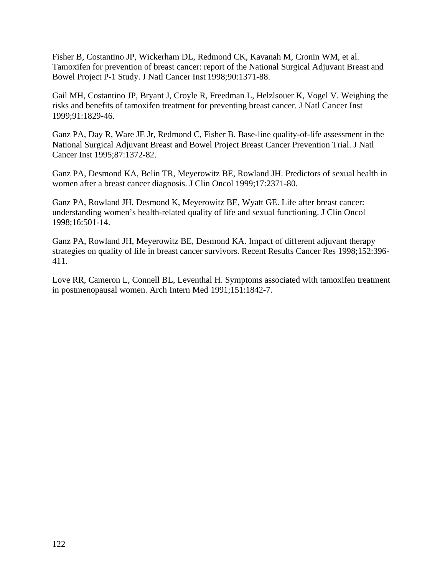Fisher B, Costantino JP, Wickerham DL, Redmond CK, Kavanah M, Cronin WM, et al. Tamoxifen for prevention of breast cancer: report of the National Surgical Adjuvant Breast and Bowel Project P-1 Study. J Natl Cancer Inst 1998;90:1371-88.

Gail MH, Costantino JP, Bryant J, Croyle R, Freedman L, Helzlsouer K, Vogel V. Weighing the risks and benefits of tamoxifen treatment for preventing breast cancer. J Natl Cancer Inst 1999;91:1829-46.

Ganz PA, Day R, Ware JE Jr, Redmond C, Fisher B. Base-line quality-of-life assessment in the National Surgical Adjuvant Breast and Bowel Project Breast Cancer Prevention Trial. J Natl Cancer Inst 1995;87:1372-82.

Ganz PA, Desmond KA, Belin TR, Meyerowitz BE, Rowland JH. Predictors of sexual health in women after a breast cancer diagnosis. J Clin Oncol 1999;17:2371-80.

Ganz PA, Rowland JH, Desmond K, Meyerowitz BE, Wyatt GE. Life after breast cancer: understanding women's health-related quality of life and sexual functioning. J Clin Oncol 1998;16:501-14.

Ganz PA, Rowland JH, Meyerowitz BE, Desmond KA. Impact of different adjuvant therapy strategies on quality of life in breast cancer survivors. Recent Results Cancer Res 1998;152:396 411.

Love RR, Cameron L, Connell BL, Leventhal H. Symptoms associated with tamoxifen treatment in postmenopausal women. Arch Intern Med 1991;151:1842-7.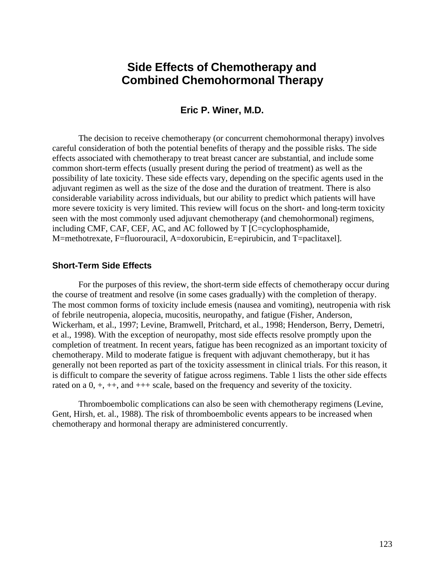## **Side Effects of Chemotherapy and Combined Chemohormonal Therapy**

#### **Eric P. Winer, M.D.**

The decision to receive chemotherapy (or concurrent chemohormonal therapy) involves careful consideration of both the potential benefits of therapy and the possible risks. The side effects associated with chemotherapy to treat breast cancer are substantial, and include some common short-term effects (usually present during the period of treatment) as well as the possibility of late toxicity. These side effects vary, depending on the specific agents used in the adjuvant regimen as well as the size of the dose and the duration of treatment. There is also considerable variability across individuals, but our ability to predict which patients will have more severe toxicity is very limited. This review will focus on the short- and long-term toxicity seen with the most commonly used adjuvant chemotherapy (and chemohormonal) regimens, including CMF, CAF, CEF, AC, and AC followed by T [C=cyclophosphamide, M=methotrexate, F=fluorouracil, A=doxorubicin, E=epirubicin, and T=paclitaxel].

#### **Short-Term Side Effects**

For the purposes of this review, the short-term side effects of chemotherapy occur during the course of treatment and resolve (in some cases gradually) with the completion of therapy. The most common forms of toxicity include emesis (nausea and vomiting), neutropenia with risk of febrile neutropenia, alopecia, mucositis, neuropathy, and fatigue (Fisher, Anderson, Wickerham, et al., 1997; Levine, Bramwell, Pritchard, et al., 1998; Henderson, Berry, Demetri, et al., 1998). With the exception of neuropathy, most side effects resolve promptly upon the completion of treatment. In recent years, fatigue has been recognized as an important toxicity of chemotherapy. Mild to moderate fatigue is frequent with adjuvant chemotherapy, but it has generally not been reported as part of the toxicity assessment in clinical trials. For this reason, it is difficult to compare the severity of fatigue across regimens. Table 1 lists the other side effects rated on a 0, +, ++, and +++ scale, based on the frequency and severity of the toxicity.

Thromboembolic complications can also be seen with chemotherapy regimens (Levine, Gent, Hirsh, et. al., 1988). The risk of thromboembolic events appears to be increased when chemotherapy and hormonal therapy are administered concurrently.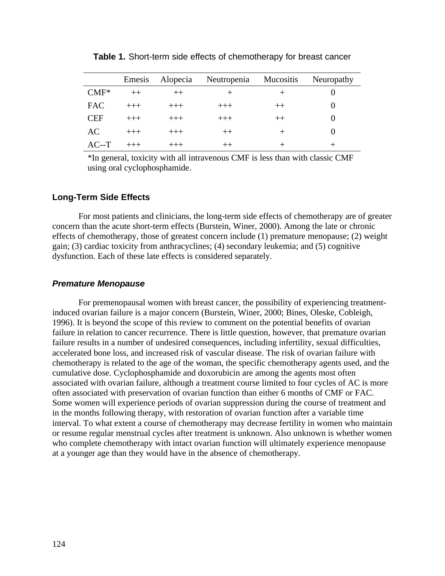|            | Emesis   | Alopecia | Neutropenia | Mucositis | Neuropathy |
|------------|----------|----------|-------------|-----------|------------|
| $CMF*$     | $^{++}$  | $++$     |             |           |            |
| <b>FAC</b> | $+++$    | $+++$    | $^{+++}$    | $^{++}$   |            |
| <b>CEF</b> | $^{+++}$ | $+++$    | $+++$       | $^{++}$   |            |
| AC         | $^{+++}$ | $+++$    | $++$        | $\,+\,$   |            |
| $AC-T$     |          |          | $^{++}$     |           |            |

**Table 1.** Short-term side effects of chemotherapy for breast cancer

\*In general, toxicity with all intravenous CMF is less than with classic CMF using oral cyclophosphamide.

#### **Long-Term Side Effects**

For most patients and clinicians, the long-term side effects of chemotherapy are of greater concern than the acute short-term effects (Burstein, Winer, 2000). Among the late or chronic effects of chemotherapy, those of greatest concern include (1) premature menopause; (2) weight gain; (3) cardiac toxicity from anthracyclines; (4) secondary leukemia; and (5) cognitive dysfunction. Each of these late effects is considered separately.

#### *Premature Menopause*

For premenopausal women with breast cancer, the possibility of experiencing treatmentinduced ovarian failure is a major concern (Burstein, Winer, 2000; Bines, Oleske, Cobleigh, 1996). It is beyond the scope of this review to comment on the potential benefits of ovarian failure in relation to cancer recurrence. There is little question, however, that premature ovarian failure results in a number of undesired consequences, including infertility, sexual difficulties, accelerated bone loss, and increased risk of vascular disease. The risk of ovarian failure with chemotherapy is related to the age of the woman, the specific chemotherapy agents used, and the cumulative dose. Cyclophosphamide and doxorubicin are among the agents most often associated with ovarian failure, although a treatment course limited to four cycles of AC is more often associated with preservation of ovarian function than either 6 months of CMF or FAC. Some women will experience periods of ovarian suppression during the course of treatment and in the months following therapy, with restoration of ovarian function after a variable time interval. To what extent a course of chemotherapy may decrease fertility in women who maintain or resume regular menstrual cycles after treatment is unknown. Also unknown is whether women who complete chemotherapy with intact ovarian function will ultimately experience menopause at a younger age than they would have in the absence of chemotherapy.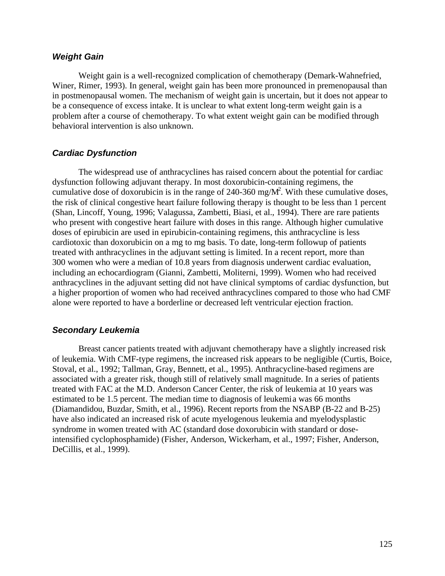#### *Weight Gain*

Weight gain is a well-recognized complication of chemotherapy (Demark-Wahnefried, Winer, Rimer, 1993). In general, weight gain has been more pronounced in premenopausal than in postmenopausal women. The mechanism of weight gain is uncertain, but it does not appear to be a consequence of excess intake. It is unclear to what extent long-term weight gain is a problem after a course of chemotherapy. To what extent weight gain can be modified through behavioral intervention is also unknown.

#### *Cardiac Dysfunction*

The widespread use of anthracyclines has raised concern about the potential for cardiac dysfunction following adjuvant therapy. In most doxorubicin-containing regimens, the cumulative dose of doxorubicin is in the range of 240-360 mg/ $M<sup>2</sup>$ . With these cumulative doses, the risk of clinical congestive heart failure following therapy is thought to be less than 1 percent (Shan, Lincoff, Young, 1996; Valagussa, Zambetti, Biasi, et al., 1994). There are rare patients who present with congestive heart failure with doses in this range. Although higher cumulative doses of epirubicin are used in epirubicin-containing regimens, this anthracycline is less cardiotoxic than doxorubicin on a mg to mg basis. To date, long-term followup of patients treated with anthracyclines in the adjuvant setting is limited. In a recent report, more than 300 women who were a median of 10.8 years from diagnosis underwent cardiac evaluation, including an echocardiogram (Gianni, Zambetti, Moliterni, 1999). Women who had received anthracyclines in the adjuvant setting did not have clinical symptoms of cardiac dysfunction, but a higher proportion of women who had received anthracyclines compared to those who had CMF alone were reported to have a borderline or decreased left ventricular ejection fraction.

#### *Secondary Leukemia*

Breast cancer patients treated with adjuvant chemotherapy have a slightly increased risk of leukemia. With CMF-type regimens, the increased risk appears to be negligible (Curtis, Boice, Stoval, et al., 1992; Tallman, Gray, Bennett, et al., 1995). Anthracycline-based regimens are associated with a greater risk, though still of relatively small magnitude. In a series of patients treated with FAC at the M.D. Anderson Cancer Center, the risk of leukemia at 10 years was estimated to be 1.5 percent. The median time to diagnosis of leukemia was 66 months (Diamandidou, Buzdar, Smith, et al., 1996). Recent reports from the NSABP (B-22 and B-25) have also indicated an increased risk of acute myelogenous leukemia and myelodysplastic syndrome in women treated with AC (standard dose doxorubicin with standard or doseintensified cyclophosphamide) (Fisher, Anderson, Wickerham, et al., 1997; Fisher, Anderson, DeCillis, et al., 1999).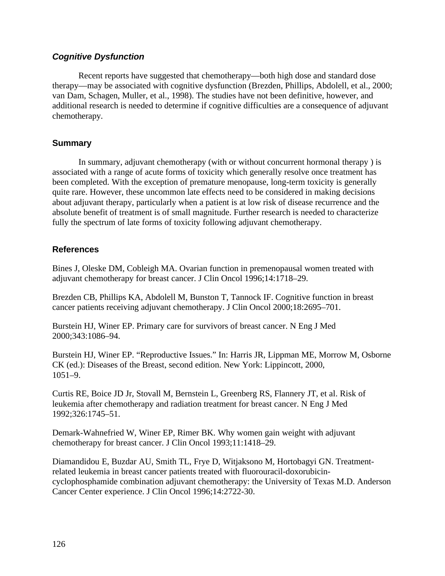## *Cognitive Dysfunction*

Recent reports have suggested that chemotherapy—both high dose and standard dose therapy—may be associated with cognitive dysfunction (Brezden, Phillips, Abdolell, et al., 2000; van Dam, Schagen, Muller, et al., 1998). The studies have not been definitive, however, and additional research is needed to determine if cognitive difficulties are a consequence of adjuvant chemotherapy.

## **Summary**

In summary, adjuvant chemotherapy (with or without concurrent hormonal therapy ) is associated with a range of acute forms of toxicity which generally resolve once treatment has been completed. With the exception of premature menopause, long-term toxicity is generally quite rare. However, these uncommon late effects need to be considered in making decisions about adjuvant therapy, particularly when a patient is at low risk of disease recurrence and the absolute benefit of treatment is of small magnitude. Further research is needed to characterize fully the spectrum of late forms of toxicity following adjuvant chemotherapy.

## **References**

Bines J, Oleske DM, Cobleigh MA. Ovarian function in premenopausal women treated with adjuvant chemotherapy for breast cancer. J Clin Oncol 1996;14:1718–29.

Brezden CB, Phillips KA, Abdolell M, Bunston T, Tannock IF. Cognitive function in breast cancer patients receiving adjuvant chemotherapy. J Clin Oncol 2000;18:2695–701.

Burstein HJ, Winer EP. Primary care for survivors of breast cancer. N Eng J Med 2000;343:1086–94.

Burstein HJ, Winer EP. "Reproductive Issues." In: Harris JR, Lippman ME, Morrow M, Osborne CK (ed.): Diseases of the Breast, second edition. New York: Lippincott, 2000, 1051–9.

Curtis RE, Boice JD Jr, Stovall M, Bernstein L, Greenberg RS, Flannery JT, et al. Risk of leukemia after chemotherapy and radiation treatment for breast cancer. N Eng J Med 1992;326:1745–51.

Demark-Wahnefried W, Winer EP, Rimer BK. Why women gain weight with adjuvant chemotherapy for breast cancer. J Clin Oncol 1993;11:1418–29.

Diamandidou E, Buzdar AU, Smith TL, Frye D, Witjaksono M, Hortobagyi GN. Treatmentrelated leukemia in breast cancer patients treated with fluorouracil-doxorubicincyclophosphamide combination adjuvant chemotherapy: the University of Texas M.D. Anderson Cancer Center experience. J Clin Oncol 1996;14:2722-30.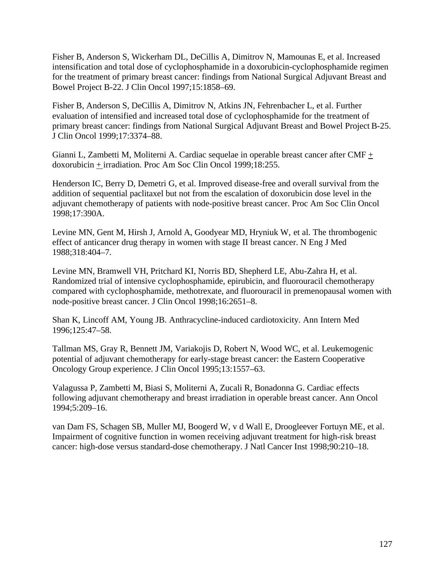Fisher B, Anderson S, Wickerham DL, DeCillis A, Dimitrov N, Mamounas E, et al. Increased intensification and total dose of cyclophosphamide in a doxorubicin-cyclophosphamide regimen for the treatment of primary breast cancer: findings from National Surgical Adjuvant Breast and Bowel Project B-22. J Clin Oncol 1997;15:1858–69.

Fisher B, Anderson S, DeCillis A, Dimitrov N, Atkins JN, Fehrenbacher L, et al. Further evaluation of intensified and increased total dose of cyclophosphamide for the treatment of primary breast cancer: findings from National Surgical Adjuvant Breast and Bowel Project B-25. J Clin Oncol 1999;17:3374–88.

Gianni L, Zambetti M, Moliterni A. Cardiac sequelae in operable breast cancer after CMF + doxorubicin + irradiation. Proc Am Soc Clin Oncol 1999;18:255.

Henderson IC, Berry D, Demetri G, et al. Improved disease-free and overall survival from the addition of sequential paclitaxel but not from the escalation of doxorubicin dose level in the adjuvant chemotherapy of patients with node-positive breast cancer. Proc Am Soc Clin Oncol 1998;17:390A.

Levine MN, Gent M, Hirsh J, Arnold A, Goodyear MD, Hryniuk W, et al. The thrombogenic effect of anticancer drug therapy in women with stage II breast cancer. N Eng J Med 1988;318:404–7.

Levine MN, Bramwell VH, Pritchard KI, Norris BD, Shepherd LE, Abu-Zahra H, et al. Randomized trial of intensive cyclophosphamide, epirubicin, and fluorouracil chemotherapy compared with cyclophosphamide, methotrexate, and fluorouracil in premenopausal women with node-positive breast cancer. J Clin Oncol 1998;16:2651–8.

Shan K, Lincoff AM, Young JB. Anthracycline-induced cardiotoxicity. Ann Intern Med 1996;125:47–58.

Tallman MS, Gray R, Bennett JM, Variakojis D, Robert N, Wood WC, et al. Leukemogenic potential of adjuvant chemotherapy for early-stage breast cancer: the Eastern Cooperative Oncology Group experience. J Clin Oncol 1995;13:1557–63.

Valagussa P, Zambetti M, Biasi S, Moliterni A, Zucali R, Bonadonna G. Cardiac effects following adjuvant chemotherapy and breast irradiation in operable breast cancer. Ann Oncol 1994;5:209–16.

van Dam FS, Schagen SB, Muller MJ, Boogerd W, v d Wall E, Droogleever Fortuyn ME, et al. Impairment of cognitive function in women receiving adjuvant treatment for high-risk breast cancer: high-dose versus standard-dose chemotherapy. J Natl Cancer Inst 1998;90:210–18.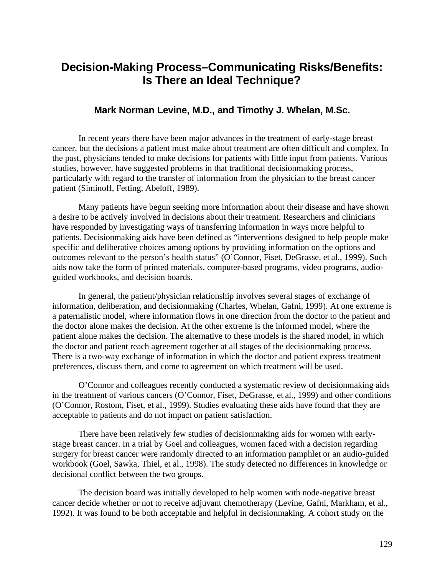## **Decision-Making Process–Communicating Risks/Benefits: Is There an Ideal Technique?**

## **Mark Norman Levine, M.D., and Timothy J. Whelan, M.Sc.**

In recent years there have been major advances in the treatment of early-stage breast cancer, but the decisions a patient must make about treatment are often difficult and complex. In the past, physicians tended to make decisions for patients with little input from patients. Various studies, however, have suggested problems in that traditional decisionmaking process, particularly with regard to the transfer of information from the physician to the breast cancer patient (Siminoff, Fetting, Abeloff, 1989).

Many patients have begun seeking more information about their disease and have shown a desire to be actively involved in decisions about their treatment. Researchers and clinicians have responded by investigating ways of transferring information in ways more helpful to patients. Decisionmaking aids have been defined as "interventions designed to help people make specific and deliberative choices among options by providing information on the options and outcomes relevant to the person's health status" (O'Connor, Fiset, DeGrasse, et al., 1999). Such aids now take the form of printed materials, computer-based programs, video programs, audioguided workbooks, and decision boards.

In general, the patient/physician relationship involves several stages of exchange of information, deliberation, and decisionmaking (Charles, Whelan, Gafni, 1999). At one extreme is a paternalistic model, where information flows in one direction from the doctor to the patient and the doctor alone makes the decision. At the other extreme is the informed model, where the patient alone makes the decision. The alternative to these models is the shared model, in which the doctor and patient reach agreement together at all stages of the decisionmaking process. There is a two-way exchange of information in which the doctor and patient express treatment preferences, discuss them, and come to agreement on which treatment will be used.

O'Connor and colleagues recently conducted a systematic review of decisionmaking aids in the treatment of various cancers (O'Connor, Fiset, DeGrasse, et al., 1999) and other conditions (O'Connor, Rostom, Fiset, et al., 1999). Studies evaluating these aids have found that they are acceptable to patients and do not impact on patient satisfaction.

There have been relatively few studies of decisionmaking aids for women with earlystage breast cancer. In a trial by Goel and colleagues, women faced with a decision regarding surgery for breast cancer were randomly directed to an information pamphlet or an audio-guided workbook (Goel, Sawka, Thiel, et al., 1998). The study detected no differences in knowledge or decisional conflict between the two groups.

The decision board was initially developed to help women with node-negative breast cancer decide whether or not to receive adjuvant chemotherapy (Levine, Gafni, Markham, et al., 1992). It was found to be both acceptable and helpful in decisionmaking. A cohort study on the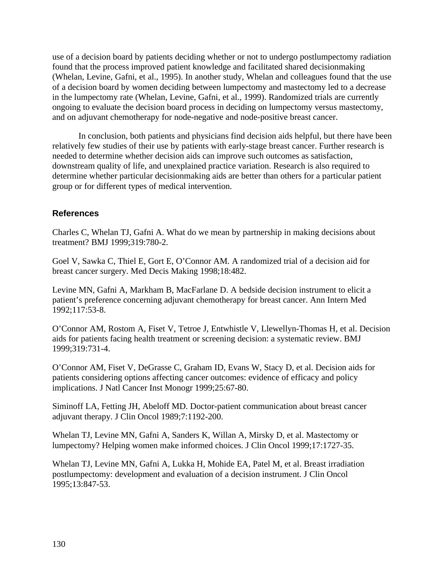use of a decision board by patients deciding whether or not to undergo postlumpectomy radiation found that the process improved patient knowledge and facilitated shared decisionmaking (Whelan, Levine, Gafni, et al., 1995). In another study, Whelan and colleagues found that the use of a decision board by women deciding between lumpectomy and mastectomy led to a decrease in the lumpectomy rate (Whelan, Levine, Gafni, et al., 1999). Randomized trials are currently ongoing to evaluate the decision board process in deciding on lumpectomy versus mastectomy, and on adjuvant chemotherapy for node-negative and node-positive breast cancer.

In conclusion, both patients and physicians find decision aids helpful, but there have been relatively few studies of their use by patients with early-stage breast cancer. Further research is needed to determine whether decision aids can improve such outcomes as satisfaction, downstream quality of life, and unexplained practice variation. Research is also required to determine whether particular decisionmaking aids are better than others for a particular patient group or for different types of medical intervention.

## **References**

Charles C, Whelan TJ, Gafni A. What do we mean by partnership in making decisions about treatment? BMJ 1999;319:780-2.

Goel V, Sawka C, Thiel E, Gort E, O'Connor AM. A randomized trial of a decision aid for breast cancer surgery. Med Decis Making 1998;18:482.

Levine MN, Gafni A, Markham B, MacFarlane D. A bedside decision instrument to elicit a patient's preference concerning adjuvant chemotherapy for breast cancer. Ann Intern Med 1992;117:53-8.

O'Connor AM, Rostom A, Fiset V, Tetroe J, Entwhistle V, Llewellyn-Thomas H, et al. Decision aids for patients facing health treatment or screening decision: a systematic review. BMJ 1999;319:731-4.

O'Connor AM, Fiset V, DeGrasse C, Graham ID, Evans W, Stacy D, et al. Decision aids for patients considering options affecting cancer outcomes: evidence of efficacy and policy implications. J Natl Cancer Inst Monogr 1999;25:67-80.

Siminoff LA, Fetting JH, Abeloff MD. Doctor-patient communication about breast cancer adjuvant therapy. J Clin Oncol 1989;7:1192-200.

Whelan TJ, Levine MN, Gafni A, Sanders K, Willan A, Mirsky D, et al. Mastectomy or lumpectomy? Helping women make informed choices. J Clin Oncol 1999;17:1727-35.

Whelan TJ, Levine MN, Gafni A, Lukka H, Mohide EA, Patel M, et al. Breast irradiation postlumpectomy: development and evaluation of a decision instrument. J Clin Oncol 1995;13:847-53.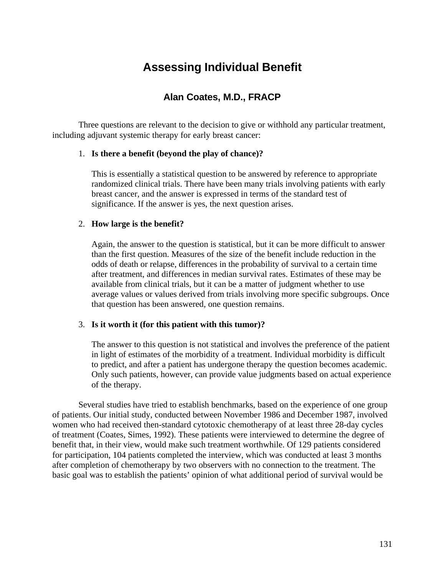# **Assessing Individual Benefit**

## **Alan Coates, M.D., FRACP**

Three questions are relevant to the decision to give or withhold any particular treatment, including adjuvant systemic therapy for early breast cancer:

#### 1. **Is there a benefit (beyond the play of chance)?**

This is essentially a statistical question to be answered by reference to appropriate randomized clinical trials. There have been many trials involving patients with early breast cancer, and the answer is expressed in terms of the standard test of significance. If the answer is yes, the next question arises.

#### 2. **How large is the benefit?**

Again, the answer to the question is statistical, but it can be more difficult to answer than the first question. Measures of the size of the benefit include reduction in the odds of death or relapse, differences in the probability of survival to a certain time after treatment, and differences in median survival rates. Estimates of these may be available from clinical trials, but it can be a matter of judgment whether to use average values or values derived from trials involving more specific subgroups. Once that question has been answered, one question remains.

### 3. **Is it worth it (for this patient with this tumor)?**

The answer to this question is not statistical and involves the preference of the patient in light of estimates of the morbidity of a treatment. Individual morbidity is difficult to predict, and after a patient has undergone therapy the question becomes academic. Only such patients, however, can provide value judgments based on actual experience of the therapy.

Several studies have tried to establish benchmarks, based on the experience of one group of patients. Our initial study, conducted between November 1986 and December 1987, involved women who had received then-standard cytotoxic chemotherapy of at least three 28-day cycles of treatment (Coates, Simes, 1992). These patients were interviewed to determine the degree of benefit that, in their view, would make such treatment worthwhile. Of 129 patients considered for participation, 104 patients completed the interview, which was conducted at least 3 months after completion of chemotherapy by two observers with no connection to the treatment. The basic goal was to establish the patients' opinion of what additional period of survival would be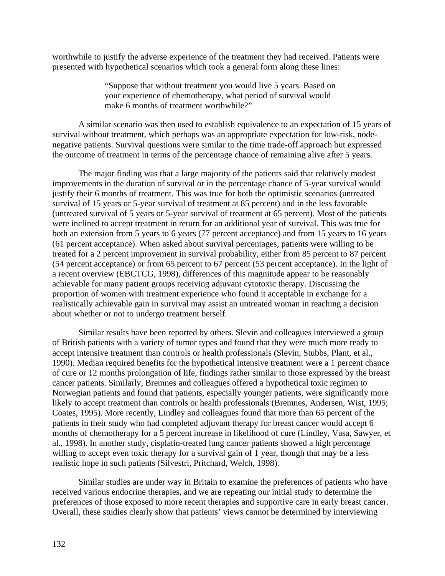worthwhile to justify the adverse experience of the treatment they had received. Patients were presented with hypothetical scenarios which took a general form along these lines:

> "Suppose that without treatment you would live 5 years. Based on your experience of chemotherapy, what period of survival would make 6 months of treatment worthwhile?"

A similar scenario was then used to establish equivalence to an expectation of 15 years of survival without treatment, which perhaps was an appropriate expectation for low-risk, nodenegative patients. Survival questions were similar to the time trade-off approach but expressed the outcome of treatment in terms of the percentage chance of remaining alive after 5 years.

The major finding was that a large majority of the patients said that relatively modest improvements in the duration of survival or in the percentage chance of 5-year survival would justify their 6 months of treatment. This was true for both the optimistic scenarios (untreated survival of 15 years or 5-year survival of treatment at 85 percent) and in the less favorable (untreated survival of 5 years or 5-year survival of treatment at 65 percent). Most of the patients were inclined to accept treatment in return for an additional year of survival. This was true for both an extension from 5 years to 6 years (77 percent acceptance) and from 15 years to 16 years (61 percent acceptance). When asked about survival percentages, patients were willing to be treated for a 2 percent improvement in survival probability, either from 85 percent to 87 percent (54 percent acceptance) or from 65 percent to 67 percent (53 percent acceptance). In the light of a recent overview (EBCTCG, 1998), differences of this magnitude appear to be reasonably achievable for many patient groups receiving adjuvant cytotoxic therapy. Discussing the proportion of women with treatment experience who found it acceptable in exchange for a realistically achievable gain in survival may assist an untreated woman in reaching a decision about whether or not to undergo treatment herself.

Similar results have been reported by others. Slevin and colleagues interviewed a group of British patients with a variety of tumor types and found that they were much more ready to accept intensive treatment than controls or health professionals (Slevin, Stubbs, Plant, et al., 1990). Median required benefits for the hypothetical intensive treatment were a 1 percent chance of cure or 12 months prolongation of life, findings rather similar to those expressed by the breast cancer patients. Similarly, Bremnes and colleagues offered a hypothetical toxic regimen to Norwegian patients and found that patients, especially younger patients, were significantly more likely to accept treatment than controls or health professionals (Bremnes, Andersen, Wist, 1995; Coates, 1995). More recently, Lindley and colleagues found that more than 65 percent of the patients in their study who had completed adjuvant therapy for breast cancer would accept 6 months of chemotherapy for a 5 percent increase in likelihood of cure (Lindley, Vasa, Sawyer, et al., 1998). In another study, cisplatin-treated lung cancer patients showed a high percentage willing to accept even toxic therapy for a survival gain of 1 year, though that may be a less realistic hope in such patients (Silvestri, Pritchard, Welch, 1998).

Similar studies are under way in Britain to examine the preferences of patients who have received various endocrine therapies, and we are repeating our initial study to determine the preferences of those exposed to more recent therapies and supportive care in early breast cancer. Overall, these studies clearly show that patients' views cannot be determined by interviewing